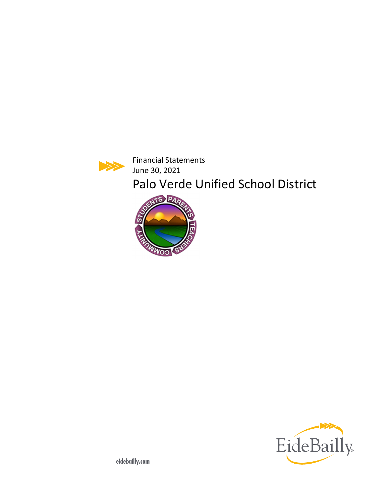Financial Statements June 30, 2021

Palo Verde Unified School District



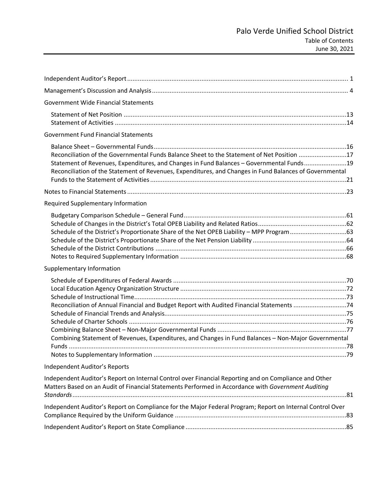| <b>Government Wide Financial Statements</b>                                                                                                                                                                                                                                                       |  |
|---------------------------------------------------------------------------------------------------------------------------------------------------------------------------------------------------------------------------------------------------------------------------------------------------|--|
|                                                                                                                                                                                                                                                                                                   |  |
| <b>Government Fund Financial Statements</b>                                                                                                                                                                                                                                                       |  |
| Reconciliation of the Governmental Funds Balance Sheet to the Statement of Net Position 17<br>Statement of Revenues, Expenditures, and Changes in Fund Balances - Governmental Funds19<br>Reconciliation of the Statement of Revenues, Expenditures, and Changes in Fund Balances of Governmental |  |
|                                                                                                                                                                                                                                                                                                   |  |
| Required Supplementary Information                                                                                                                                                                                                                                                                |  |
|                                                                                                                                                                                                                                                                                                   |  |
| Supplementary Information                                                                                                                                                                                                                                                                         |  |
| Reconciliation of Annual Financial and Budget Report with Audited Financial Statements 74<br>Combining Statement of Revenues, Expenditures, and Changes in Fund Balances - Non-Major Governmental                                                                                                 |  |
| Independent Auditor's Reports                                                                                                                                                                                                                                                                     |  |
| Independent Auditor's Report on Internal Control over Financial Reporting and on Compliance and Other<br>Matters Based on an Audit of Financial Statements Performed in Accordance with Government Auditing                                                                                       |  |
| Independent Auditor's Report on Compliance for the Major Federal Program; Report on Internal Control Over                                                                                                                                                                                         |  |
|                                                                                                                                                                                                                                                                                                   |  |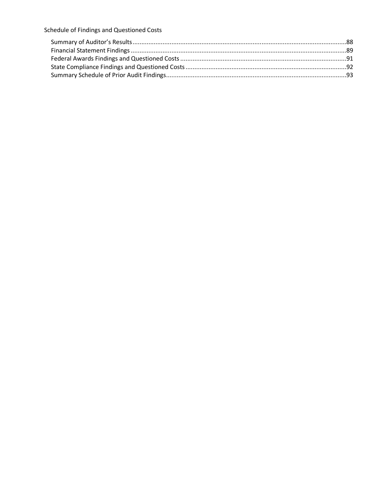Schedule of Findings and Questioned Costs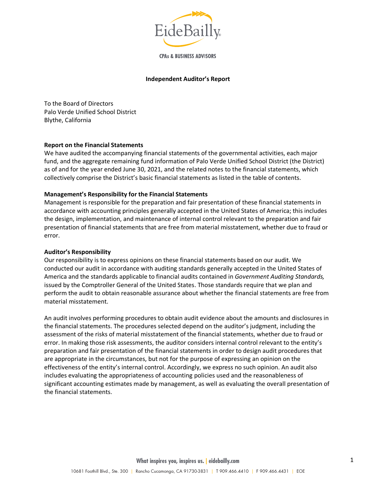

**CPAs & BUSINESS ADVISORS** 

#### **Independent Auditor's Report**

To the Board of Directors Palo Verde Unified School District Blythe, California

### **Report on the Financial Statements**

We have audited the accompanying financial statements of the governmental activities, each major fund, and the aggregate remaining fund information of Palo Verde Unified School District (the District) as of and for the year ended June 30, 2021, and the related notes to the financial statements, which collectively comprise the District's basic financial statements as listed in the table of contents.

### **Management's Responsibility for the Financial Statements**

Management is responsible for the preparation and fair presentation of these financial statements in accordance with accounting principles generally accepted in the United States of America; this includes the design, implementation, and maintenance of internal control relevant to the preparation and fair presentation of financial statements that are free from material misstatement, whether due to fraud or error.

# **Auditor's Responsibility**

Our responsibility is to express opinions on these financial statements based on our audit. We conducted our audit in accordance with auditing standards generally accepted in the United States of America and the standards applicable to financial audits contained in *Government Auditing Standards,*  issued by the Comptroller General of the United States. Those standards require that we plan and perform the audit to obtain reasonable assurance about whether the financial statements are free from material misstatement.

An audit involves performing procedures to obtain audit evidence about the amounts and disclosures in the financial statements. The procedures selected depend on the auditor's judgment, including the assessment of the risks of material misstatement of the financial statements, whether due to fraud or error. In making those risk assessments, the auditor considers internal control relevant to the entity's preparation and fair presentation of the financial statements in order to design audit procedures that are appropriate in the circumstances, but not for the purpose of expressing an opinion on the effectiveness of the entity's internal control. Accordingly, we express no such opinion. An audit also includes evaluating the appropriateness of accounting policies used and the reasonableness of significant accounting estimates made by management, as well as evaluating the overall presentation of the financial statements.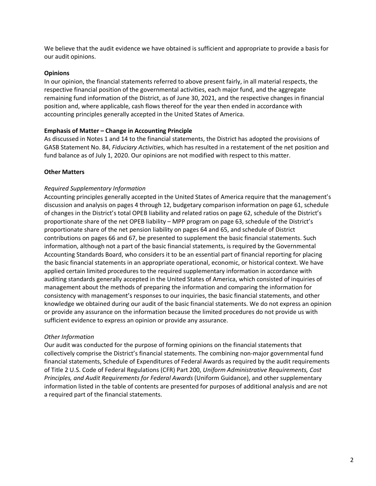We believe that the audit evidence we have obtained is sufficient and appropriate to provide a basis for our audit opinions.

# **Opinions**

In our opinion, the financial statements referred to above present fairly, in all material respects, the respective financial position of the governmental activities, each major fund, and the aggregate remaining fund information of the District, as of June 30, 2021, and the respective changes in financial position and, where applicable, cash flows thereof for the year then ended in accordance with accounting principles generally accepted in the United States of America.

# **Emphasis of Matter – Change in Accounting Principle**

As discussed in Notes 1 and 14 to the financial statements, the District has adopted the provisions of GASB Statement No. 84, *Fiduciary Activities*, which has resulted in a restatement of the net position and fund balance as of July 1, 2020. Our opinions are not modified with respect to this matter.

# **Other Matters**

# *Required Supplementary Information*

Accounting principles generally accepted in the United States of America require that the management's discussion and analysis on pages 4 through 12, budgetary comparison information on page 61, schedule of changes in the District's total OPEB liability and related ratios on page 62, schedule of the District's proportionate share of the net OPEB liability – MPP program on page 63, schedule of the District's proportionate share of the net pension liability on pages 64 and 65, and schedule of District contributions on pages 66 and 67, be presented to supplement the basic financial statements. Such information, although not a part of the basic financial statements, is required by the Governmental Accounting Standards Board, who considers it to be an essential part of financial reporting for placing the basic financial statements in an appropriate operational, economic, or historical context. We have applied certain limited procedures to the required supplementary information in accordance with auditing standards generally accepted in the United States of America, which consisted of inquiries of management about the methods of preparing the information and comparing the information for consistency with management's responses to our inquiries, the basic financial statements, and other knowledge we obtained during our audit of the basic financial statements. We do not express an opinion or provide any assurance on the information because the limited procedures do not provide us with sufficient evidence to express an opinion or provide any assurance.

# *Other Information*

Our audit was conducted for the purpose of forming opinions on the financial statements that collectively comprise the District's financial statements. The combining non-major governmental fund financial statements, Schedule of Expenditures of Federal Awards as required by the audit requirements of Title 2 U.S. Code of Federal Regulations (CFR) Part 200, *Uniform Administrative Requirements, Cost Principles, and Audit Requirements for Federal Awards* (Uniform Guidance), and other supplementary information listed in the table of contents are presented for purposes of additional analysis and are not a required part of the financial statements.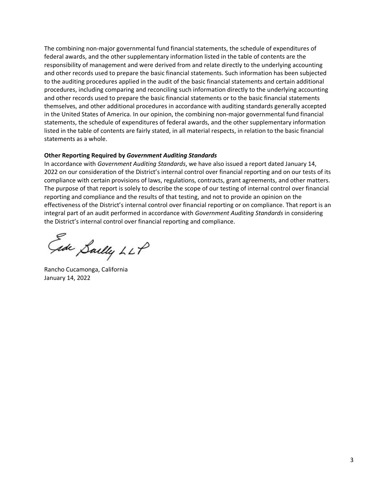The combining non-major governmental fund financial statements, the schedule of expenditures of federal awards, and the other supplementary information listed in the table of contents are the responsibility of management and were derived from and relate directly to the underlying accounting and other records used to prepare the basic financial statements. Such information has been subjected to the auditing procedures applied in the audit of the basic financial statements and certain additional procedures, including comparing and reconciling such information directly to the underlying accounting and other records used to prepare the basic financial statements or to the basic financial statements themselves, and other additional procedures in accordance with auditing standards generally accepted in the United States of America. In our opinion, the combining non-major governmental fund financial statements, the schedule of expenditures of federal awards, and the other supplementary information listed in the table of contents are fairly stated, in all material respects, in relation to the basic financial statements as a whole.

# **Other Reporting Required by** *Government Auditing Standards*

In accordance with *Government Auditing Standards*, we have also issued a report dated January 14, 2022 on our consideration of the District's internal control over financial reporting and on our tests of its compliance with certain provisions of laws, regulations, contracts, grant agreements, and other matters. The purpose of that report is solely to describe the scope of our testing of internal control over financial reporting and compliance and the results of that testing, and not to provide an opinion on the effectiveness of the District's internal control over financial reporting or on compliance. That report is an integral part of an audit performed in accordance with *Government Auditing Standards* in considering the District's internal control over financial reporting and compliance.

Gide Sailly LLP

Rancho Cucamonga, California January 14, 2022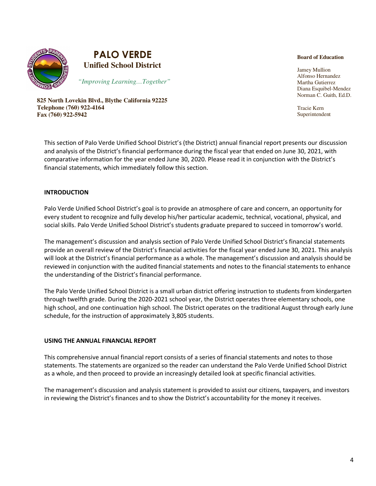

# **PALO VERDE Unified School District**

 *"Improving Learning…Together"* 

**825 North Lovekin Blvd., Blythe California 92225 Telephone (760) 922-4164 Fax (760) 922-5942** 

#### **Board of Education**

Jamey Mullion Alfonso Hernandez Martha Gutierrez Diana Esquibel-Mendez Norman C. Guith, Ed.D.

Tracie Kern Superintendent

This section of Palo Verde Unified School District's (the District) annual financial report presents our discussion and analysis of the District's financial performance during the fiscal year that ended on June 30, 2021, with comparative information for the year ended June 30, 2020. Please read it in conjunction with the District's financial statements, which immediately follow this section.

# **INTRODUCTION**

Palo Verde Unified School District's goal is to provide an atmosphere of care and concern, an opportunity for every student to recognize and fully develop his/her particular academic, technical, vocational, physical, and social skills. Palo Verde Unified School District's students graduate prepared to succeed in tomorrow's world.

The management's discussion and analysis section of Palo Verde Unified School District's financial statements provide an overall review of the District's financial activities for the fiscal year ended June 30, 2021. This analysis will look at the District's financial performance as a whole. The management's discussion and analysis should be reviewed in conjunction with the audited financial statements and notes to the financial statements to enhance the understanding of the District's financial performance.

The Palo Verde Unified School District is a small urban district offering instruction to students from kindergarten through twelfth grade. During the 2020-2021 school year, the District operates three elementary schools, one high school, and one continuation high school. The District operates on the traditional August through early June schedule, for the instruction of approximately 3,805 students.

# **USING THE ANNUAL FINANCIAL REPORT**

This comprehensive annual financial report consists of a series of financial statements and notes to those statements. The statements are organized so the reader can understand the Palo Verde Unified School District as a whole, and then proceed to provide an increasingly detailed look at specific financial activities.

The management's discussion and analysis statement is provided to assist our citizens, taxpayers, and investors in reviewing the District's finances and to show the District's accountability for the money it receives.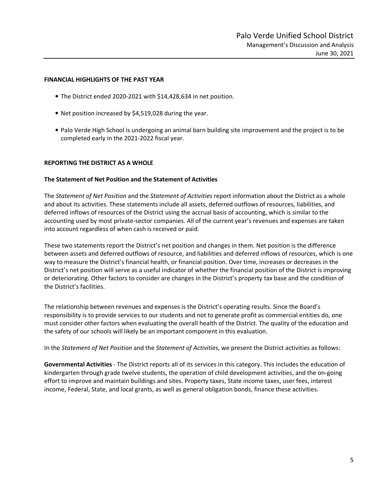#### **FINANCIAL HIGHLIGHTS OF THE PAST YEAR**

- The District ended 2020-2021 with \$14,428,634 in net position.
- Net position increased by \$4,519,028 during the year.
- Palo Verde High School is undergoing an animal barn building site improvement and the project is to be completed early in the 2021-2022 fiscal year.

# **REPORTING THE DISTRICT AS A WHOLE**

# **The Statement of Net Position and the Statement of Activities**

The *Statement of Net Position* and the *Statement of Activities* report information about the District as a whole and about its activities. These statements include all assets, deferred outflows of resources, liabilities, and deferred inflows of resources of the District using the accrual basis of accounting, which is similar to the accounting used by most private-sector companies. All of the current year's revenues and expenses are taken into account regardless of when cash is received or paid.

These two statements report the District's net position and changes in them. Net position is the difference between assets and deferred outflows of resource, and liabilities and deferred inflows of resources, which is one way to measure the District's financial health, or financial position. Over time, increases or decreases in the District's net position will serve as a useful indicator of whether the financial position of the District is improving or deteriorating. Other factors to consider are changes in the District's property tax base and the condition of the District's facilities.

The relationship between revenues and expenses is the District's operating results. Since the Board's responsibility is to provide services to our students and not to generate profit as commercial entities do, one must consider other factors when evaluating the overall health of the District. The quality of the education and the safety of our schools will likely be an important component in this evaluation.

In the *Statement of Net Position* and the *Statement of Activities*, we present the District activities as follows:

**Governmental Activities** *-* The District reports all of its services in this category. This includes the education of kindergarten through grade twelve students, the operation of child development activities, and the on-going effort to improve and maintain buildings and sites. Property taxes, State income taxes, user fees, interest income, Federal, State, and local grants, as well as general obligation bonds, finance these activities.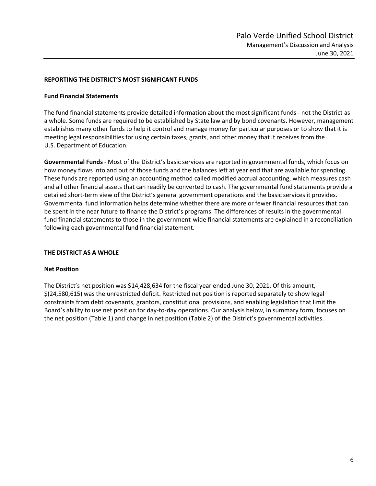### **REPORTING THE DISTRICT'S MOST SIGNIFICANT FUNDS**

### **Fund Financial Statements**

The fund financial statements provide detailed information about the most significant funds - not the District as a whole. Some funds are required to be established by State law and by bond covenants. However, management establishes many other funds to help it control and manage money for particular purposes or to show that it is meeting legal responsibilities for using certain taxes, grants, and other money that it receives from the U.S. Department of Education.

**Governmental Funds** - Most of the District's basic services are reported in governmental funds, which focus on how money flows into and out of those funds and the balances left at year end that are available for spending. These funds are reported using an accounting method called modified accrual accounting, which measures cash and all other financial assets that can readily be converted to cash. The governmental fund statements provide a detailed short-term view of the District's general government operations and the basic services it provides. Governmental fund information helps determine whether there are more or fewer financial resources that can be spent in the near future to finance the District's programs. The differences of results in the governmental fund financial statements to those in the government-wide financial statements are explained in a reconciliation following each governmental fund financial statement.

# **THE DISTRICT AS A WHOLE**

#### **Net Position**

The District's net position was \$14,428,634 for the fiscal year ended June 30, 2021. Of this amount, \$(24,580,615) was the unrestricted deficit. Restricted net position is reported separately to show legal constraints from debt covenants, grantors, constitutional provisions, and enabling legislation that limit the Board's ability to use net position for day-to-day operations. Our analysis below, in summary form, focuses on the net position (Table 1) and change in net position (Table 2) of the District's governmental activities.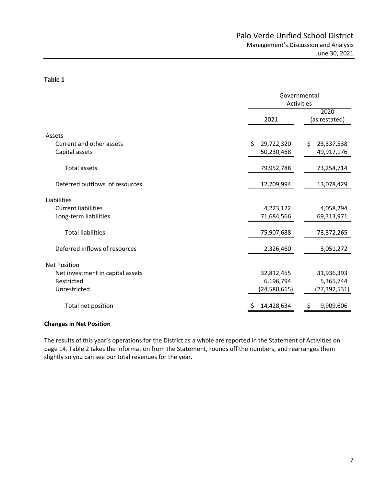|                                  | Governmental      |                       |
|----------------------------------|-------------------|-----------------------|
|                                  | <b>Activities</b> |                       |
|                                  | 2021              | 2020<br>(as restated) |
| Assets                           |                   |                       |
| Current and other assets         | \$<br>29,722,320  | 23,337,538<br>\$.     |
| Capital assets                   | 50,230,468        | 49,917,176            |
| <b>Total assets</b>              | 79,952,788        | 73,254,714            |
| Deferred outflows of resources   | 12,709,994        | 13,078,429            |
| Liabilities                      |                   |                       |
| <b>Current liabilities</b>       | 4,223,122         | 4,058,294             |
| Long-term liabilities            | 71,684,566        | 69,313,971            |
| <b>Total liabilities</b>         | 75,907,688        | 73,372,265            |
| Deferred inflows of resources    | 2,326,460         | 3,051,272             |
| <b>Net Position</b>              |                   |                       |
| Net investment in capital assets | 32,812,455        | 31,936,393            |
| Restricted                       | 6,196,794         | 5,365,744             |
| Unrestricted                     | (24,580,615)      | (27, 392, 531)        |
| Total net position               | 14,428,634<br>\$  | \$<br>9,909,606       |

**Table 1** 

### **Changes in Net Position**

The results of this year's operations for the District as a whole are reported in the Statement of Activities on page 14. Table 2 takes the information from the Statement, rounds off the numbers, and rearranges them slightly so you can see our total revenues for the year.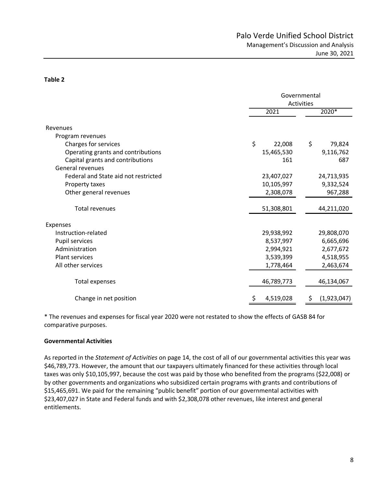| L<br>٧<br>۰,<br>×<br>e e |
|--------------------------|
|--------------------------|

|                                      | Governmental<br>Activities |           |                   |
|--------------------------------------|----------------------------|-----------|-------------------|
|                                      | 2021                       |           | 2020*             |
| Revenues                             |                            |           |                   |
| Program revenues                     |                            |           |                   |
| Charges for services                 | \$                         | 22,008    | \$<br>79,824      |
| Operating grants and contributions   | 15,465,530                 |           | 9,116,762         |
| Capital grants and contributions     |                            | 161       | 687               |
| General revenues                     |                            |           |                   |
| Federal and State aid not restricted | 23,407,027                 |           | 24,713,935        |
| Property taxes                       | 10,105,997                 |           | 9,332,524         |
| Other general revenues               |                            | 2,308,078 | 967,288           |
| <b>Total revenues</b>                | 51,308,801                 |           | 44,211,020        |
| Expenses                             |                            |           |                   |
| Instruction-related                  | 29,938,992                 |           | 29,808,070        |
| Pupil services                       |                            | 8,537,997 | 6,665,696         |
| Administration                       |                            | 2,994,921 | 2,677,672         |
| <b>Plant services</b>                |                            | 3,539,399 | 4,518,955         |
| All other services                   |                            | 1,778,464 | 2,463,674         |
| Total expenses                       | 46,789,773                 |           | 46,134,067        |
| Change in net position               | \$                         | 4,519,028 | \$<br>(1,923,047) |

\* The revenues and expenses for fiscal year 2020 were not restated to show the effects of GASB 84 for comparative purposes.

# **Governmental Activities**

As reported in the *Statement of Activities* on page 14, the cost of all of our governmental activities this year was \$46,789,773. However, the amount that our taxpayers ultimately financed for these activities through local taxes was only \$10,105,997, because the cost was paid by those who benefited from the programs (\$22,008) or by other governments and organizations who subsidized certain programs with grants and contributions of \$15,465,691. We paid for the remaining "public benefit" portion of our governmental activities with \$23,407,027 in State and Federal funds and with \$2,308,078 other revenues, like interest and general entitlements.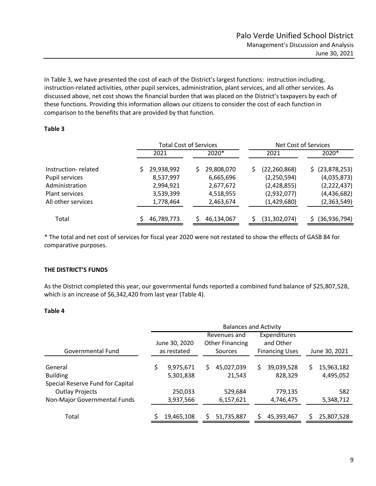In Table 3, we have presented the cost of each of the District's largest functions: instruction including, instruction-related activities, other pupil services, administration, plant services, and all other services. As discussed above, net cost shows the financial burden that was placed on the District's taxpayers by each of these functions. Providing this information allows our citizens to consider the cost of each function in comparison to the benefits that are provided by that function.

# **Table 3**

|                       |            | <b>Total Cost of Services</b> |                     | <b>Net Cost of Services</b> |
|-----------------------|------------|-------------------------------|---------------------|-----------------------------|
|                       | 2021       | 2020*                         | 2021                | 2020*                       |
| Instruction-related   | 29,938,992 | 29,808,070<br>S               | (22, 260, 868)<br>S | \$ (23,878,253)             |
| Pupil services        | 8,537,997  | 6,665,696                     | (2, 250, 594)       | (4,035,873)                 |
| Administration        | 2,994,921  | 2,677,672                     | (2,428,855)         | (2,222,437)                 |
| <b>Plant services</b> | 3,539,399  | 4,518,955                     | (2,932,077)         | (4,436,682)                 |
| All other services    | 1,778,464  | 2,463,674                     | (1,429,680)         | (2,363,549)                 |
| Total                 | 46,789,773 | 46,134,067                    | (31,302,074)        | (36, 936, 794)              |

\* The total and net cost of services for fiscal year 2020 were not restated to show the effects of GASB 84 for comparative purposes.

# **THE DISTRICT'S FUNDS**

As the District completed this year, our governmental funds reported a combined fund balance of \$25,807,528, which is an increase of \$6,342,420 from last year (Table 4).

### **Table 4**

|                                                        | <b>Balances and Activity</b> |                                        |                             |                               |  |  |
|--------------------------------------------------------|------------------------------|----------------------------------------|-----------------------------|-------------------------------|--|--|
|                                                        | June 30, 2020                | Revenues and<br><b>Other Financing</b> | Expenditures<br>and Other   |                               |  |  |
| Governmental Fund                                      | as restated                  | Sources                                | <b>Financing Uses</b>       | June 30, 2021                 |  |  |
| General<br><b>Building</b>                             | 9,975,671<br>5,301,838       | 45,027,039<br>S<br>21,543              | Ś.<br>39,039,528<br>828,329 | \$<br>15,963,182<br>4,495,052 |  |  |
| Special Reserve Fund for Capital                       |                              |                                        |                             |                               |  |  |
| <b>Outlay Projects</b><br>Non-Major Governmental Funds | 250,033<br>3,937,566         | 529,684<br>6,157,621                   | 779,135<br>4,746,475        | 582<br>5,348,712              |  |  |
| Total                                                  | 19,465,108                   | 51,735,887                             | Ś.<br>45,393,467            | ς<br>25,807,528               |  |  |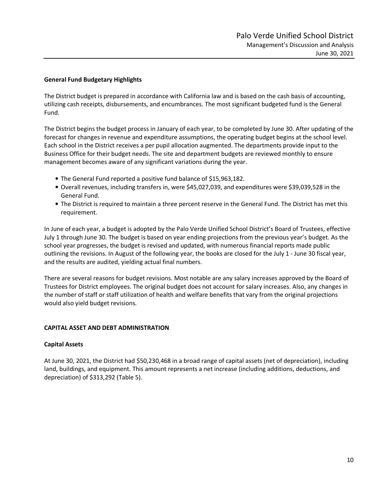# **General Fund Budgetary Highlights**

The District budget is prepared in accordance with California law and is based on the cash basis of accounting, utilizing cash receipts, disbursements, and encumbrances. The most significant budgeted fund is the General Fund.

The District begins the budget process in January of each year, to be completed by June 30. After updating of the forecast for changes in revenue and expenditure assumptions, the operating budget begins at the school level. Each school in the District receives a per pupil allocation augmented. The departments provide input to the Business Office for their budget needs. The site and department budgets are reviewed monthly to ensure management becomes aware of any significant variations during the year.

- The General Fund reported a positive fund balance of \$15,963,182.
- Overall revenues, including transfers in, were \$45,027,039, and expenditures were \$39,039,528 in the General Fund.
- The District is required to maintain a three percent reserve in the General Fund. The District has met this requirement.

In June of each year, a budget is adopted by the Palo Verde Unified School District's Board of Trustees, effective July 1 through June 30. The budget is based on year ending projections from the previous year's budget. As the school year progresses, the budget is revised and updated, with numerous financial reports made public outlining the revisions. In August of the following year, the books are closed for the July 1 - June 30 fiscal year, and the results are audited, yielding actual final numbers.

There are several reasons for budget revisions. Most notable are any salary increases approved by the Board of Trustees for District employees. The original budget does not account for salary increases. Also, any changes in the number of staff or staff utilization of health and welfare benefits that vary from the original projections would also yield budget revisions.

# **CAPITAL ASSET AND DEBT ADMINISTRATION**

# **Capital Assets**

At June 30, 2021, the District had \$50,230,468 in a broad range of capital assets (net of depreciation), including land, buildings, and equipment. This amount represents a net increase (including additions, deductions, and depreciation) of \$313,292 (Table 5).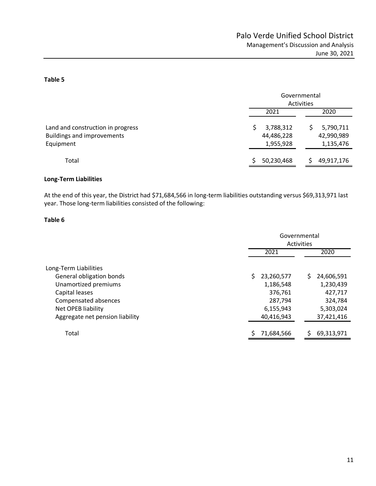# **Table 5**

| Governmental<br>Activities |            |  |
|----------------------------|------------|--|
| 2021                       | 2020       |  |
| 3,788,312                  | 5,790,711  |  |
| 44,486,228                 | 42,990,989 |  |
| 1,955,928                  | 1,135,476  |  |
| 50,230,468                 | 49,917,176 |  |
|                            |            |  |

# **Long-Term Liabilities**

At the end of this year, the District had \$71,684,566 in long-term liabilities outstanding versus \$69,313,971 last year. Those long-term liabilities consisted of the following:

# **Table 6**

| Governmental<br>Activities |                  |  |
|----------------------------|------------------|--|
| 2021                       | 2020             |  |
|                            |                  |  |
| 23,260,577<br>S.           | \$<br>24,606,591 |  |
| 1,186,548                  | 1,230,439        |  |
| 376,761                    | 427,717          |  |
| 287,794                    | 324,784          |  |
| 6,155,943                  | 5,303,024        |  |
| 40,416,943                 | 37,421,416       |  |
| 71,684,566                 | Ŝ.<br>69,313,971 |  |
|                            |                  |  |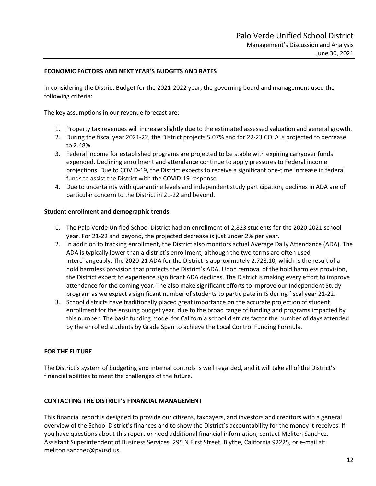### **ECONOMIC FACTORS AND NEXT YEAR'S BUDGETS AND RATES**

In considering the District Budget for the 2021-2022 year, the governing board and management used the following criteria:

The key assumptions in our revenue forecast are:

- 1. Property tax revenues will increase slightly due to the estimated assessed valuation and general growth.
- 2. During the fiscal year 2021-22, the District projects 5.07% and for 22-23 COLA is projected to decrease to 2.48%.
- 3. Federal income for established programs are projected to be stable with expiring carryover funds expended. Declining enrollment and attendance continue to apply pressures to Federal income projections. Due to COVID-19, the District expects to receive a significant one-time increase in federal funds to assist the District with the COVID-19 response.
- 4. Due to uncertainty with quarantine levels and independent study participation, declines in ADA are of particular concern to the District in 21-22 and beyond.

### **Student enrollment and demographic trends**

- 1. The Palo Verde Unified School District had an enrollment of 2,823 students for the 2020 2021 school year. For 21-22 and beyond, the projected decrease is just under 2% per year.
- 2. In addition to tracking enrollment, the District also monitors actual Average Daily Attendance (ADA). The ADA is typically lower than a district's enrollment, although the two terms are often used interchangeably. The 2020-21 ADA for the District is approximately 2,728.10, which is the result of a hold harmless provision that protects the District's ADA. Upon removal of the hold harmless provision, the District expect to experience significant ADA declines. The District is making every effort to improve attendance for the coming year. The also make significant efforts to improve our Independent Study program as we expect a significant number of students to participate in IS during fiscal year 21-22.
- 3. School districts have traditionally placed great importance on the accurate projection of student enrollment for the ensuing budget year, due to the broad range of funding and programs impacted by this number. The basic funding model for California school districts factor the number of days attended by the enrolled students by Grade Span to achieve the Local Control Funding Formula.

# **FOR THE FUTURE**

The District's system of budgeting and internal controls is well regarded, and it will take all of the District's financial abilities to meet the challenges of the future.

#### **CONTACTING THE DISTRICT'S FINANCIAL MANAGEMENT**

This financial report is designed to provide our citizens, taxpayers, and investors and creditors with a general overview of the School District's finances and to show the District's accountability for the money it receives. If you have questions about this report or need additional financial information, contact Meliton Sanchez, Assistant Superintendent of Business Services, 295 N First Street, Blythe, California 92225, or e-mail at: meliton.sanchez@pvusd.us.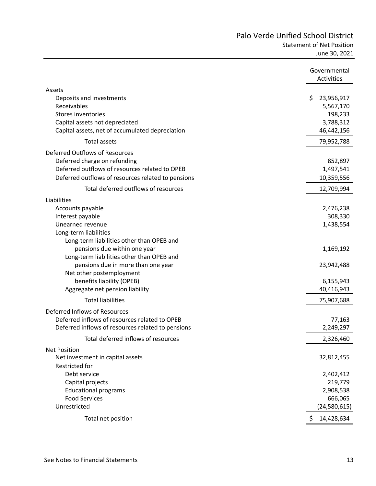# Palo Verde Unified School District Statement of Net Position June 30, 2021

| Assets<br>\$<br>23,956,917<br>Deposits and investments<br>Receivables<br>5,567,170<br><b>Stores inventories</b><br>198,233<br>3,788,312<br>Capital assets not depreciated<br>Capital assets, net of accumulated depreciation<br>46,442,156<br>Total assets<br>79,952,788<br>Deferred Outflows of Resources<br>Deferred charge on refunding<br>852,897<br>Deferred outflows of resources related to OPEB<br>1,497,541<br>Deferred outflows of resources related to pensions<br>10,359,556<br>Total deferred outflows of resources<br>12,709,994<br>Liabilities<br>Accounts payable<br>2,476,238<br>Interest payable<br>308,330<br>Unearned revenue<br>1,438,554<br>Long-term liabilities<br>Long-term liabilities other than OPEB and<br>pensions due within one year<br>1,169,192<br>Long-term liabilities other than OPEB and<br>23,942,488<br>pensions due in more than one year<br>Net other postemployment<br>benefits liability (OPEB)<br>6,155,943<br>Aggregate net pension liability<br>40,416,943<br><b>Total liabilities</b><br>75,907,688<br>Deferred Inflows of Resources<br>Deferred inflows of resources related to OPEB<br>77,163<br>Deferred inflows of resources related to pensions<br>2,249,297<br>Total deferred inflows of resources<br>2,326,460<br><b>Net Position</b><br>Net investment in capital assets<br>32,812,455<br>Restricted for<br>Debt service<br>2,402,412<br>Capital projects<br>219,779<br><b>Educational programs</b><br>2,908,538<br><b>Food Services</b><br>666,065<br>Unrestricted<br>(24, 580, 615)<br>Total net position<br>\$<br>14,428,634 | Governmental<br>Activities |
|-----------------------------------------------------------------------------------------------------------------------------------------------------------------------------------------------------------------------------------------------------------------------------------------------------------------------------------------------------------------------------------------------------------------------------------------------------------------------------------------------------------------------------------------------------------------------------------------------------------------------------------------------------------------------------------------------------------------------------------------------------------------------------------------------------------------------------------------------------------------------------------------------------------------------------------------------------------------------------------------------------------------------------------------------------------------------------------------------------------------------------------------------------------------------------------------------------------------------------------------------------------------------------------------------------------------------------------------------------------------------------------------------------------------------------------------------------------------------------------------------------------------------------------------------------------------------------------------|----------------------------|
|                                                                                                                                                                                                                                                                                                                                                                                                                                                                                                                                                                                                                                                                                                                                                                                                                                                                                                                                                                                                                                                                                                                                                                                                                                                                                                                                                                                                                                                                                                                                                                                         |                            |
|                                                                                                                                                                                                                                                                                                                                                                                                                                                                                                                                                                                                                                                                                                                                                                                                                                                                                                                                                                                                                                                                                                                                                                                                                                                                                                                                                                                                                                                                                                                                                                                         |                            |
|                                                                                                                                                                                                                                                                                                                                                                                                                                                                                                                                                                                                                                                                                                                                                                                                                                                                                                                                                                                                                                                                                                                                                                                                                                                                                                                                                                                                                                                                                                                                                                                         |                            |
|                                                                                                                                                                                                                                                                                                                                                                                                                                                                                                                                                                                                                                                                                                                                                                                                                                                                                                                                                                                                                                                                                                                                                                                                                                                                                                                                                                                                                                                                                                                                                                                         |                            |
|                                                                                                                                                                                                                                                                                                                                                                                                                                                                                                                                                                                                                                                                                                                                                                                                                                                                                                                                                                                                                                                                                                                                                                                                                                                                                                                                                                                                                                                                                                                                                                                         |                            |
|                                                                                                                                                                                                                                                                                                                                                                                                                                                                                                                                                                                                                                                                                                                                                                                                                                                                                                                                                                                                                                                                                                                                                                                                                                                                                                                                                                                                                                                                                                                                                                                         |                            |
|                                                                                                                                                                                                                                                                                                                                                                                                                                                                                                                                                                                                                                                                                                                                                                                                                                                                                                                                                                                                                                                                                                                                                                                                                                                                                                                                                                                                                                                                                                                                                                                         |                            |
|                                                                                                                                                                                                                                                                                                                                                                                                                                                                                                                                                                                                                                                                                                                                                                                                                                                                                                                                                                                                                                                                                                                                                                                                                                                                                                                                                                                                                                                                                                                                                                                         |                            |
|                                                                                                                                                                                                                                                                                                                                                                                                                                                                                                                                                                                                                                                                                                                                                                                                                                                                                                                                                                                                                                                                                                                                                                                                                                                                                                                                                                                                                                                                                                                                                                                         |                            |
|                                                                                                                                                                                                                                                                                                                                                                                                                                                                                                                                                                                                                                                                                                                                                                                                                                                                                                                                                                                                                                                                                                                                                                                                                                                                                                                                                                                                                                                                                                                                                                                         |                            |
|                                                                                                                                                                                                                                                                                                                                                                                                                                                                                                                                                                                                                                                                                                                                                                                                                                                                                                                                                                                                                                                                                                                                                                                                                                                                                                                                                                                                                                                                                                                                                                                         |                            |
|                                                                                                                                                                                                                                                                                                                                                                                                                                                                                                                                                                                                                                                                                                                                                                                                                                                                                                                                                                                                                                                                                                                                                                                                                                                                                                                                                                                                                                                                                                                                                                                         |                            |
|                                                                                                                                                                                                                                                                                                                                                                                                                                                                                                                                                                                                                                                                                                                                                                                                                                                                                                                                                                                                                                                                                                                                                                                                                                                                                                                                                                                                                                                                                                                                                                                         |                            |
|                                                                                                                                                                                                                                                                                                                                                                                                                                                                                                                                                                                                                                                                                                                                                                                                                                                                                                                                                                                                                                                                                                                                                                                                                                                                                                                                                                                                                                                                                                                                                                                         |                            |
|                                                                                                                                                                                                                                                                                                                                                                                                                                                                                                                                                                                                                                                                                                                                                                                                                                                                                                                                                                                                                                                                                                                                                                                                                                                                                                                                                                                                                                                                                                                                                                                         |                            |
|                                                                                                                                                                                                                                                                                                                                                                                                                                                                                                                                                                                                                                                                                                                                                                                                                                                                                                                                                                                                                                                                                                                                                                                                                                                                                                                                                                                                                                                                                                                                                                                         |                            |
|                                                                                                                                                                                                                                                                                                                                                                                                                                                                                                                                                                                                                                                                                                                                                                                                                                                                                                                                                                                                                                                                                                                                                                                                                                                                                                                                                                                                                                                                                                                                                                                         |                            |
|                                                                                                                                                                                                                                                                                                                                                                                                                                                                                                                                                                                                                                                                                                                                                                                                                                                                                                                                                                                                                                                                                                                                                                                                                                                                                                                                                                                                                                                                                                                                                                                         |                            |
|                                                                                                                                                                                                                                                                                                                                                                                                                                                                                                                                                                                                                                                                                                                                                                                                                                                                                                                                                                                                                                                                                                                                                                                                                                                                                                                                                                                                                                                                                                                                                                                         |                            |
|                                                                                                                                                                                                                                                                                                                                                                                                                                                                                                                                                                                                                                                                                                                                                                                                                                                                                                                                                                                                                                                                                                                                                                                                                                                                                                                                                                                                                                                                                                                                                                                         |                            |
|                                                                                                                                                                                                                                                                                                                                                                                                                                                                                                                                                                                                                                                                                                                                                                                                                                                                                                                                                                                                                                                                                                                                                                                                                                                                                                                                                                                                                                                                                                                                                                                         |                            |
|                                                                                                                                                                                                                                                                                                                                                                                                                                                                                                                                                                                                                                                                                                                                                                                                                                                                                                                                                                                                                                                                                                                                                                                                                                                                                                                                                                                                                                                                                                                                                                                         |                            |
|                                                                                                                                                                                                                                                                                                                                                                                                                                                                                                                                                                                                                                                                                                                                                                                                                                                                                                                                                                                                                                                                                                                                                                                                                                                                                                                                                                                                                                                                                                                                                                                         |                            |
|                                                                                                                                                                                                                                                                                                                                                                                                                                                                                                                                                                                                                                                                                                                                                                                                                                                                                                                                                                                                                                                                                                                                                                                                                                                                                                                                                                                                                                                                                                                                                                                         |                            |
|                                                                                                                                                                                                                                                                                                                                                                                                                                                                                                                                                                                                                                                                                                                                                                                                                                                                                                                                                                                                                                                                                                                                                                                                                                                                                                                                                                                                                                                                                                                                                                                         |                            |
|                                                                                                                                                                                                                                                                                                                                                                                                                                                                                                                                                                                                                                                                                                                                                                                                                                                                                                                                                                                                                                                                                                                                                                                                                                                                                                                                                                                                                                                                                                                                                                                         |                            |
|                                                                                                                                                                                                                                                                                                                                                                                                                                                                                                                                                                                                                                                                                                                                                                                                                                                                                                                                                                                                                                                                                                                                                                                                                                                                                                                                                                                                                                                                                                                                                                                         |                            |
|                                                                                                                                                                                                                                                                                                                                                                                                                                                                                                                                                                                                                                                                                                                                                                                                                                                                                                                                                                                                                                                                                                                                                                                                                                                                                                                                                                                                                                                                                                                                                                                         |                            |
|                                                                                                                                                                                                                                                                                                                                                                                                                                                                                                                                                                                                                                                                                                                                                                                                                                                                                                                                                                                                                                                                                                                                                                                                                                                                                                                                                                                                                                                                                                                                                                                         |                            |
|                                                                                                                                                                                                                                                                                                                                                                                                                                                                                                                                                                                                                                                                                                                                                                                                                                                                                                                                                                                                                                                                                                                                                                                                                                                                                                                                                                                                                                                                                                                                                                                         |                            |
|                                                                                                                                                                                                                                                                                                                                                                                                                                                                                                                                                                                                                                                                                                                                                                                                                                                                                                                                                                                                                                                                                                                                                                                                                                                                                                                                                                                                                                                                                                                                                                                         |                            |
|                                                                                                                                                                                                                                                                                                                                                                                                                                                                                                                                                                                                                                                                                                                                                                                                                                                                                                                                                                                                                                                                                                                                                                                                                                                                                                                                                                                                                                                                                                                                                                                         |                            |
|                                                                                                                                                                                                                                                                                                                                                                                                                                                                                                                                                                                                                                                                                                                                                                                                                                                                                                                                                                                                                                                                                                                                                                                                                                                                                                                                                                                                                                                                                                                                                                                         |                            |
|                                                                                                                                                                                                                                                                                                                                                                                                                                                                                                                                                                                                                                                                                                                                                                                                                                                                                                                                                                                                                                                                                                                                                                                                                                                                                                                                                                                                                                                                                                                                                                                         |                            |
|                                                                                                                                                                                                                                                                                                                                                                                                                                                                                                                                                                                                                                                                                                                                                                                                                                                                                                                                                                                                                                                                                                                                                                                                                                                                                                                                                                                                                                                                                                                                                                                         |                            |
|                                                                                                                                                                                                                                                                                                                                                                                                                                                                                                                                                                                                                                                                                                                                                                                                                                                                                                                                                                                                                                                                                                                                                                                                                                                                                                                                                                                                                                                                                                                                                                                         |                            |
|                                                                                                                                                                                                                                                                                                                                                                                                                                                                                                                                                                                                                                                                                                                                                                                                                                                                                                                                                                                                                                                                                                                                                                                                                                                                                                                                                                                                                                                                                                                                                                                         |                            |
|                                                                                                                                                                                                                                                                                                                                                                                                                                                                                                                                                                                                                                                                                                                                                                                                                                                                                                                                                                                                                                                                                                                                                                                                                                                                                                                                                                                                                                                                                                                                                                                         |                            |
|                                                                                                                                                                                                                                                                                                                                                                                                                                                                                                                                                                                                                                                                                                                                                                                                                                                                                                                                                                                                                                                                                                                                                                                                                                                                                                                                                                                                                                                                                                                                                                                         |                            |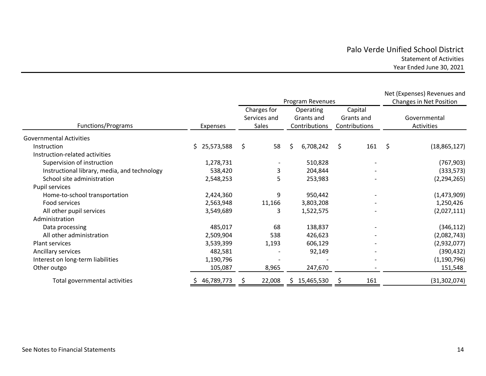# Palo Verde Unified School District Statement of Activities Year Ended June 30, 2021

|                                              |              |              | Program Revenues           | Net (Expenses) Revenues and<br>Changes in Net Position |                      |
|----------------------------------------------|--------------|--------------|----------------------------|--------------------------------------------------------|----------------------|
|                                              |              | Charges for  | Operating                  | Capital                                                |                      |
|                                              |              | Services and | Grants and                 | Grants and                                             | Governmental         |
| Functions/Programs                           | Expenses     | <b>Sales</b> | Contributions              | Contributions                                          | Activities           |
| <b>Governmental Activities</b>               |              |              |                            |                                                        |                      |
| Instruction                                  | \$25,573,588 | \$<br>58     | \$<br>6,708,242            | \$<br>161                                              | \$<br>(18, 865, 127) |
| Instruction-related activities               |              |              |                            |                                                        |                      |
| Supervision of instruction                   | 1,278,731    |              | 510,828                    |                                                        | (767, 903)           |
| Instructional library, media, and technology | 538,420      | 3            | 204,844                    |                                                        | (333,573)            |
| School site administration                   | 2,548,253    | 5            | 253,983                    |                                                        | (2, 294, 265)        |
| Pupil services                               |              |              |                            |                                                        |                      |
| Home-to-school transportation                | 2,424,360    | 9            | 950,442                    |                                                        | (1,473,909)          |
| Food services                                | 2,563,948    | 11,166       | 3,803,208                  |                                                        | 1,250,426            |
| All other pupil services                     | 3,549,689    | 3            | 1,522,575                  |                                                        | (2,027,111)          |
| Administration                               |              |              |                            |                                                        |                      |
| Data processing                              | 485,017      | 68           | 138,837                    |                                                        | (346, 112)           |
| All other administration                     | 2,509,904    | 538          | 426,623                    |                                                        | (2,082,743)          |
| Plant services                               | 3,539,399    | 1,193        | 606,129                    |                                                        | (2,932,077)          |
| Ancillary services                           | 482,581      |              | 92,149                     |                                                        | (390, 432)           |
| Interest on long-term liabilities            | 1,190,796    |              |                            |                                                        | (1, 190, 796)        |
| Other outgo                                  | 105,087      | 8,965        | 247,670                    |                                                        | 151,548              |
| Total governmental activities                | 46,789,773   | 22,008       | 15,465,530<br>$\mathsf{S}$ | 161                                                    | (31, 302, 074)       |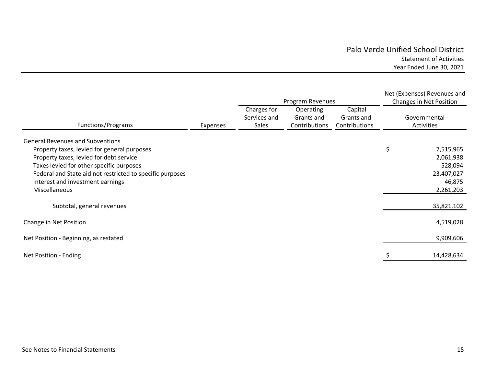# Palo Verde Unified School District Statement of Activities Year Ended June 30, 2021

|                                                                                                                                                                                                                                                                                                 |          |                                             | Program Revenues                         | Net (Expenses) Revenues and<br>Changes in Net Position |                                                                              |
|-------------------------------------------------------------------------------------------------------------------------------------------------------------------------------------------------------------------------------------------------------------------------------------------------|----------|---------------------------------------------|------------------------------------------|--------------------------------------------------------|------------------------------------------------------------------------------|
| Functions/Programs                                                                                                                                                                                                                                                                              | Expenses | Charges for<br>Services and<br><b>Sales</b> | Operating<br>Grants and<br>Contributions | Capital<br>Grants and<br>Contributions                 | Governmental<br>Activities                                                   |
| <b>General Revenues and Subventions</b><br>Property taxes, levied for general purposes<br>Property taxes, levied for debt service<br>Taxes levied for other specific purposes<br>Federal and State aid not restricted to specific purposes<br>Interest and investment earnings<br>Miscellaneous |          |                                             |                                          |                                                        | \$<br>7,515,965<br>2,061,938<br>528,094<br>23,407,027<br>46,875<br>2,261,203 |
| Subtotal, general revenues                                                                                                                                                                                                                                                                      |          |                                             |                                          |                                                        | 35,821,102                                                                   |
| Change in Net Position                                                                                                                                                                                                                                                                          |          |                                             |                                          |                                                        | 4,519,028                                                                    |
| Net Position - Beginning, as restated                                                                                                                                                                                                                                                           |          |                                             |                                          |                                                        | 9,909,606                                                                    |
| Net Position - Ending                                                                                                                                                                                                                                                                           |          |                                             |                                          |                                                        | 14,428,634                                                                   |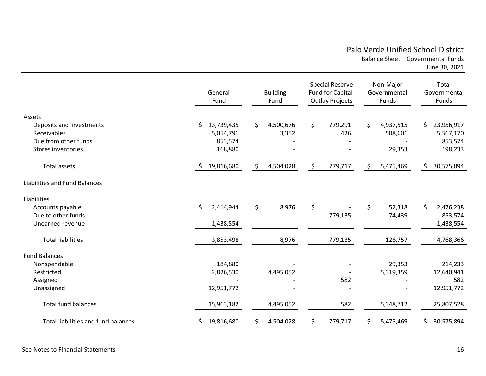Balance Sheet – Governmental Funds

June 30, 2021

|                                            | General<br>Fund  | <b>Building</b><br>Fund | <b>Special Reserve</b><br><b>Fund for Capital</b><br><b>Outlay Projects</b> | Non-Major<br>Governmental<br>Funds | Total<br>Governmental<br>Funds |
|--------------------------------------------|------------------|-------------------------|-----------------------------------------------------------------------------|------------------------------------|--------------------------------|
| Assets                                     |                  |                         |                                                                             |                                    |                                |
| Deposits and investments                   | \$<br>13,739,435 | \$<br>4,500,676         | \$<br>779,291                                                               | \$<br>4,937,515                    | 23,956,917<br>\$               |
| Receivables                                | 5,054,791        | 3,352                   | 426                                                                         | 508,601                            | 5,567,170                      |
| Due from other funds<br>Stores inventories | 853,574          |                         |                                                                             |                                    | 853,574                        |
|                                            | 168,880          |                         |                                                                             | 29,353                             | 198,233                        |
| <b>Total assets</b>                        | 19,816,680       | 4,504,028<br>\$         | 779,717<br>\$                                                               | \$<br>5,475,469                    | 30,575,894<br>S.               |
| Liabilities and Fund Balances              |                  |                         |                                                                             |                                    |                                |
| Liabilities                                |                  |                         |                                                                             |                                    |                                |
| Accounts payable                           | \$<br>2,414,944  | \$<br>8,976             | \$                                                                          | \$<br>52,318                       | \$<br>2,476,238                |
| Due to other funds                         |                  |                         | 779,135                                                                     | 74,439                             | 853,574                        |
| Unearned revenue                           | 1,438,554        |                         |                                                                             |                                    | 1,438,554                      |
| <b>Total liabilities</b>                   | 3,853,498        | 8,976                   | 779,135                                                                     | 126,757                            | 4,768,366                      |
| <b>Fund Balances</b>                       |                  |                         |                                                                             |                                    |                                |
| Nonspendable                               | 184,880          |                         |                                                                             | 29,353                             | 214,233                        |
| Restricted                                 | 2,826,530        | 4,495,052               |                                                                             | 5,319,359                          | 12,640,941                     |
| Assigned                                   |                  |                         | 582                                                                         |                                    | 582                            |
| Unassigned                                 | 12,951,772       |                         |                                                                             |                                    | 12,951,772                     |
| <b>Total fund balances</b>                 | 15,963,182       | 4,495,052               | 582                                                                         | 5,348,712                          | 25,807,528                     |
| Total liabilities and fund balances        | 19,816,680       | 4,504,028<br>S          | 779,717                                                                     | 5,475,469                          | 30,575,894                     |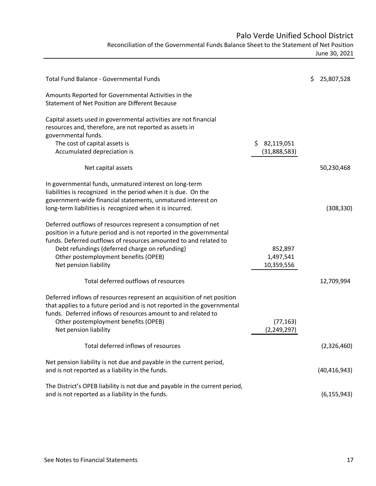Reconciliation of the Governmental Funds Balance Sheet to the Statement of Net Position

June 30, 2021

| <b>Total Fund Balance - Governmental Funds</b>                                                                                                                                                                                                                                      |                                    | S. | 25,807,528     |
|-------------------------------------------------------------------------------------------------------------------------------------------------------------------------------------------------------------------------------------------------------------------------------------|------------------------------------|----|----------------|
| Amounts Reported for Governmental Activities in the<br><b>Statement of Net Position are Different Because</b>                                                                                                                                                                       |                                    |    |                |
| Capital assets used in governmental activities are not financial<br>resources and, therefore, are not reported as assets in                                                                                                                                                         |                                    |    |                |
| governmental funds.<br>The cost of capital assets is<br>Accumulated depreciation is                                                                                                                                                                                                 | \$2,119,051<br>(31,888,583)        |    |                |
| Net capital assets                                                                                                                                                                                                                                                                  |                                    |    | 50,230,468     |
| In governmental funds, unmatured interest on long-term<br>liabilities is recognized in the period when it is due. On the                                                                                                                                                            |                                    |    |                |
| government-wide financial statements, unmatured interest on<br>long-term liabilities is recognized when it is incurred.                                                                                                                                                             |                                    |    | (308, 330)     |
| Deferred outflows of resources represent a consumption of net<br>position in a future period and is not reported in the governmental<br>funds. Deferred outflows of resources amounted to and related to                                                                            |                                    |    |                |
| Debt refundings (deferred charge on refunding)<br>Other postemployment benefits (OPEB)<br>Net pension liability                                                                                                                                                                     | 852,897<br>1,497,541<br>10,359,556 |    |                |
| Total deferred outflows of resources                                                                                                                                                                                                                                                |                                    |    | 12,709,994     |
| Deferred inflows of resources represent an acquisition of net position<br>that applies to a future period and is not reported in the governmental<br>funds. Deferred inflows of resources amount to and related to<br>Other postemployment benefits (OPEB)<br>Net pension liability | (77, 163)<br>(2, 249, 297)         |    |                |
| Total deferred inflows of resources                                                                                                                                                                                                                                                 |                                    |    | (2,326,460)    |
| Net pension liability is not due and payable in the current period,<br>and is not reported as a liability in the funds.                                                                                                                                                             |                                    |    | (40, 416, 943) |
| The District's OPEB liability is not due and payable in the current period,<br>and is not reported as a liability in the funds.                                                                                                                                                     |                                    |    | (6, 155, 943)  |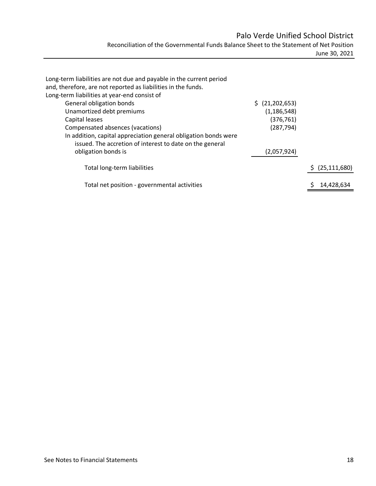Reconciliation of the Governmental Funds Balance Sheet to the Statement of Net Position June 30, 2021

| Long-term liabilities are not due and payable in the current period |                   |                   |
|---------------------------------------------------------------------|-------------------|-------------------|
| and, therefore, are not reported as liabilities in the funds.       |                   |                   |
| Long-term liabilities at year-end consist of                        |                   |                   |
| General obligation bonds                                            | \$ (21, 202, 653) |                   |
| Unamortized debt premiums                                           | (1, 186, 548)     |                   |
| Capital leases                                                      | (376, 761)        |                   |
| Compensated absences (vacations)                                    | (287, 794)        |                   |
| In addition, capital appreciation general obligation bonds were     |                   |                   |
| issued. The accretion of interest to date on the general            |                   |                   |
| obligation bonds is                                                 | (2,057,924)       |                   |
| Total long-term liabilities                                         |                   | \$ (25, 111, 680) |
| Total net position - governmental activities                        |                   | 14,428,634        |
|                                                                     |                   |                   |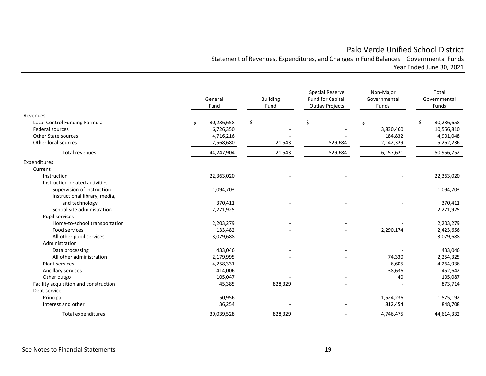Statement of Revenues, Expenditures, and Changes in Fund Balances – Governmental Funds Year Ended June 30, 2021

|                                       | General<br>Fund  | <b>Building</b><br>Fund | <b>Special Reserve</b><br>Fund for Capital<br><b>Outlay Projects</b> | Non-Major<br>Governmental<br>Funds | Total<br>Governmental<br>Funds |
|---------------------------------------|------------------|-------------------------|----------------------------------------------------------------------|------------------------------------|--------------------------------|
| Revenues                              |                  |                         |                                                                      |                                    |                                |
| Local Control Funding Formula         | \$<br>30,236,658 | \$                      | \$                                                                   | \$                                 | \$<br>30,236,658               |
| Federal sources                       | 6,726,350        |                         |                                                                      | 3,830,460                          | 10,556,810                     |
| Other State sources                   | 4,716,216        |                         |                                                                      | 184,832                            | 4,901,048                      |
| Other local sources                   | 2,568,680        | 21,543                  | 529,684                                                              | 2,142,329                          | 5,262,236                      |
| Total revenues                        | 44,247,904       | 21,543                  | 529,684                                                              | 6,157,621                          | 50,956,752                     |
| Expenditures                          |                  |                         |                                                                      |                                    |                                |
| Current                               |                  |                         |                                                                      |                                    |                                |
| Instruction                           | 22,363,020       |                         |                                                                      |                                    | 22,363,020                     |
| Instruction-related activities        |                  |                         |                                                                      |                                    |                                |
| Supervision of instruction            | 1,094,703        |                         |                                                                      |                                    | 1,094,703                      |
| Instructional library, media,         |                  |                         |                                                                      |                                    |                                |
| and technology                        | 370,411          |                         |                                                                      |                                    | 370,411                        |
| School site administration            | 2,271,925        |                         |                                                                      |                                    | 2,271,925                      |
| Pupil services                        |                  |                         |                                                                      |                                    |                                |
| Home-to-school transportation         | 2,203,279        |                         |                                                                      |                                    | 2,203,279                      |
| Food services                         | 133,482          |                         |                                                                      | 2,290,174                          | 2,423,656                      |
| All other pupil services              | 3,079,688        |                         |                                                                      |                                    | 3,079,688                      |
| Administration                        |                  |                         |                                                                      |                                    |                                |
| Data processing                       | 433,046          |                         |                                                                      |                                    | 433,046                        |
| All other administration              | 2,179,995        |                         |                                                                      | 74,330                             | 2,254,325                      |
| Plant services                        | 4,258,331        |                         |                                                                      | 6,605                              | 4,264,936                      |
| Ancillary services                    | 414,006          |                         |                                                                      | 38,636                             | 452,642                        |
| Other outgo                           | 105,047          |                         |                                                                      | 40                                 | 105,087                        |
| Facility acquisition and construction | 45,385           | 828,329                 |                                                                      |                                    | 873,714                        |
| Debt service                          |                  |                         |                                                                      |                                    |                                |
| Principal                             | 50,956           |                         |                                                                      | 1,524,236                          | 1,575,192                      |
| Interest and other                    | 36,254           |                         |                                                                      | 812,454                            | 848,708                        |
| Total expenditures                    | 39,039,528       | 828,329                 |                                                                      | 4,746,475                          | 44,614,332                     |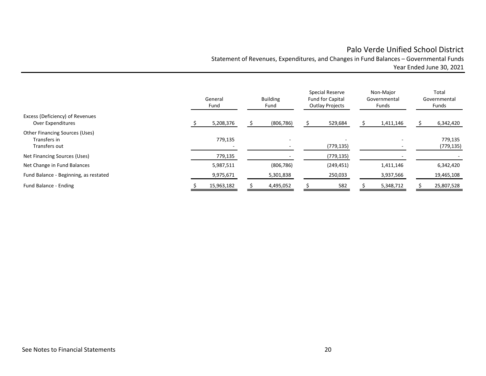Statement of Revenues, Expenditures, and Changes in Fund Balances – Governmental Funds Year Ended June 30, 2021

|                                                                 | General<br>Fund | <b>Building</b><br>Fund | Special Reserve<br><b>Fund for Capital</b><br><b>Outlay Projects</b> | Non-Major<br>Governmental<br>Funds | Total<br>Governmental<br>Funds |
|-----------------------------------------------------------------|-----------------|-------------------------|----------------------------------------------------------------------|------------------------------------|--------------------------------|
| Excess (Deficiency) of Revenues<br>Over Expenditures            | 5,208,376       | (806, 786)              | 529,684                                                              | 1,411,146                          | 6,342,420                      |
| Other Financing Sources (Uses)<br>Transfers in<br>Transfers out | 779,135         |                         | (779, 135)                                                           |                                    | 779,135<br>(779, 135)          |
| Net Financing Sources (Uses)                                    | 779,135         |                         | (779, 135)                                                           |                                    |                                |
| Net Change in Fund Balances                                     | 5,987,511       | (806, 786)              | (249, 451)                                                           | 1,411,146                          | 6,342,420                      |
| Fund Balance - Beginning, as restated                           | 9,975,671       | 5,301,838               | 250,033                                                              | 3,937,566                          | 19,465,108                     |
| Fund Balance - Ending                                           | 15,963,182      | 4,495,052               | 582                                                                  | 5,348,712                          | 25,807,528                     |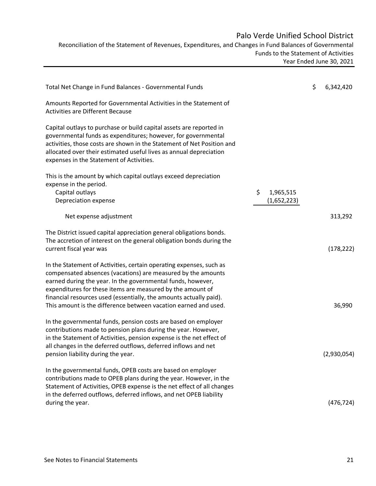Reconciliation of the Statement of Revenues, Expenditures, and Changes in Fund Balances of Governmental Funds to the Statement of Activities Year Ended June 30, 2021

| Total Net Change in Fund Balances - Governmental Funds                                                                                                                                                                                                                                                                                                                                                    |                                | \$ | 6,342,420   |
|-----------------------------------------------------------------------------------------------------------------------------------------------------------------------------------------------------------------------------------------------------------------------------------------------------------------------------------------------------------------------------------------------------------|--------------------------------|----|-------------|
| Amounts Reported for Governmental Activities in the Statement of<br>Activities are Different Because                                                                                                                                                                                                                                                                                                      |                                |    |             |
| Capital outlays to purchase or build capital assets are reported in<br>governmental funds as expenditures; however, for governmental<br>activities, those costs are shown in the Statement of Net Position and<br>allocated over their estimated useful lives as annual depreciation<br>expenses in the Statement of Activities.                                                                          |                                |    |             |
| This is the amount by which capital outlays exceed depreciation<br>expense in the period.<br>Capital outlays<br>Depreciation expense                                                                                                                                                                                                                                                                      | \$<br>1,965,515<br>(1,652,223) |    |             |
| Net expense adjustment                                                                                                                                                                                                                                                                                                                                                                                    |                                |    | 313,292     |
| The District issued capital appreciation general obligations bonds.<br>The accretion of interest on the general obligation bonds during the<br>current fiscal year was                                                                                                                                                                                                                                    |                                |    | (178, 222)  |
| In the Statement of Activities, certain operating expenses, such as<br>compensated absences (vacations) are measured by the amounts<br>earned during the year. In the governmental funds, however,<br>expenditures for these items are measured by the amount of<br>financial resources used (essentially, the amounts actually paid).<br>This amount is the difference between vacation earned and used. |                                |    | 36,990      |
| In the governmental funds, pension costs are based on employer<br>contributions made to pension plans during the year. However,<br>in the Statement of Activities, pension expense is the net effect of<br>all changes in the deferred outflows, deferred inflows and net<br>pension liability during the year.                                                                                           |                                |    | (2,930,054) |
| In the governmental funds, OPEB costs are based on employer<br>contributions made to OPEB plans during the year. However, in the<br>Statement of Activities, OPEB expense is the net effect of all changes<br>in the deferred outflows, deferred inflows, and net OPEB liability                                                                                                                          |                                |    |             |
| during the year.                                                                                                                                                                                                                                                                                                                                                                                          |                                |    | (476, 724)  |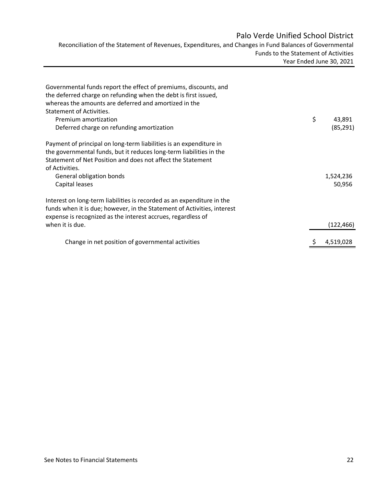Reconciliation of the Statement of Revenues, Expenditures, and Changes in Fund Balances of Governmental Funds to the Statement of Activities Year Ended June 30, 2021

| Governmental funds report the effect of premiums, discounts, and<br>the deferred charge on refunding when the debt is first issued,<br>whereas the amounts are deferred and amortized in the |              |
|----------------------------------------------------------------------------------------------------------------------------------------------------------------------------------------------|--------------|
| <b>Statement of Activities.</b>                                                                                                                                                              |              |
| Premium amortization                                                                                                                                                                         | \$<br>43,891 |
| Deferred charge on refunding amortization                                                                                                                                                    | (85, 291)    |
| Payment of principal on long-term liabilities is an expenditure in                                                                                                                           |              |
| the governmental funds, but it reduces long-term liabilities in the                                                                                                                          |              |
| Statement of Net Position and does not affect the Statement                                                                                                                                  |              |
| of Activities.                                                                                                                                                                               |              |
| General obligation bonds                                                                                                                                                                     | 1,524,236    |
| Capital leases                                                                                                                                                                               | 50,956       |
|                                                                                                                                                                                              |              |
| Interest on long-term liabilities is recorded as an expenditure in the                                                                                                                       |              |
| funds when it is due; however, in the Statement of Activities, interest                                                                                                                      |              |
| expense is recognized as the interest accrues, regardless of                                                                                                                                 |              |
| when it is due.                                                                                                                                                                              | (122,466)    |
|                                                                                                                                                                                              |              |
| Change in net position of governmental activities                                                                                                                                            | 4.519.028    |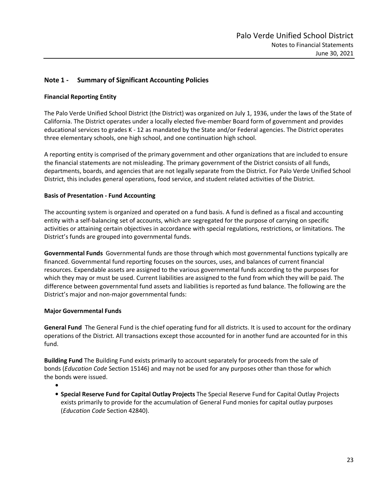# **Note 1 - Summary of Significant Accounting Policies**

### **Financial Reporting Entity**

The Palo Verde Unified School District (the District) was organized on July 1, 1936, under the laws of the State of California. The District operates under a locally elected five-member Board form of government and provides educational services to grades K - 12 as mandated by the State and/or Federal agencies. The District operates three elementary schools, one high school, and one continuation high school.

A reporting entity is comprised of the primary government and other organizations that are included to ensure the financial statements are not misleading. The primary government of the District consists of all funds, departments, boards, and agencies that are not legally separate from the District. For Palo Verde Unified School District, this includes general operations, food service, and student related activities of the District.

### **Basis of Presentation - Fund Accounting**

The accounting system is organized and operated on a fund basis. A fund is defined as a fiscal and accounting entity with a self-balancing set of accounts, which are segregated for the purpose of carrying on specific activities or attaining certain objectives in accordance with special regulations, restrictions, or limitations. The District's funds are grouped into governmental funds.

**Governmental Funds** Governmental funds are those through which most governmental functions typically are financed. Governmental fund reporting focuses on the sources, uses, and balances of current financial resources. Expendable assets are assigned to the various governmental funds according to the purposes for which they may or must be used. Current liabilities are assigned to the fund from which they will be paid. The difference between governmental fund assets and liabilities is reported as fund balance. The following are the District's major and non-major governmental funds:

#### **Major Governmental Funds**

**General Fund** The General Fund is the chief operating fund for all districts. It is used to account for the ordinary operations of the District. All transactions except those accounted for in another fund are accounted for in this fund.

**Building Fund** The Building Fund exists primarily to account separately for proceeds from the sale of bonds (*Education Code* Section 15146) and may not be used for any purposes other than those for which the bonds were issued.

•

• **Special Reserve Fund for Capital Outlay Projects** The Special Reserve Fund for Capital Outlay Projects exists primarily to provide for the accumulation of General Fund monies for capital outlay purposes (*Education Code* Section 42840).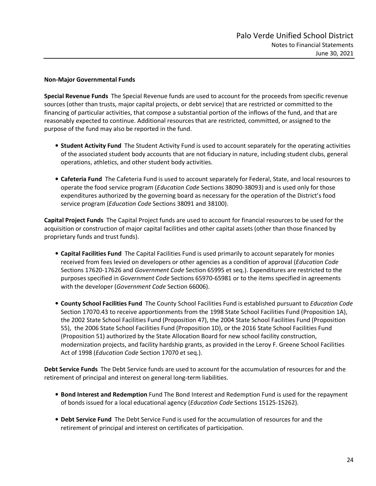# **Non-Major Governmental Funds**

**Special Revenue Funds** The Special Revenue funds are used to account for the proceeds from specific revenue sources (other than trusts, major capital projects, or debt service) that are restricted or committed to the financing of particular activities, that compose a substantial portion of the inflows of the fund, and that are reasonably expected to continue. Additional resources that are restricted, committed, or assigned to the purpose of the fund may also be reported in the fund.

- **Student Activity Fund** The Student Activity Fund is used to account separately for the operating activities of the associated student body accounts that are not fiduciary in nature, including student clubs, general operations, athletics, and other student body activities.
- **Cafeteria Fund** The Cafeteria Fund is used to account separately for Federal, State, and local resources to operate the food service program (*Education Code* Sections 38090-38093) and is used only for those expenditures authorized by the governing board as necessary for the operation of the District's food service program (*Education Code* Sections 38091 and 38100).

**Capital Project Funds** The Capital Project funds are used to account for financial resources to be used for the acquisition or construction of major capital facilities and other capital assets (other than those financed by proprietary funds and trust funds).

- **Capital Facilities Fund** The Capital Facilities Fund is used primarily to account separately for monies received from fees levied on developers or other agencies as a condition of approval (*Education Code*  Sections 17620-17626 and *Government Code* Section 65995 et seq.). Expenditures are restricted to the purposes specified in *Government Code* Sections 65970-65981 or to the items specified in agreements with the developer (*Government Code* Section 66006).
- **County School Facilities Fund** The County School Facilities Fund is established pursuant to *Education Code*  Section 17070.43 to receive apportionments from the 1998 State School Facilities Fund (Proposition 1A), the 2002 State School Facilities Fund (Proposition 47), the 2004 State School Facilities Fund (Proposition 55), the 2006 State School Facilities Fund (Proposition 1D), or the 2016 State School Facilities Fund (Proposition 51) authorized by the State Allocation Board for new school facility construction, modernization projects, and facility hardship grants, as provided in the Leroy F. Greene School Facilities Act of 1998 (*Education Code* Section 17070 et seq.).

**Debt Service Funds** The Debt Service funds are used to account for the accumulation of resources for and the retirement of principal and interest on general long-term liabilities.

- **Bond Interest and Redemption** Fund The Bond Interest and Redemption Fund is used for the repayment of bonds issued for a local educational agency (*Education Code* Sections 15125-15262).
- **Debt Service Fund** The Debt Service Fund is used for the accumulation of resources for and the retirement of principal and interest on certificates of participation.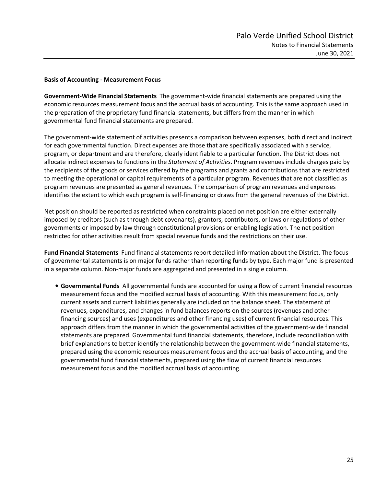### **Basis of Accounting - Measurement Focus**

**Government-Wide Financial Statements** The government-wide financial statements are prepared using the economic resources measurement focus and the accrual basis of accounting. This is the same approach used in the preparation of the proprietary fund financial statements, but differs from the manner in which governmental fund financial statements are prepared.

The government-wide statement of activities presents a comparison between expenses, both direct and indirect for each governmental function. Direct expenses are those that are specifically associated with a service, program, or department and are therefore, clearly identifiable to a particular function. The District does not allocate indirect expenses to functions in the *Statement of Activities*. Program revenues include charges paid by the recipients of the goods or services offered by the programs and grants and contributions that are restricted to meeting the operational or capital requirements of a particular program. Revenues that are not classified as program revenues are presented as general revenues. The comparison of program revenues and expenses identifies the extent to which each program is self-financing or draws from the general revenues of the District.

Net position should be reported as restricted when constraints placed on net position are either externally imposed by creditors (such as through debt covenants), grantors, contributors, or laws or regulations of other governments or imposed by law through constitutional provisions or enabling legislation. The net position restricted for other activities result from special revenue funds and the restrictions on their use.

**Fund Financial Statements** Fund financial statements report detailed information about the District. The focus of governmental statements is on major funds rather than reporting funds by type. Each major fund is presented in a separate column. Non-major funds are aggregated and presented in a single column.

• **Governmental Funds** All governmental funds are accounted for using a flow of current financial resources measurement focus and the modified accrual basis of accounting. With this measurement focus, only current assets and current liabilities generally are included on the balance sheet. The statement of revenues, expenditures, and changes in fund balances reports on the sources (revenues and other financing sources) and uses (expenditures and other financing uses) of current financial resources. This approach differs from the manner in which the governmental activities of the government-wide financial statements are prepared. Governmental fund financial statements, therefore, include reconciliation with brief explanations to better identify the relationship between the government-wide financial statements, prepared using the economic resources measurement focus and the accrual basis of accounting, and the governmental fund financial statements, prepared using the flow of current financial resources measurement focus and the modified accrual basis of accounting.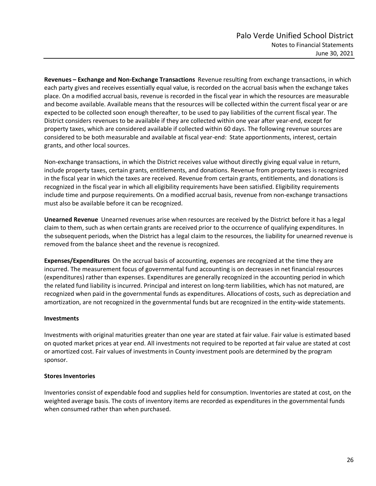**Revenues – Exchange and Non-Exchange Transactions** Revenue resulting from exchange transactions, in which each party gives and receives essentially equal value, is recorded on the accrual basis when the exchange takes place. On a modified accrual basis, revenue is recorded in the fiscal year in which the resources are measurable and become available. Available means that the resources will be collected within the current fiscal year or are expected to be collected soon enough thereafter, to be used to pay liabilities of the current fiscal year. The District considers revenues to be available if they are collected within one year after year-end, except for property taxes, which are considered available if collected within 60 days. The following revenue sources are considered to be both measurable and available at fiscal year-end: State apportionments, interest, certain grants, and other local sources.

Non-exchange transactions, in which the District receives value without directly giving equal value in return, include property taxes, certain grants, entitlements, and donations. Revenue from property taxes is recognized in the fiscal year in which the taxes are received. Revenue from certain grants, entitlements, and donations is recognized in the fiscal year in which all eligibility requirements have been satisfied. Eligibility requirements include time and purpose requirements. On a modified accrual basis, revenue from non-exchange transactions must also be available before it can be recognized.

**Unearned Revenue** Unearned revenues arise when resources are received by the District before it has a legal claim to them, such as when certain grants are received prior to the occurrence of qualifying expenditures. In the subsequent periods, when the District has a legal claim to the resources, the liability for unearned revenue is removed from the balance sheet and the revenue is recognized.

**Expenses/Expenditures** On the accrual basis of accounting, expenses are recognized at the time they are incurred. The measurement focus of governmental fund accounting is on decreases in net financial resources (expenditures) rather than expenses. Expenditures are generally recognized in the accounting period in which the related fund liability is incurred. Principal and interest on long-term liabilities, which has not matured, are recognized when paid in the governmental funds as expenditures. Allocations of costs, such as depreciation and amortization, are not recognized in the governmental funds but are recognized in the entity-wide statements.

# **Investments**

Investments with original maturities greater than one year are stated at fair value. Fair value is estimated based on quoted market prices at year end. All investments not required to be reported at fair value are stated at cost or amortized cost. Fair values of investments in County investment pools are determined by the program sponsor.

# **Stores Inventories**

Inventories consist of expendable food and supplies held for consumption. Inventories are stated at cost, on the weighted average basis. The costs of inventory items are recorded as expenditures in the governmental funds when consumed rather than when purchased.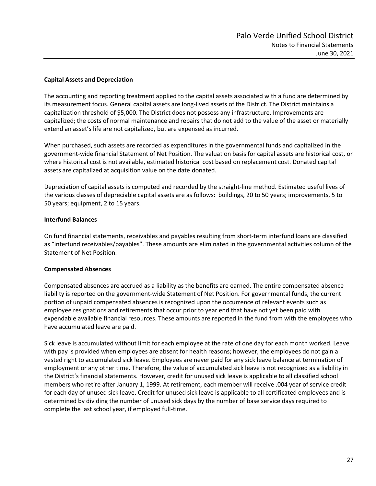# **Capital Assets and Depreciation**

The accounting and reporting treatment applied to the capital assets associated with a fund are determined by its measurement focus. General capital assets are long-lived assets of the District. The District maintains a capitalization threshold of \$5,000. The District does not possess any infrastructure. Improvements are capitalized; the costs of normal maintenance and repairs that do not add to the value of the asset or materially extend an asset's life are not capitalized, but are expensed as incurred.

When purchased, such assets are recorded as expenditures in the governmental funds and capitalized in the government-wide financial Statement of Net Position. The valuation basis for capital assets are historical cost, or where historical cost is not available, estimated historical cost based on replacement cost. Donated capital assets are capitalized at acquisition value on the date donated.

Depreciation of capital assets is computed and recorded by the straight-line method. Estimated useful lives of the various classes of depreciable capital assets are as follows: buildings, 20 to 50 years; improvements, 5 to 50 years; equipment, 2 to 15 years.

# **Interfund Balances**

On fund financial statements, receivables and payables resulting from short-term interfund loans are classified as "interfund receivables/payables". These amounts are eliminated in the governmental activities column of the Statement of Net Position.

# **Compensated Absences**

Compensated absences are accrued as a liability as the benefits are earned. The entire compensated absence liability is reported on the government-wide Statement of Net Position. For governmental funds, the current portion of unpaid compensated absences is recognized upon the occurrence of relevant events such as employee resignations and retirements that occur prior to year end that have not yet been paid with expendable available financial resources. These amounts are reported in the fund from with the employees who have accumulated leave are paid.

Sick leave is accumulated without limit for each employee at the rate of one day for each month worked. Leave with pay is provided when employees are absent for health reasons; however, the employees do not gain a vested right to accumulated sick leave. Employees are never paid for any sick leave balance at termination of employment or any other time. Therefore, the value of accumulated sick leave is not recognized as a liability in the District's financial statements. However, credit for unused sick leave is applicable to all classified school members who retire after January 1, 1999. At retirement, each member will receive .004 year of service credit for each day of unused sick leave. Credit for unused sick leave is applicable to all certificated employees and is determined by dividing the number of unused sick days by the number of base service days required to complete the last school year, if employed full-time.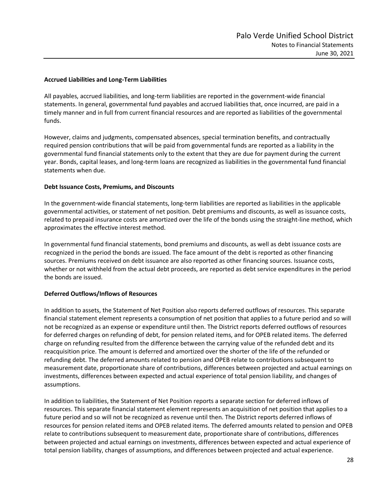# **Accrued Liabilities and Long-Term Liabilities**

All payables, accrued liabilities, and long-term liabilities are reported in the government-wide financial statements. In general, governmental fund payables and accrued liabilities that, once incurred, are paid in a timely manner and in full from current financial resources and are reported as liabilities of the governmental funds.

However, claims and judgments, compensated absences, special termination benefits, and contractually required pension contributions that will be paid from governmental funds are reported as a liability in the governmental fund financial statements only to the extent that they are due for payment during the current year. Bonds, capital leases, and long-term loans are recognized as liabilities in the governmental fund financial statements when due.

# **Debt Issuance Costs, Premiums, and Discounts**

In the government-wide financial statements, long-term liabilities are reported as liabilities in the applicable governmental activities, or statement of net position. Debt premiums and discounts, as well as issuance costs, related to prepaid insurance costs are amortized over the life of the bonds using the straight-line method, which approximates the effective interest method.

In governmental fund financial statements, bond premiums and discounts, as well as debt issuance costs are recognized in the period the bonds are issued. The face amount of the debt is reported as other financing sources. Premiums received on debt issuance are also reported as other financing sources. Issuance costs, whether or not withheld from the actual debt proceeds, are reported as debt service expenditures in the period the bonds are issued.

# **Deferred Outflows/Inflows of Resources**

In addition to assets, the Statement of Net Position also reports deferred outflows of resources. This separate financial statement element represents a consumption of net position that applies to a future period and so will not be recognized as an expense or expenditure until then. The District reports deferred outflows of resources for deferred charges on refunding of debt, for pension related items, and for OPEB related items. The deferred charge on refunding resulted from the difference between the carrying value of the refunded debt and its reacquisition price. The amount is deferred and amortized over the shorter of the life of the refunded or refunding debt. The deferred amounts related to pension and OPEB relate to contributions subsequent to measurement date, proportionate share of contributions, differences between projected and actual earnings on investments, differences between expected and actual experience of total pension liability, and changes of assumptions.

In addition to liabilities, the Statement of Net Position reports a separate section for deferred inflows of resources. This separate financial statement element represents an acquisition of net position that applies to a future period and so will not be recognized as revenue until then. The District reports deferred inflows of resources for pension related items and OPEB related items. The deferred amounts related to pension and OPEB relate to contributions subsequent to measurement date, proportionate share of contributions, differences between projected and actual earnings on investments, differences between expected and actual experience of total pension liability, changes of assumptions, and differences between projected and actual experience.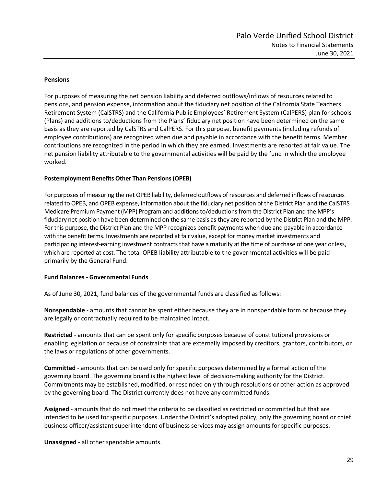# **Pensions**

For purposes of measuring the net pension liability and deferred outflows/inflows of resources related to pensions, and pension expense, information about the fiduciary net position of the California State Teachers Retirement System (CalSTRS) and the California Public Employees' Retirement System (CalPERS) plan for schools (Plans) and additions to/deductions from the Plans' fiduciary net position have been determined on the same basis as they are reported by CalSTRS and CalPERS. For this purpose, benefit payments (including refunds of employee contributions) are recognized when due and payable in accordance with the benefit terms. Member contributions are recognized in the period in which they are earned. Investments are reported at fair value. The net pension liability attributable to the governmental activities will be paid by the fund in which the employee worked.

# **Postemployment Benefits Other Than Pensions (OPEB)**

For purposes of measuring the net OPEB liability, deferred outflows of resources and deferred inflows of resources related to OPEB, and OPEB expense, information about the fiduciary net position of the District Plan and the CalSTRS Medicare Premium Payment (MPP) Program and additions to/deductions from the District Plan and the MPP's fiduciary net position have been determined on the same basis as they are reported by the District Plan and the MPP. For this purpose, the District Plan and the MPP recognizes benefit payments when due and payable in accordance with the benefit terms. Investments are reported at fair value, except for money market investments and participating interest-earning investment contracts that have a maturity at the time of purchase of one year or less, which are reported at cost. The total OPEB liability attributable to the governmental activities will be paid primarily by the General Fund.

# **Fund Balances - Governmental Funds**

As of June 30, 2021, fund balances of the governmental funds are classified as follows:

**Nonspendable** - amounts that cannot be spent either because they are in nonspendable form or because they are legally or contractually required to be maintained intact.

**Restricted** - amounts that can be spent only for specific purposes because of constitutional provisions or enabling legislation or because of constraints that are externally imposed by creditors, grantors, contributors, or the laws or regulations of other governments.

**Committed** - amounts that can be used only for specific purposes determined by a formal action of the governing board. The governing board is the highest level of decision-making authority for the District. Commitments may be established, modified, or rescinded only through resolutions or other action as approved by the governing board. The District currently does not have any committed funds.

**Assigned** - amounts that do not meet the criteria to be classified as restricted or committed but that are intended to be used for specific purposes. Under the District's adopted policy, only the governing board or chief business officer/assistant superintendent of business services may assign amounts for specific purposes.

**Unassigned** - all other spendable amounts.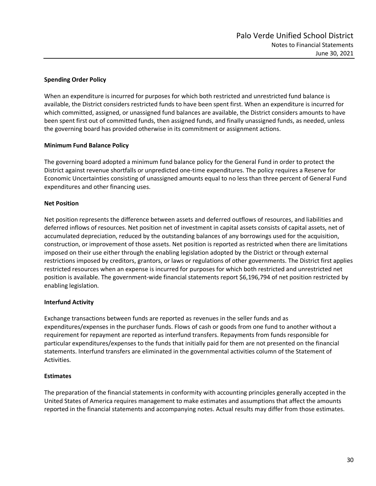# **Spending Order Policy**

When an expenditure is incurred for purposes for which both restricted and unrestricted fund balance is available, the District considers restricted funds to have been spent first. When an expenditure is incurred for which committed, assigned, or unassigned fund balances are available, the District considers amounts to have been spent first out of committed funds, then assigned funds, and finally unassigned funds, as needed, unless the governing board has provided otherwise in its commitment or assignment actions.

# **Minimum Fund Balance Policy**

The governing board adopted a minimum fund balance policy for the General Fund in order to protect the District against revenue shortfalls or unpredicted one-time expenditures. The policy requires a Reserve for Economic Uncertainties consisting of unassigned amounts equal to no less than three percent of General Fund expenditures and other financing uses.

# **Net Position**

Net position represents the difference between assets and deferred outflows of resources, and liabilities and deferred inflows of resources. Net position net of investment in capital assets consists of capital assets, net of accumulated depreciation, reduced by the outstanding balances of any borrowings used for the acquisition, construction, or improvement of those assets. Net position is reported as restricted when there are limitations imposed on their use either through the enabling legislation adopted by the District or through external restrictions imposed by creditors, grantors, or laws or regulations of other governments. The District first applies restricted resources when an expense is incurred for purposes for which both restricted and unrestricted net position is available. The government-wide financial statements report \$6,196,794 of net position restricted by enabling legislation.

# **Interfund Activity**

Exchange transactions between funds are reported as revenues in the seller funds and as expenditures/expenses in the purchaser funds. Flows of cash or goods from one fund to another without a requirement for repayment are reported as interfund transfers. Repayments from funds responsible for particular expenditures/expenses to the funds that initially paid for them are not presented on the financial statements. Interfund transfers are eliminated in the governmental activities column of the Statement of Activities.

# **Estimates**

The preparation of the financial statements in conformity with accounting principles generally accepted in the United States of America requires management to make estimates and assumptions that affect the amounts reported in the financial statements and accompanying notes. Actual results may differ from those estimates.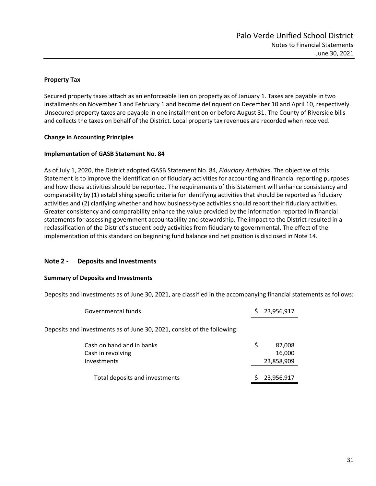# **Property Tax**

Secured property taxes attach as an enforceable lien on property as of January 1. Taxes are payable in two installments on November 1 and February 1 and become delinquent on December 10 and April 10, respectively. Unsecured property taxes are payable in one installment on or before August 31. The County of Riverside bills and collects the taxes on behalf of the District. Local property tax revenues are recorded when received.

# **Change in Accounting Principles**

# **Implementation of GASB Statement No. 84**

As of July 1, 2020, the District adopted GASB Statement No. 84, *Fiduciary Activities*. The objective of this Statement is to improve the identification of fiduciary activities for accounting and financial reporting purposes and how those activities should be reported. The requirements of this Statement will enhance consistency and comparability by (1) establishing specific criteria for identifying activities that should be reported as fiduciary activities and (2) clarifying whether and how business-type activities should report their fiduciary activities. Greater consistency and comparability enhance the value provided by the information reported in financial statements for assessing government accountability and stewardship. The impact to the District resulted in a reclassification of the District's student body activities from fiduciary to governmental. The effect of the implementation of this standard on beginning fund balance and net position is disclosed in Note 14.

# **Note 2 - Deposits and Investments**

#### **Summary of Deposits and Investments**

Deposits and investments as of June 30, 2021, are classified in the accompanying financial statements as follows:

| Governmental funds                                                      |   | 23,956,917                     |
|-------------------------------------------------------------------------|---|--------------------------------|
| Deposits and investments as of June 30, 2021, consist of the following: |   |                                |
| Cash on hand and in banks<br>Cash in revolving<br>Investments           | Ś | 82,008<br>16,000<br>23,858,909 |
| Total deposits and investments                                          |   | 23,956,917                     |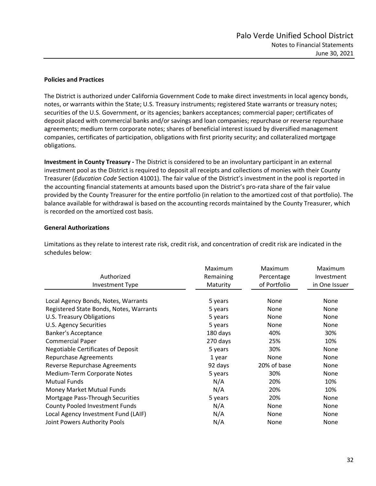# **Policies and Practices**

The District is authorized under California Government Code to make direct investments in local agency bonds, notes, or warrants within the State; U.S. Treasury instruments; registered State warrants or treasury notes; securities of the U.S. Government, or its agencies; bankers acceptances; commercial paper; certificates of deposit placed with commercial banks and/or savings and loan companies; repurchase or reverse repurchase agreements; medium term corporate notes; shares of beneficial interest issued by diversified management companies, certificates of participation, obligations with first priority security; and collateralized mortgage obligations.

**Investment in County Treasury -** The District is considered to be an involuntary participant in an external investment pool as the District is required to deposit all receipts and collections of monies with their County Treasurer (*Education Code* Section 41001). The fair value of the District's investment in the pool is reported in the accounting financial statements at amounts based upon the District's pro-rata share of the fair value provided by the County Treasurer for the entire portfolio (in relation to the amortized cost of that portfolio). The balance available for withdrawal is based on the accounting records maintained by the County Treasurer, which is recorded on the amortized cost basis.

# **General Authorizations**

Limitations as they relate to interest rate risk, credit risk, and concentration of credit risk are indicated in the schedules below:

|                                           | Maximum   | Maximum      | Maximum       |
|-------------------------------------------|-----------|--------------|---------------|
| Authorized                                | Remaining | Percentage   | Investment    |
| <b>Investment Type</b>                    | Maturity  | of Portfolio | in One Issuer |
|                                           |           |              |               |
| Local Agency Bonds, Notes, Warrants       | 5 years   | None         | None          |
| Registered State Bonds, Notes, Warrants   | 5 years   | None         | None          |
| U.S. Treasury Obligations                 | 5 years   | None         | None          |
| U.S. Agency Securities                    | 5 years   | None         | None          |
| Banker's Acceptance                       | 180 days  | 40%          | 30%           |
| <b>Commercial Paper</b>                   | 270 days  | 25%          | 10%           |
| <b>Negotiable Certificates of Deposit</b> | 5 years   | 30%          | None          |
| <b>Repurchase Agreements</b>              | 1 year    | None         | None          |
| Reverse Repurchase Agreements             | 92 days   | 20% of base  | None          |
| Medium-Term Corporate Notes               | 5 years   | 30%          | None          |
| <b>Mutual Funds</b>                       | N/A       | 20%          | 10%           |
| Money Market Mutual Funds                 | N/A       | 20%          | 10%           |
| Mortgage Pass-Through Securities          | 5 years   | 20%          | None          |
| <b>County Pooled Investment Funds</b>     | N/A       | None         | None          |
| Local Agency Investment Fund (LAIF)       | N/A       | None         | None          |
| Joint Powers Authority Pools              | N/A       | None         | None          |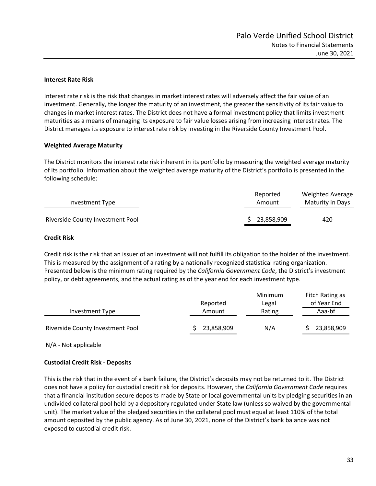### **Interest Rate Risk**

Interest rate risk is the risk that changes in market interest rates will adversely affect the fair value of an investment. Generally, the longer the maturity of an investment, the greater the sensitivity of its fair value to changes in market interest rates. The District does not have a formal investment policy that limits investment maturities as a means of managing its exposure to fair value losses arising from increasing interest rates. The District manages its exposure to interest rate risk by investing in the Riverside County Investment Pool.

### **Weighted Average Maturity**

The District monitors the interest rate risk inherent in its portfolio by measuring the weighted average maturity of its portfolio. Information about the weighted average maturity of the District's portfolio is presented in the following schedule:

|                                  | Reported     | Weighted Average |
|----------------------------------|--------------|------------------|
| Investment Type                  | Amount       | Maturity in Days |
|                                  |              |                  |
| Riverside County Investment Pool | \$23,858,909 | 420              |

# **Credit Risk**

Credit risk is the risk that an issuer of an investment will not fulfill its obligation to the holder of the investment. This is measured by the assignment of a rating by a nationally recognized statistical rating organization. Presented below is the minimum rating required by the *California Government Code*, the District's investment policy, or debt agreements, and the actual rating as of the year end for each investment type.

|                                  | Reported   | Minimum<br>Legal | Fitch Rating as<br>of Year End |
|----------------------------------|------------|------------------|--------------------------------|
| <b>Investment Type</b>           | Amount     | Rating           | Aaa-bf                         |
| Riverside County Investment Pool | 23,858,909 | N/A              | 23,858,909                     |

N/A - Not applicable

# **Custodial Credit Risk - Deposits**

This is the risk that in the event of a bank failure, the District's deposits may not be returned to it. The District does not have a policy for custodial credit risk for deposits. However, the *California Government Code* requires that a financial institution secure deposits made by State or local governmental units by pledging securities in an undivided collateral pool held by a depository regulated under State law (unless so waived by the governmental unit). The market value of the pledged securities in the collateral pool must equal at least 110% of the total amount deposited by the public agency. As of June 30, 2021, none of the District's bank balance was not exposed to custodial credit risk.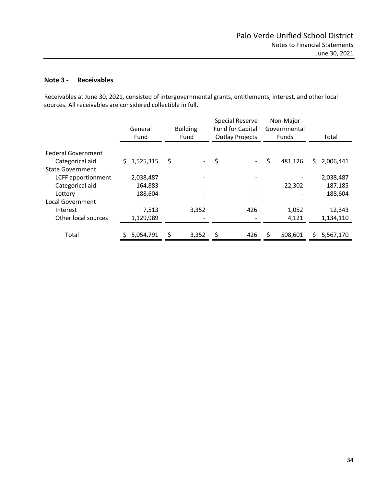## **Note 3 - Receivables**

Receivables at June 30, 2021, consisted of intergovernmental grants, entitlements, interest, and other local sources. All receivables are considered collectible in full.

|                           | General<br>Fund | <b>Building</b><br>Fund |    | <b>Special Reserve</b><br>Fund for Capital<br><b>Outlay Projects</b> | Non-Major<br>Governmental<br><b>Funds</b> |    | Total     |
|---------------------------|-----------------|-------------------------|----|----------------------------------------------------------------------|-------------------------------------------|----|-----------|
| <b>Federal Government</b> |                 |                         |    |                                                                      |                                           |    |           |
| Categorical aid           | 1,525,315<br>S. | \$                      | \$ |                                                                      | \$<br>481,126                             | S. | 2,006,441 |
| <b>State Government</b>   |                 |                         |    |                                                                      |                                           |    |           |
| LCFF apportionment        | 2,038,487       |                         |    |                                                                      |                                           |    | 2,038,487 |
| Categorical aid           | 164,883         |                         |    |                                                                      | 22,302                                    |    | 187,185   |
| Lottery                   | 188,604         |                         |    |                                                                      |                                           |    | 188,604   |
| Local Government          |                 |                         |    |                                                                      |                                           |    |           |
| Interest                  | 7,513           | 3,352                   |    | 426                                                                  | 1,052                                     |    | 12,343    |
| Other local sources       | 1,129,989       |                         |    |                                                                      | 4,121                                     |    | 1,134,110 |
|                           |                 |                         |    |                                                                      |                                           |    |           |
| Total                     | 5,054,791       | \$<br>3,352             | Ś  | 426                                                                  | \$<br>508,601                             | S. | 5,567,170 |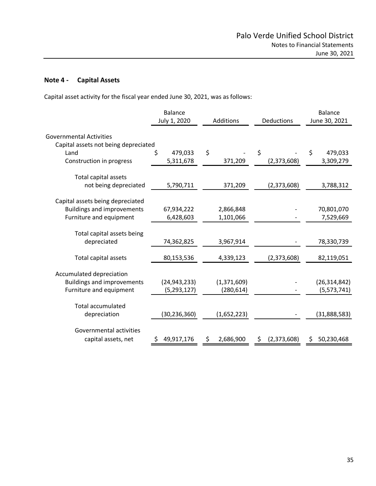# **Note 4 - Capital Assets**

Capital asset activity for the fiscal year ended June 30, 2021, was as follows:

|                                      | <b>Balance</b><br>July 1, 2020 | Additions      | Deductions        | <b>Balance</b><br>June 30, 2021 |
|--------------------------------------|--------------------------------|----------------|-------------------|---------------------------------|
|                                      |                                |                |                   |                                 |
| <b>Governmental Activities</b>       |                                |                |                   |                                 |
| Capital assets not being depreciated |                                |                |                   |                                 |
| Land                                 | \$<br>479,033                  | \$             | \$                | \$<br>479,033                   |
| Construction in progress             | 5,311,678                      | 371,209        | (2,373,608)       | 3,309,279                       |
| Total capital assets                 |                                |                |                   |                                 |
| not being depreciated                | 5,790,711                      | 371,209        | (2,373,608)       | 3,788,312                       |
| Capital assets being depreciated     |                                |                |                   |                                 |
| <b>Buildings and improvements</b>    | 67,934,222                     | 2,866,848      |                   | 70,801,070                      |
| Furniture and equipment              | 6,428,603                      | 1,101,066      |                   | 7,529,669                       |
| Total capital assets being           |                                |                |                   |                                 |
| depreciated                          | 74,362,825                     | 3,967,914      |                   | 78,330,739                      |
| Total capital assets                 | 80,153,536                     | 4,339,123      | (2,373,608)       | 82,119,051                      |
| Accumulated depreciation             |                                |                |                   |                                 |
| <b>Buildings and improvements</b>    | (24, 943, 233)                 | (1,371,609)    |                   | (26, 314, 842)                  |
| Furniture and equipment              | (5,293,127)                    | (280, 614)     |                   | (5, 573, 741)                   |
| <b>Total accumulated</b>             |                                |                |                   |                                 |
| depreciation                         | (30, 236, 360)                 | (1,652,223)    |                   | (31,888,583)                    |
| Governmental activities              |                                |                |                   |                                 |
| capital assets, net                  | 49,917,176                     | 2,686,900<br>Ś | (2,373,608)<br>\$ | 50,230,468<br>\$                |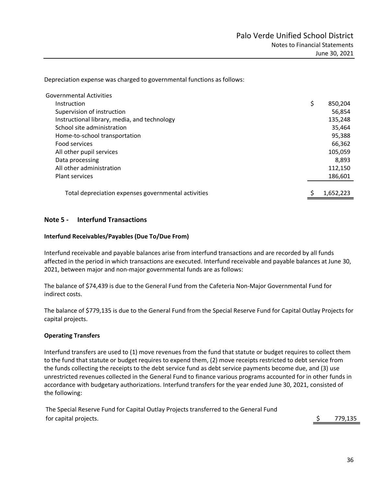Depreciation expense was charged to governmental functions as follows:

| <b>Governmental Activities</b>                      |    |           |
|-----------------------------------------------------|----|-----------|
| Instruction                                         | \$ | 850,204   |
| Supervision of instruction                          |    | 56,854    |
| Instructional library, media, and technology        |    | 135,248   |
| School site administration                          |    | 35,464    |
| Home-to-school transportation                       |    | 95,388    |
| Food services                                       |    | 66.362    |
| All other pupil services                            |    | 105,059   |
| Data processing                                     |    | 8,893     |
| All other administration                            |    | 112,150   |
| <b>Plant services</b>                               |    | 186,601   |
|                                                     |    |           |
| Total depreciation expenses governmental activities | Ś  | 1,652,223 |

#### **Note 5 - Interfund Transactions**

#### **Interfund Receivables/Payables (Due To/Due From)**

Interfund receivable and payable balances arise from interfund transactions and are recorded by all funds affected in the period in which transactions are executed. Interfund receivable and payable balances at June 30, 2021, between major and non-major governmental funds are as follows:

The balance of \$74,439 is due to the General Fund from the Cafeteria Non-Major Governmental Fund for indirect costs.

The balance of \$779,135 is due to the General Fund from the Special Reserve Fund for Capital Outlay Projects for capital projects.

#### **Operating Transfers**

Interfund transfers are used to (1) move revenues from the fund that statute or budget requires to collect them to the fund that statute or budget requires to expend them, (2) move receipts restricted to debt service from the funds collecting the receipts to the debt service fund as debt service payments become due, and (3) use unrestricted revenues collected in the General Fund to finance various programs accounted for in other funds in accordance with budgetary authorizations. Interfund transfers for the year ended June 30, 2021, consisted of the following:

for capital projects.  $\zeta$  779,135 The Special Reserve Fund for Capital Outlay Projects transferred to the General Fund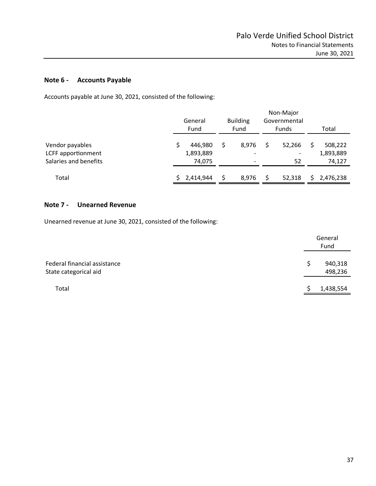## **Note 6 - Accounts Payable**

Accounts payable at June 30, 2021, consisted of the following:

|                                                                | General<br>Fund                |   | <b>Building</b><br>Fund                                       |              | Non-Major<br>Governmental<br><b>Funds</b> | Total                          |
|----------------------------------------------------------------|--------------------------------|---|---------------------------------------------------------------|--------------|-------------------------------------------|--------------------------------|
| Vendor payables<br>LCFF apportionment<br>Salaries and benefits | 446,980<br>1,893,889<br>74,075 | S | 8.976<br>$\overline{\phantom{a}}$<br>$\overline{\phantom{a}}$ |              | 52,266<br>-<br>52                         | 508,222<br>1,893,889<br>74,127 |
| Total                                                          | 2,414,944                      |   | 8,976                                                         | <sub>S</sub> | 52,318                                    | 2,476,238                      |

## **Note 7 - Unearned Revenue**

Unearned revenue at June 30, 2021, consisted of the following:

|                                                       |   | General<br>Fund    |
|-------------------------------------------------------|---|--------------------|
| Federal financial assistance<br>State categorical aid | S | 940,318<br>498,236 |
| Total                                                 |   | 1,438,554          |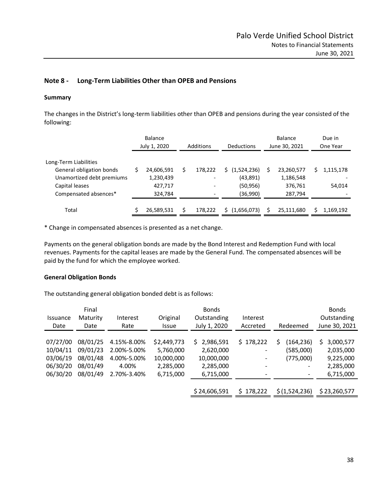## **Note 8 - Long-Term Liabilities Other than OPEB and Pensions**

#### **Summary**

The changes in the District's long-term liabilities other than OPEB and pensions during the year consisted of the following:

|                           |   | Balance<br>July 1, 2020 |     | Additions | <b>Deductions</b> | Balance<br>June 30, 2021 | Due in<br>One Year |
|---------------------------|---|-------------------------|-----|-----------|-------------------|--------------------------|--------------------|
| Long-Term Liabilities     |   |                         |     |           |                   |                          |                    |
| General obligation bonds  | s | 24,606,591              | \$. | 178,222   | (1,524,236)<br>S  | 23,260,577               | 1,115,178          |
| Unamortized debt premiums |   | 1,230,439               |     | -         | (43, 891)         | 1,186,548                |                    |
| Capital leases            |   | 427,717                 |     | -         | (50, 956)         | 376,761                  | 54,014             |
| Compensated absences*     |   | 324,784                 |     |           | (36,990)          | 287,794                  |                    |
|                           |   |                         |     |           |                   |                          |                    |
| Total                     |   | 26,589,531              | Ś   | 178.222   | (1,656,073)       | 25,111,680               | 1,169,192          |

\* Change in compensated absences is presented as a net change.

Payments on the general obligation bonds are made by the Bond Interest and Redemption Fund with local revenues. Payments for the capital leases are made by the General Fund. The compensated absences will be paid by the fund for which the employee worked.

#### **General Obligation Bonds**

The outstanding general obligation bonded debt is as follows:

| <b>Issuance</b><br>Date | Final<br>Maturity<br>Date | Interest<br>Rate | Original<br><b>Issue</b> | <b>Bonds</b><br>Outstanding<br>July 1, 2020 | Interest<br>Accreted | Redeemed        | <b>Bonds</b><br>Outstanding<br>June 30, 2021 |
|-------------------------|---------------------------|------------------|--------------------------|---------------------------------------------|----------------------|-----------------|----------------------------------------------|
|                         |                           |                  |                          |                                             |                      |                 |                                              |
| 07/27/00                | 08/01/25                  | 4.15%-8.00%      | \$2,449,773              | \$2,986,591                                 | \$178,222            | (164, 236)<br>Ś | Ś.<br>3,000,577                              |
| 10/04/11                | 09/01/23                  | 2.00%-5.00%      | 5,760,000                | 2,620,000                                   |                      | (585,000)       | 2,035,000                                    |
| 03/06/19                | 08/01/48                  | 4.00%-5.00%      | 10,000,000               | 10,000,000                                  |                      | (775,000)       | 9,225,000                                    |
| 06/30/20                | 08/01/49                  | 4.00%            | 2,285,000                | 2,285,000                                   |                      |                 | 2,285,000                                    |
| 06/30/20                | 08/01/49                  | 2.70%-3.40%      | 6,715,000                | 6,715,000                                   |                      |                 | 6,715,000                                    |
|                         |                           |                  |                          |                                             |                      |                 |                                              |
|                         |                           |                  |                          | \$24,606,591                                | \$178,222            | \$(1,524,236)   | \$23,260,577                                 |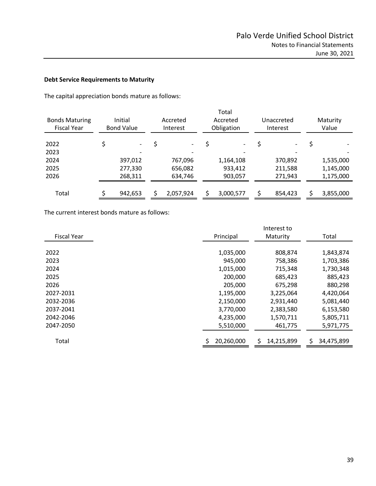## **Debt Service Requirements to Maturity**

The capital appreciation bonds mature as follows:

| <b>Bonds Maturing</b><br><b>Fiscal Year</b> | Initial<br><b>Bond Value</b> | Accreted<br>Interest | Total<br>Accreted<br>Obligation |    | Unaccreted<br>Interest | Maturity<br>Value |
|---------------------------------------------|------------------------------|----------------------|---------------------------------|----|------------------------|-------------------|
| 2022                                        |                              |                      | $\overline{\phantom{a}}$        | \$ |                        |                   |
| 2023                                        |                              |                      |                                 |    |                        |                   |
| 2024                                        | 397,012                      | 767,096              | 1,164,108                       |    | 370,892                | 1,535,000         |
| 2025                                        | 277,330                      | 656,082              | 933,412                         |    | 211,588                | 1,145,000         |
| 2026                                        | 268,311                      | 634,746              | 903,057                         |    | 271,943                | 1,175,000         |
| Total                                       | 942,653                      | 2,057,924            | 3,000,577                       | Ś. | 854,423                | 3,855,000         |

The current interest bonds mature as follows:

|             |            | Interest to     |                 |
|-------------|------------|-----------------|-----------------|
| Fiscal Year | Principal  | Maturity        | Total           |
|             |            |                 |                 |
| 2022        | 1,035,000  | 808,874         | 1,843,874       |
| 2023        | 945,000    | 758,386         | 1,703,386       |
| 2024        | 1,015,000  | 715,348         | 1,730,348       |
| 2025        | 200,000    | 685,423         | 885,423         |
| 2026        | 205,000    | 675,298         | 880,298         |
| 2027-2031   | 1,195,000  | 3,225,064       | 4,420,064       |
| 2032-2036   | 2,150,000  | 2,931,440       | 5,081,440       |
| 2037-2041   | 3,770,000  | 2,383,580       | 6,153,580       |
| 2042-2046   | 4,235,000  | 1,570,711       | 5,805,711       |
| 2047-2050   | 5,510,000  | 461,775         | 5,971,775       |
|             |            |                 |                 |
| Total       | 20,260,000 | 14,215,899<br>S | ς<br>34,475,899 |
|             |            |                 |                 |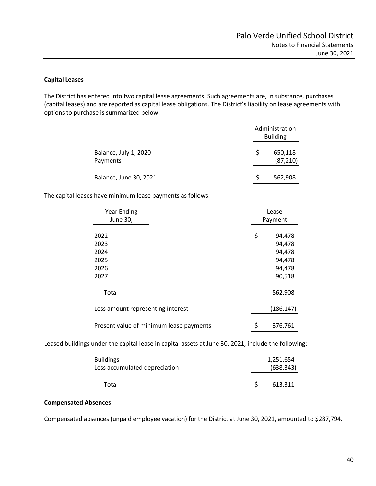#### **Capital Leases**

The District has entered into two capital lease agreements. Such agreements are, in substance, purchases (capital leases) and are reported as capital lease obligations. The District's liability on lease agreements with options to purchase is summarized below:

|                                   |   | Administration<br><b>Building</b> |
|-----------------------------------|---|-----------------------------------|
| Balance, July 1, 2020<br>Payments | Ś | 650,118<br>(87, 210)              |
| Balance, June 30, 2021            |   | 562,908                           |

The capital leases have minimum lease payments as follows:

| <b>Year Ending</b><br>June 30,          | Lease<br>Payment                           |  |  |  |
|-----------------------------------------|--------------------------------------------|--|--|--|
| 2022<br>2023<br>2024<br>2025            | \$<br>94,478<br>94,478<br>94,478<br>94,478 |  |  |  |
| 2026<br>2027                            | 94,478<br>90,518                           |  |  |  |
| Total                                   | 562,908                                    |  |  |  |
| Less amount representing interest       | (186, 147)                                 |  |  |  |
| Present value of minimum lease payments | \$<br>376,761                              |  |  |  |

Leased buildings under the capital lease in capital assets at June 30, 2021, include the following:

| Buildings<br>Less accumulated depreciation | 1,251,654<br>(638, 343) |
|--------------------------------------------|-------------------------|
| Total                                      | 613.311                 |

#### **Compensated Absences**

Compensated absences (unpaid employee vacation) for the District at June 30, 2021, amounted to \$287,794.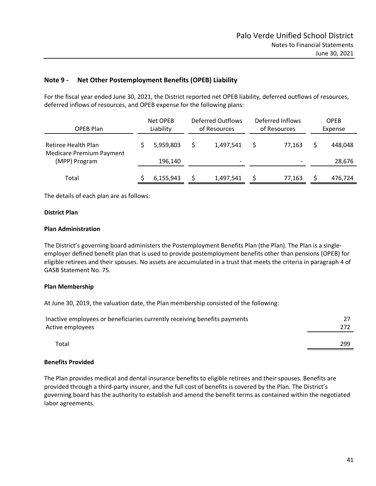## **Note 9 - Net Other Postemployment Benefits (OPEB) Liability**

For the fiscal year ended June 30, 2021, the District reported net OPEB liability, deferred outflows of resources, deferred inflows of resources, and OPEB expense for the following plans:

| OPEB Plan                                              | Net OPEB<br>Liability |           | Deferred Outflows<br>of Resources |                          |   | Deferred Inflows<br>of Resources | <b>OPEB</b><br>Expense |         |  |
|--------------------------------------------------------|-----------------------|-----------|-----------------------------------|--------------------------|---|----------------------------------|------------------------|---------|--|
| Retiree Health Plan<br><b>Medicare Premium Payment</b> |                       | 5,959,803 |                                   | 1,497,541                | S | 77.163                           |                        | 448,048 |  |
| (MPP) Program                                          |                       | 196,140   |                                   | $\overline{\phantom{0}}$ |   | $\overline{\phantom{0}}$         |                        | 28,676  |  |
| Total                                                  |                       | 6,155,943 |                                   | 1,497,541                | Ś | 77,163                           |                        | 476,724 |  |

The details of each plan are as follows:

#### **District Plan**

#### **Plan Administration**

The District's governing board administers the Postemployment Benefits Plan (the Plan). The Plan is a singleemployer defined benefit plan that is used to provide postemployment benefits other than pensions (OPEB) for eligible retirees and their spouses. No assets are accumulated in a trust that meets the criteria in paragraph 4 of GASB Statement No. 75.

#### **Plan Membership**

At June 30, 2019, the valuation date, the Plan membership consisted of the following:

| Inactive employees or beneficiaries currently receiving benefits payments<br>Active employees | 272 |
|-----------------------------------------------------------------------------------------------|-----|
| Total                                                                                         | 299 |

#### **Benefits Provided**

The Plan provides medical and dental insurance benefits to eligible retirees and their spouses. Benefits are provided through a third-party insurer, and the full cost of benefits is covered by the Plan. The District's governing board has the authority to establish and amend the benefit terms as contained within the negotiated labor agreements.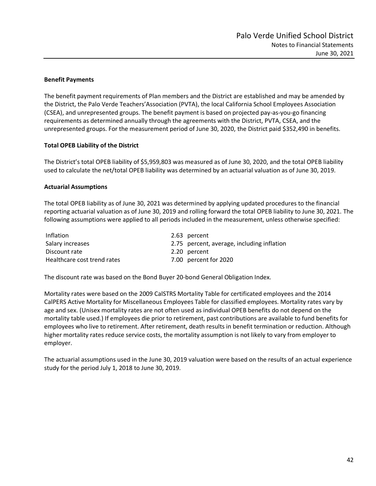#### **Benefit Payments**

The benefit payment requirements of Plan members and the District are established and may be amended by the District, the Palo Verde Teachers'Association (PVTA), the local California School Employees Association (CSEA), and unrepresented groups. The benefit payment is based on projected pay-as-you-go financing requirements as determined annually through the agreements with the District, PVTA, CSEA, and the unrepresented groups. For the measurement period of June 30, 2020, the District paid \$352,490 in benefits.

## **Total OPEB Liability of the District**

The District's total OPEB liability of \$5,959,803 was measured as of June 30, 2020, and the total OPEB liability used to calculate the net/total OPEB liability was determined by an actuarial valuation as of June 30, 2019.

#### **Actuarial Assumptions**

The total OPEB liability as of June 30, 2021 was determined by applying updated procedures to the financial reporting actuarial valuation as of June 30, 2019 and rolling forward the total OPEB liability to June 30, 2021. The following assumptions were applied to all periods included in the measurement, unless otherwise specified:

| Inflation                   | 2.63 percent                               |
|-----------------------------|--------------------------------------------|
| Salary increases            | 2.75 percent, average, including inflation |
| Discount rate               | 2.20 percent                               |
| Healthcare cost trend rates | 7.00 percent for 2020                      |

The discount rate was based on the Bond Buyer 20-bond General Obligation Index.

Mortality rates were based on the 2009 CalSTRS Mortality Table for certificated employees and the 2014 CalPERS Active Mortality for Miscellaneous Employees Table for classified employees. Mortality rates vary by age and sex. (Unisex mortality rates are not often used as individual OPEB benefits do not depend on the mortality table used.) If employees die prior to retirement, past contributions are available to fund benefits for employees who live to retirement. After retirement, death results in benefit termination or reduction. Although higher mortality rates reduce service costs, the mortality assumption is not likely to vary from employer to employer.

The actuarial assumptions used in the June 30, 2019 valuation were based on the results of an actual experience study for the period July 1, 2018 to June 30, 2019.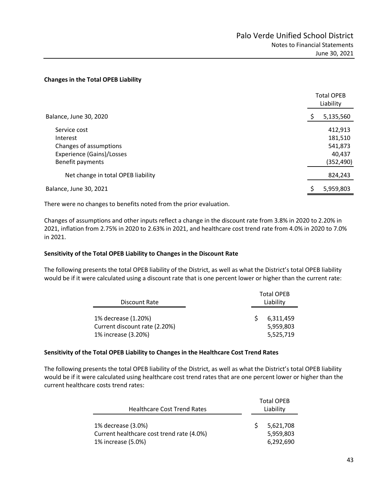#### **Changes in the Total OPEB Liability**

|                                    | <b>Total OPEB</b><br>Liability |  |  |  |
|------------------------------------|--------------------------------|--|--|--|
| Balance, June 30, 2020             | 5,135,560                      |  |  |  |
| Service cost                       | 412,913                        |  |  |  |
| Interest                           | 181,510                        |  |  |  |
| Changes of assumptions             | 541,873                        |  |  |  |
| Experience (Gains)/Losses          | 40,437                         |  |  |  |
| Benefit payments                   | (352,490)                      |  |  |  |
| Net change in total OPEB liability | 824,243                        |  |  |  |
| Balance, June 30, 2021             | \$<br>5,959,803                |  |  |  |

There were no changes to benefits noted from the prior evaluation.

Changes of assumptions and other inputs reflect a change in the discount rate from 3.8% in 2020 to 2.20% in 2021, inflation from 2.75% in 2020 to 2.63% in 2021, and healthcare cost trend rate from 4.0% in 2020 to 7.0% in 2021.

#### **Sensitivity of the Total OPEB Liability to Changes in the Discount Rate**

The following presents the total OPEB liability of the District, as well as what the District's total OPEB liability would be if it were calculated using a discount rate that is one percent lower or higher than the current rate:

|                               |  |  | <b>Total OPEB</b> |  |  |
|-------------------------------|--|--|-------------------|--|--|
| Discount Rate                 |  |  | Liability         |  |  |
|                               |  |  |                   |  |  |
| 1% decrease (1.20%)           |  |  | 6,311,459         |  |  |
| Current discount rate (2.20%) |  |  | 5,959,803         |  |  |
| 1% increase (3.20%)           |  |  | 5,525,719         |  |  |

#### **Sensitivity of the Total OPEB Liability to Changes in the Healthcare Cost Trend Rates**

The following presents the total OPEB liability of the District, as well as what the District's total OPEB liability would be if it were calculated using healthcare cost trend rates that are one percent lower or higher than the current healthcare costs trend rates:

| <b>Healthcare Cost Trend Rates</b>                                                    |    | <b>Total OPEB</b><br>Liability      |  |  |
|---------------------------------------------------------------------------------------|----|-------------------------------------|--|--|
| 1% decrease (3.0%)<br>Current healthcare cost trend rate (4.0%)<br>1% increase (5.0%) | S. | 5,621,708<br>5,959,803<br>6,292,690 |  |  |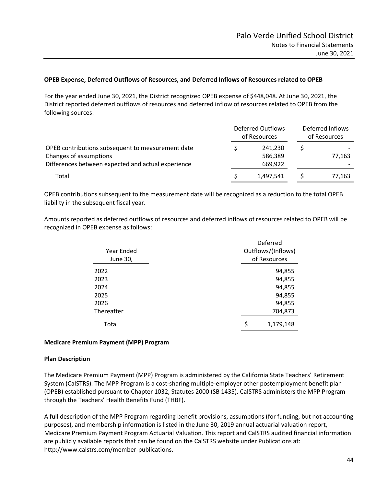#### **OPEB Expense, Deferred Outflows of Resources, and Deferred Inflows of Resources related to OPEB**

For the year ended June 30, 2021, the District recognized OPEB expense of \$448,048. At June 30, 2021, the District reported deferred outflows of resources and deferred inflow of resources related to OPEB from the following sources:

|                                                    | Deferred Outflows<br>of Resources | Deferred Inflows<br>of Resources |        |  |
|----------------------------------------------------|-----------------------------------|----------------------------------|--------|--|
| OPEB contributions subsequent to measurement date  | 241,230                           |                                  |        |  |
| Changes of assumptions                             | 586,389                           |                                  | 77,163 |  |
| Differences between expected and actual experience | 669,922                           |                                  |        |  |
| Total                                              | 1,497,541                         |                                  | 77.163 |  |

OPEB contributions subsequent to the measurement date will be recognized as a reduction to the total OPEB liability in the subsequent fiscal year.

Amounts reported as deferred outflows of resources and deferred inflows of resources related to OPEB will be recognized in OPEB expense as follows:

| Year Ended<br>June 30, | Deferred<br>Outflows/(Inflows)<br>of Resources |
|------------------------|------------------------------------------------|
| 2022                   | 94,855                                         |
| 2023                   | 94,855                                         |
| 2024                   | 94,855                                         |
| 2025                   | 94,855                                         |
| 2026                   | 94,855                                         |
| Thereafter             | 704,873                                        |
| Total                  | 1,179,148                                      |

#### **Medicare Premium Payment (MPP) Program**

#### **Plan Description**

The Medicare Premium Payment (MPP) Program is administered by the California State Teachers' Retirement System (CalSTRS). The MPP Program is a cost-sharing multiple-employer other postemployment benefit plan (OPEB) established pursuant to Chapter 1032, Statutes 2000 (SB 1435). CalSTRS administers the MPP Program through the Teachers' Health Benefits Fund (THBF).

A full description of the MPP Program regarding benefit provisions, assumptions (for funding, but not accounting purposes), and membership information is listed in the June 30, 2019 annual actuarial valuation report, Medicare Premium Payment Program Actuarial Valuation. This report and CalSTRS audited financial information are publicly available reports that can be found on the CalSTRS website under Publications at: http://www.calstrs.com/member-publications.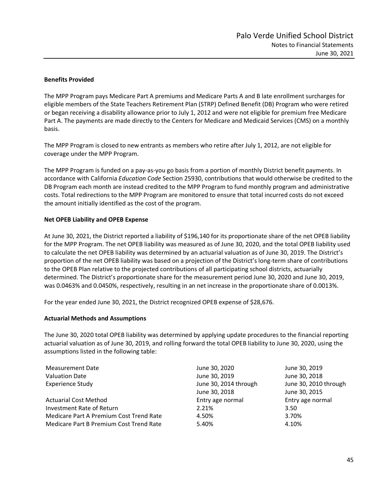## **Benefits Provided**

The MPP Program pays Medicare Part A premiums and Medicare Parts A and B late enrollment surcharges for eligible members of the State Teachers Retirement Plan (STRP) Defined Benefit (DB) Program who were retired or began receiving a disability allowance prior to July 1, 2012 and were not eligible for premium free Medicare Part A. The payments are made directly to the Centers for Medicare and Medicaid Services (CMS) on a monthly basis.

The MPP Program is closed to new entrants as members who retire after July 1, 2012, are not eligible for coverage under the MPP Program.

The MPP Program is funded on a pay-as-you go basis from a portion of monthly District benefit payments. In accordance with California *Education Code* Section 25930, contributions that would otherwise be credited to the DB Program each month are instead credited to the MPP Program to fund monthly program and administrative costs. Total redirections to the MPP Program are monitored to ensure that total incurred costs do not exceed the amount initially identified as the cost of the program.

#### **Net OPEB Liability and OPEB Expense**

At June 30, 2021, the District reported a liability of \$196,140 for its proportionate share of the net OPEB liability for the MPP Program. The net OPEB liability was measured as of June 30, 2020, and the total OPEB liability used to calculate the net OPEB liability was determined by an actuarial valuation as of June 30, 2019. The District's proportion of the net OPEB liability was based on a projection of the District's long-term share of contributions to the OPEB Plan relative to the projected contributions of all participating school districts, actuarially determined. The District's proportionate share for the measurement period June 30, 2020 and June 30, 2019, was 0.0463% and 0.0450%, respectively, resulting in an net increase in the proportionate share of 0.0013%.

For the year ended June 30, 2021, the District recognized OPEB expense of \$28,676.

#### **Actuarial Methods and Assumptions**

The June 30, 2020 total OPEB liability was determined by applying update procedures to the financial reporting actuarial valuation as of June 30, 2019, and rolling forward the total OPEB liability to June 30, 2020, using the assumptions listed in the following table:

| <b>Measurement Date</b>                 | June 30, 2020         | June 30, 2019         |
|-----------------------------------------|-----------------------|-----------------------|
| <b>Valuation Date</b>                   | June 30, 2019         | June 30, 2018         |
| <b>Experience Study</b>                 | June 30, 2014 through | June 30, 2010 through |
|                                         | June 30, 2018         | June 30, 2015         |
| <b>Actuarial Cost Method</b>            | Entry age normal      | Entry age normal      |
| <b>Investment Rate of Return</b>        | 2.21%                 | 3.50                  |
| Medicare Part A Premium Cost Trend Rate | 4.50%                 | 3.70%                 |
| Medicare Part B Premium Cost Trend Rate | 5.40%                 | 4.10%                 |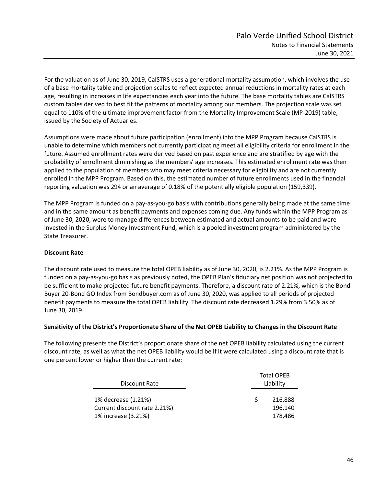For the valuation as of June 30, 2019, CalSTRS uses a generational mortality assumption, which involves the use of a base mortality table and projection scales to reflect expected annual reductions in mortality rates at each age, resulting in increases in life expectancies each year into the future. The base mortality tables are CalSTRS custom tables derived to best fit the patterns of mortality among our members. The projection scale was set equal to 110% of the ultimate improvement factor from the Mortality Improvement Scale (MP-2019) table, issued by the Society of Actuaries.

Assumptions were made about future participation (enrollment) into the MPP Program because CalSTRS is unable to determine which members not currently participating meet all eligibility criteria for enrollment in the future. Assumed enrollment rates were derived based on past experience and are stratified by age with the probability of enrollment diminishing as the members' age increases. This estimated enrollment rate was then applied to the population of members who may meet criteria necessary for eligibility and are not currently enrolled in the MPP Program. Based on this, the estimated number of future enrollments used in the financial reporting valuation was 294 or an average of 0.18% of the potentially eligible population (159,339).

The MPP Program is funded on a pay-as-you-go basis with contributions generally being made at the same time and in the same amount as benefit payments and expenses coming due. Any funds within the MPP Program as of June 30, 2020, were to manage differences between estimated and actual amounts to be paid and were invested in the Surplus Money Investment Fund, which is a pooled investment program administered by the State Treasurer.

## **Discount Rate**

The discount rate used to measure the total OPEB liability as of June 30, 2020, is 2.21%. As the MPP Program is funded on a pay-as-you-go basis as previously noted, the OPEB Plan's fiduciary net position was not projected to be sufficient to make projected future benefit payments. Therefore, a discount rate of 2.21%, which is the Bond Buyer 20-Bond GO Index from Bondbuyer.com as of June 30, 2020, was applied to all periods of projected benefit payments to measure the total OPEB liability. The discount rate decreased 1.29% from 3.50% as of June 30, 2019.

## **Sensitivity of the District's Proportionate Share of the Net OPEB Liability to Changes in the Discount Rate**

The following presents the District's proportionate share of the net OPEB liability calculated using the current discount rate, as well as what the net OPEB liability would be if it were calculated using a discount rate that is one percent lower or higher than the current rate:

|                              |  | <b>Total OPEB</b> |
|------------------------------|--|-------------------|
| Discount Rate                |  | Liability         |
|                              |  |                   |
| 1% decrease (1.21%)          |  | 216.888           |
| Current discount rate 2.21%) |  | 196,140           |
| 1% increase (3.21%)          |  | 178,486           |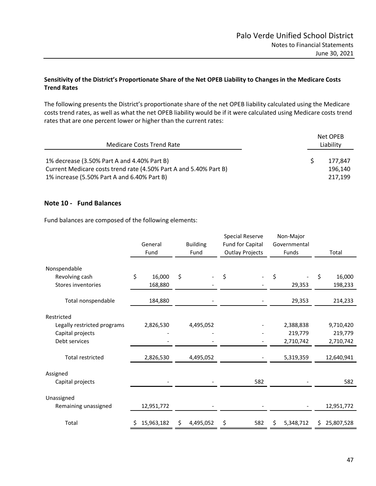## **Sensitivity of the District's Proportionate Share of the Net OPEB Liability to Changes in the Medicare Costs Trend Rates**

The following presents the District's proportionate share of the net OPEB liability calculated using the Medicare costs trend rates, as well as what the net OPEB liability would be if it were calculated using Medicare costs trend rates that are one percent lower or higher than the current rates:

| <b>Medicare Costs Trend Rate</b>                                                                                                                                |  |                               |  |  |
|-----------------------------------------------------------------------------------------------------------------------------------------------------------------|--|-------------------------------|--|--|
| 1% decrease (3.50% Part A and 4.40% Part B)<br>Current Medicare costs trend rate (4.50% Part A and 5.40% Part B)<br>1% increase (5.50% Part A and 6.40% Part B) |  | 177.847<br>196.140<br>217.199 |  |  |

## **Note 10 - Fund Balances**

Fund balances are composed of the following elements:

|                             | General          |      | <b>Building</b> | <b>Special Reserve</b><br>Fund for Capital |    | Non-Major<br>Governmental |    |            |  |
|-----------------------------|------------------|------|-----------------|--------------------------------------------|----|---------------------------|----|------------|--|
|                             | Fund             | Fund |                 | <b>Outlay Projects</b>                     |    | Funds                     |    | Total      |  |
| Nonspendable                |                  |      |                 |                                            |    |                           |    |            |  |
| Revolving cash              | \$<br>16,000     | \$   |                 | \$                                         | \$ |                           | \$ | 16,000     |  |
| Stores inventories          | 168,880          |      |                 |                                            |    | 29,353                    |    | 198,233    |  |
| Total nonspendable          | 184,880          |      |                 |                                            |    | 29,353                    |    | 214,233    |  |
| Restricted                  |                  |      |                 |                                            |    |                           |    |            |  |
| Legally restricted programs | 2,826,530        |      | 4,495,052       |                                            |    | 2,388,838                 |    | 9,710,420  |  |
| Capital projects            |                  |      |                 |                                            |    | 219,779                   |    | 219,779    |  |
| Debt services               |                  |      |                 |                                            |    | 2,710,742                 |    | 2,710,742  |  |
| Total restricted            | 2,826,530        |      | 4,495,052       |                                            |    | 5,319,359                 |    | 12,640,941 |  |
| Assigned                    |                  |      |                 |                                            |    |                           |    |            |  |
| Capital projects            |                  |      |                 | 582                                        |    |                           |    | 582        |  |
| Unassigned                  |                  |      |                 |                                            |    |                           |    |            |  |
| Remaining unassigned        | 12,951,772       |      |                 |                                            |    |                           |    | 12,951,772 |  |
| Total                       | \$<br>15,963,182 | \$   | 4,495,052       | \$<br>582                                  | \$ | 5,348,712                 | S  | 25,807,528 |  |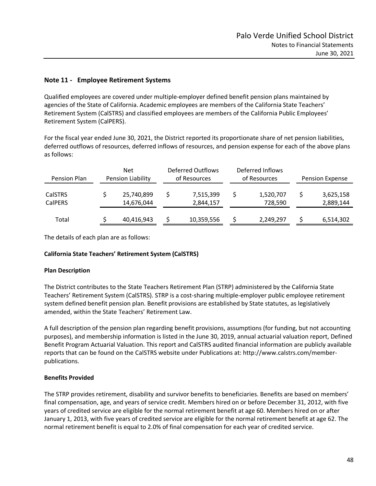## **Note 11 - Employee Retirement Systems**

Qualified employees are covered under multiple-employer defined benefit pension plans maintained by agencies of the State of California. Academic employees are members of the California State Teachers' Retirement System (CalSTRS) and classified employees are members of the California Public Employees' Retirement System (CalPERS).

For the fiscal year ended June 30, 2021, the District reported its proportionate share of net pension liabilities, deferred outflows of resources, deferred inflows of resources, and pension expense for each of the above plans as follows:

| Pension Plan                     | Net<br>Pension Liability | Deferred Outflows<br>of Resources |   | Deferred Inflows<br>of Resources | <b>Pension Expense</b> |
|----------------------------------|--------------------------|-----------------------------------|---|----------------------------------|------------------------|
| <b>CalSTRS</b><br><b>CalPERS</b> | 25,740,899<br>14,676,044 | 7,515,399<br>2,844,157            | Ś | 1,520,707<br>728,590             | 3,625,158<br>2,889,144 |
| Total                            | 40,416,943               | 10,359,556                        |   | 2,249,297                        | 6,514,302              |

The details of each plan are as follows:

## **California State Teachers' Retirement System (CalSTRS)**

#### **Plan Description**

The District contributes to the State Teachers Retirement Plan (STRP) administered by the California State Teachers' Retirement System (CalSTRS). STRP is a cost-sharing multiple-employer public employee retirement system defined benefit pension plan. Benefit provisions are established by State statutes, as legislatively amended, within the State Teachers' Retirement Law.

A full description of the pension plan regarding benefit provisions, assumptions (for funding, but not accounting purposes), and membership information is listed in the June 30, 2019, annual actuarial valuation report, Defined Benefit Program Actuarial Valuation. This report and CalSTRS audited financial information are publicly available reports that can be found on the CalSTRS website under Publications at: http://www.calstrs.com/memberpublications.

#### **Benefits Provided**

The STRP provides retirement, disability and survivor benefits to beneficiaries. Benefits are based on members' final compensation, age, and years of service credit. Members hired on or before December 31, 2012, with five years of credited service are eligible for the normal retirement benefit at age 60. Members hired on or after January 1, 2013, with five years of credited service are eligible for the normal retirement benefit at age 62. The normal retirement benefit is equal to 2.0% of final compensation for each year of credited service.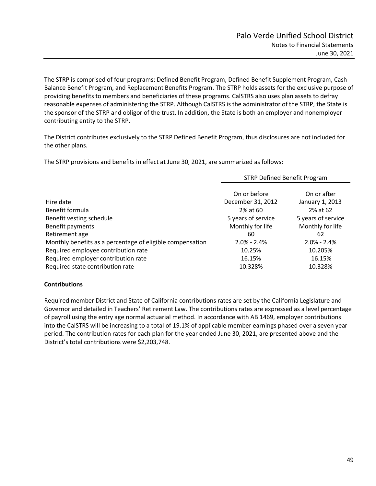The STRP is comprised of four programs: Defined Benefit Program, Defined Benefit Supplement Program, Cash Balance Benefit Program, and Replacement Benefits Program. The STRP holds assets for the exclusive purpose of providing benefits to members and beneficiaries of these programs. CalSTRS also uses plan assets to defray reasonable expenses of administering the STRP. Although CalSTRS is the administrator of the STRP, the State is the sponsor of the STRP and obligor of the trust. In addition, the State is both an employer and nonemployer contributing entity to the STRP.

The District contributes exclusively to the STRP Defined Benefit Program, thus disclosures are not included for the other plans.

The STRP provisions and benefits in effect at June 30, 2021, are summarized as follows:

|                                                           | On or before       | On or after        |
|-----------------------------------------------------------|--------------------|--------------------|
| Hire date                                                 | December 31, 2012  | January 1, 2013    |
| Benefit formula                                           | 2% at 60           | 2% at 62           |
| Benefit vesting schedule                                  | 5 years of service | 5 years of service |
| Benefit payments                                          | Monthly for life   | Monthly for life   |
| Retirement age                                            | 60                 | 62                 |
| Monthly benefits as a percentage of eligible compensation | $2.0\% - 2.4\%$    | $2.0\% - 2.4\%$    |
| Required employee contribution rate                       | 10.25%             | 10.205%            |
| Required employer contribution rate                       | 16.15%             | 16.15%             |
| Required state contribution rate                          | 10.328%            | 10.328%            |

## **Contributions**

Required member District and State of California contributions rates are set by the California Legislature and Governor and detailed in Teachers' Retirement Law. The contributions rates are expressed as a level percentage of payroll using the entry age normal actuarial method. In accordance with AB 1469, employer contributions into the CalSTRS will be increasing to a total of 19.1% of applicable member earnings phased over a seven year period. The contribution rates for each plan for the year ended June 30, 2021, are presented above and the District's total contributions were \$2,203,748.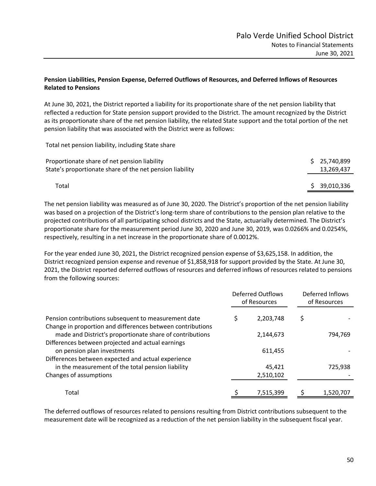## **Pension Liabilities, Pension Expense, Deferred Outflows of Resources, and Deferred Inflows of Resources Related to Pensions**

At June 30, 2021, the District reported a liability for its proportionate share of the net pension liability that reflected a reduction for State pension support provided to the District. The amount recognized by the District as its proportionate share of the net pension liability, the related State support and the total portion of the net pension liability that was associated with the District were as follows:

Total net pension liability, including State share

| Proportionate share of net pension liability<br>State's proportionate share of the net pension liability | \$ 25,740,899<br>13.269.437 |
|----------------------------------------------------------------------------------------------------------|-----------------------------|
| Total                                                                                                    | \$39,010,336                |

The net pension liability was measured as of June 30, 2020. The District's proportion of the net pension liability was based on a projection of the District's long-term share of contributions to the pension plan relative to the projected contributions of all participating school districts and the State, actuarially determined. The District's proportionate share for the measurement period June 30, 2020 and June 30, 2019, was 0.0266% and 0.0254%, respectively, resulting in a net increase in the proportionate share of 0.0012%.

For the year ended June 30, 2021, the District recognized pension expense of \$3,625,158. In addition, the District recognized pension expense and revenue of \$1,858,918 for support provided by the State. At June 30, 2021, the District reported deferred outflows of resources and deferred inflows of resources related to pensions from the following sources:

|                                                                                                                    | Deferred Outflows<br>of Resources |           | Deferred Inflows<br>of Resources |           |
|--------------------------------------------------------------------------------------------------------------------|-----------------------------------|-----------|----------------------------------|-----------|
| Pension contributions subsequent to measurement date<br>Change in proportion and differences between contributions | \$                                | 2,203,748 | \$                               |           |
| made and District's proportionate share of contributions<br>Differences between projected and actual earnings      |                                   | 2,144,673 |                                  | 794,769   |
| on pension plan investments                                                                                        |                                   | 611,455   |                                  |           |
| Differences between expected and actual experience<br>in the measurement of the total pension liability            |                                   | 45.421    |                                  | 725,938   |
| Changes of assumptions                                                                                             |                                   | 2,510,102 |                                  |           |
| Total                                                                                                              |                                   | 7,515,399 |                                  | 1,520,707 |

The deferred outflows of resources related to pensions resulting from District contributions subsequent to the measurement date will be recognized as a reduction of the net pension liability in the subsequent fiscal year.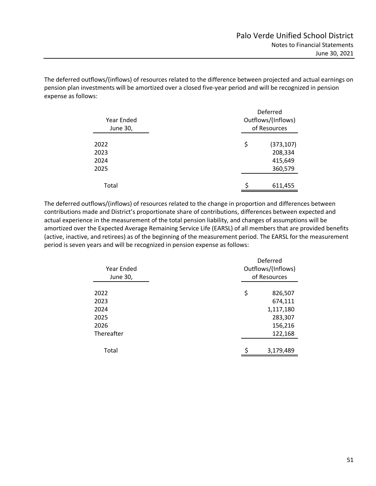The deferred outflows/(inflows) of resources related to the difference between projected and actual earnings on pension plan investments will be amortized over a closed five-year period and will be recognized in pension expense as follows:

| Year Ended<br>June 30,       | Deferred<br>Outflows/(Inflows)<br>of Resources |                                             |  |  |
|------------------------------|------------------------------------------------|---------------------------------------------|--|--|
| 2022<br>2023<br>2024<br>2025 | \$                                             | (373, 107)<br>208,334<br>415,649<br>360,579 |  |  |
| Total                        | \$                                             | 611,455                                     |  |  |

The deferred outflows/(inflows) of resources related to the change in proportion and differences between contributions made and District's proportionate share of contributions, differences between expected and actual experience in the measurement of the total pension liability, and changes of assumptions will be amortized over the Expected Average Remaining Service Life (EARSL) of all members that are provided benefits (active, inactive, and retirees) as of the beginning of the measurement period. The EARSL for the measurement period is seven years and will be recognized in pension expense as follows:

| Year Ended<br>June 30, | Deferred<br>Outflows/(Inflows)<br>of Resources |           |
|------------------------|------------------------------------------------|-----------|
| 2022                   | \$                                             | 826,507   |
| 2023                   |                                                | 674,111   |
| 2024                   |                                                | 1,117,180 |
| 2025                   |                                                | 283,307   |
| 2026                   |                                                | 156,216   |
| Thereafter             |                                                | 122,168   |
| Total                  | ς                                              | 3,179,489 |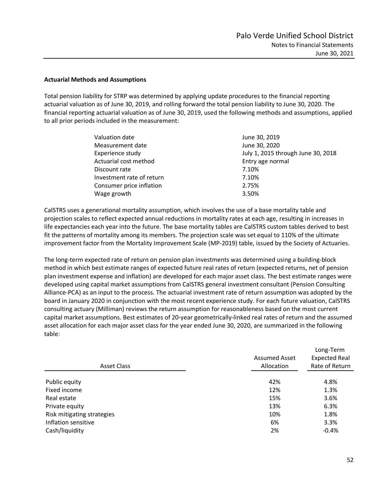#### **Actuarial Methods and Assumptions**

Total pension liability for STRP was determined by applying update procedures to the financial reporting actuarial valuation as of June 30, 2019, and rolling forward the total pension liability to June 30, 2020. The financial reporting actuarial valuation as of June 30, 2019, used the following methods and assumptions, applied to all prior periods included in the measurement:

| Valuation date            | June 30, 2019                      |
|---------------------------|------------------------------------|
| Measurement date          | June 30, 2020                      |
| Experience study          | July 1, 2015 through June 30, 2018 |
| Actuarial cost method     | Entry age normal                   |
| Discount rate             | 7.10%                              |
| Investment rate of return | 7.10%                              |
| Consumer price inflation  | 2.75%                              |
| Wage growth               | 3.50%                              |

CalSTRS uses a generational mortality assumption, which involves the use of a base mortality table and projection scales to reflect expected annual reductions in mortality rates at each age, resulting in increases in life expectancies each year into the future. The base mortality tables are CalSTRS custom tables derived to best fit the patterns of mortality among its members. The projection scale was set equal to 110% of the ultimate improvement factor from the Mortality Improvement Scale (MP-2019) table, issued by the Society of Actuaries.

The long-term expected rate of return on pension plan investments was determined using a building-block method in which best estimate ranges of expected future real rates of return (expected returns, net of pension plan investment expense and inflation) are developed for each major asset class. The best estimate ranges were developed using capital market assumptions from CalSTRS general investment consultant (Pension Consulting Alliance-PCA) as an input to the process. The actuarial investment rate of return assumption was adopted by the board in January 2020 in conjunction with the most recent experience study. For each future valuation, CalSTRS consulting actuary (Milliman) reviews the return assumption for reasonableness based on the most current capital market assumptions. Best estimates of 20-year geometrically-linked real rates of return and the assumed asset allocation for each major asset class for the year ended June 30, 2020, are summarized in the following table:

|                            |                      | Long-Term            |  |  |
|----------------------------|----------------------|----------------------|--|--|
|                            | <b>Assumed Asset</b> | <b>Expected Real</b> |  |  |
| <b>Asset Class</b>         | Allocation           | Rate of Return       |  |  |
| Public equity              | 42%                  | 4.8%                 |  |  |
| Fixed income               | 12%                  | 1.3%                 |  |  |
| Real estate                | 15%                  | 3.6%                 |  |  |
| Private equity             | 13%                  | 6.3%                 |  |  |
| Risk mitigating strategies | 10%                  | 1.8%                 |  |  |
| Inflation sensitive        | 6%                   | 3.3%                 |  |  |
| Cash/liquidity             | 2%                   | $-0.4%$              |  |  |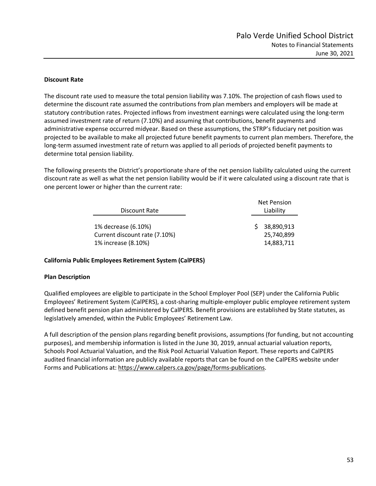## **Discount Rate**

The discount rate used to measure the total pension liability was 7.10%. The projection of cash flows used to determine the discount rate assumed the contributions from plan members and employers will be made at statutory contribution rates. Projected inflows from investment earnings were calculated using the long-term assumed investment rate of return (7.10%) and assuming that contributions, benefit payments and administrative expense occurred midyear. Based on these assumptions, the STRP's fiduciary net position was projected to be available to make all projected future benefit payments to current plan members. Therefore, the long-term assumed investment rate of return was applied to all periods of projected benefit payments to determine total pension liability.

The following presents the District's proportionate share of the net pension liability calculated using the current discount rate as well as what the net pension liability would be if it were calculated using a discount rate that is one percent lower or higher than the current rate:

| Discount Rate                                                               |  | <b>Net Pension</b><br>Liability          |  |  |
|-----------------------------------------------------------------------------|--|------------------------------------------|--|--|
| 1% decrease (6.10%)<br>Current discount rate (7.10%)<br>1% increase (8.10%) |  | \$38,890,913<br>25.740.899<br>14,883,711 |  |  |

#### **California Public Employees Retirement System (CalPERS)**

#### **Plan Description**

Qualified employees are eligible to participate in the School Employer Pool (SEP) under the California Public Employees' Retirement System (CalPERS), a cost-sharing multiple-employer public employee retirement system defined benefit pension plan administered by CalPERS. Benefit provisions are established by State statutes, as legislatively amended, within the Public Employees' Retirement Law.

A full description of the pension plans regarding benefit provisions, assumptions (for funding, but not accounting purposes), and membership information is listed in the June 30, 2019, annual actuarial valuation reports, Schools Pool Actuarial Valuation, and the Risk Pool Actuarial Valuation Report. These reports and CalPERS audited financial information are publicly available reports that can be found on the CalPERS website under Forms and Publications at: https://www.calpers.ca.gov/page/forms-publications.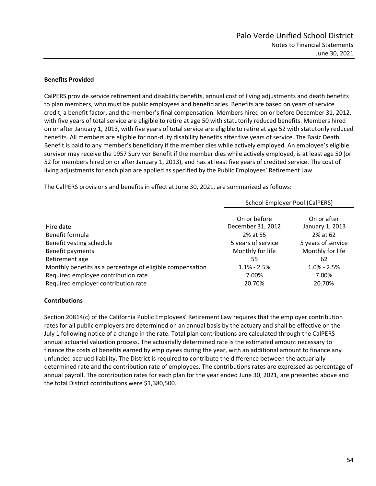#### **Benefits Provided**

CalPERS provide service retirement and disability benefits, annual cost of living adjustments and death benefits to plan members, who must be public employees and beneficiaries. Benefits are based on years of service credit, a benefit factor, and the member's final compensation. Members hired on or before December 31, 2012, with five years of total service are eligible to retire at age 50 with statutorily reduced benefits. Members hired on or after January 1, 2013, with five years of total service are eligible to retire at age 52 with statutorily reduced benefits. All members are eligible for non-duty disability benefits after five years of service. The Basic Death Benefit is paid to any member's beneficiary if the member dies while actively employed. An employee's eligible survivor may receive the 1957 Survivor Benefit if the member dies while actively employed, is at least age 50 (or 52 for members hired on or after January 1, 2013), and has at least five years of credited service. The cost of living adjustments for each plan are applied as specified by the Public Employees' Retirement Law.

The CalPERS provisions and benefits in effect at June 30, 2021, are summarized as follows:

|                                                           | <b>School Employer Pool (CalPERS)</b> |                                |  |
|-----------------------------------------------------------|---------------------------------------|--------------------------------|--|
| Hire date                                                 | On or before<br>December 31, 2012     | On or after<br>January 1, 2013 |  |
| Benefit formula                                           | 2% at 55                              | 2% at 62                       |  |
| Benefit vesting schedule                                  | 5 years of service                    | 5 years of service             |  |
| Benefit payments                                          | Monthly for life                      | Monthly for life               |  |
| Retirement age                                            | 55                                    | 62                             |  |
| Monthly benefits as a percentage of eligible compensation | $1.1\% - 2.5\%$                       | $1.0\% - 2.5\%$                |  |
| Required employee contribution rate                       | 7.00%                                 | 7.00%                          |  |
| Required employer contribution rate                       | 20.70%                                | 20.70%                         |  |

#### **Contributions**

Section 20814(c) of the California Public Employees' Retirement Law requires that the employer contribution rates for all public employers are determined on an annual basis by the actuary and shall be effective on the July 1 following notice of a change in the rate. Total plan contributions are calculated through the CalPERS annual actuarial valuation process. The actuarially determined rate is the estimated amount necessary to finance the costs of benefits earned by employees during the year, with an additional amount to finance any unfunded accrued liability. The District is required to contribute the difference between the actuarially determined rate and the contribution rate of employees. The contributions rates are expressed as percentage of annual payroll. The contribution rates for each plan for the year ended June 30, 2021, are presented above and the total District contributions were \$1,380,500.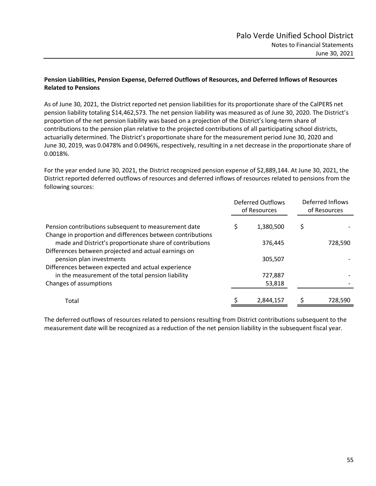## **Pension Liabilities, Pension Expense, Deferred Outflows of Resources, and Deferred Inflows of Resources Related to Pensions**

As of June 30, 2021, the District reported net pension liabilities for its proportionate share of the CalPERS net pension liability totaling \$14,462,573. The net pension liability was measured as of June 30, 2020. The District's proportion of the net pension liability was based on a projection of the District's long-term share of contributions to the pension plan relative to the projected contributions of all participating school districts, actuarially determined. The District's proportionate share for the measurement period June 30, 2020 and June 30, 2019, was 0.0478% and 0.0496%, respectively, resulting in a net decrease in the proportionate share of 0.0018%.

For the year ended June 30, 2021, the District recognized pension expense of \$2,889,144. At June 30, 2021, the District reported deferred outflows of resources and deferred inflows of resources related to pensions from the following sources:

|                                                                                                                  | <b>Deferred Outflows</b><br>of Resources |           | Deferred Inflows<br>of Resources |         |
|------------------------------------------------------------------------------------------------------------------|------------------------------------------|-----------|----------------------------------|---------|
| Pension contributions subsequent to measurement date                                                             | \$                                       | 1,380,500 | \$                               |         |
| Change in proportion and differences between contributions                                                       |                                          |           |                                  |         |
| made and District's proportionate share of contributions<br>Differences between projected and actual earnings on |                                          | 376.445   |                                  | 728.590 |
| pension plan investments                                                                                         |                                          | 305,507   |                                  |         |
| Differences between expected and actual experience                                                               |                                          |           |                                  |         |
| in the measurement of the total pension liability                                                                |                                          | 727,887   |                                  |         |
| Changes of assumptions                                                                                           |                                          | 53,818    |                                  |         |
| Total                                                                                                            |                                          | 2,844,157 |                                  | 728,590 |

The deferred outflows of resources related to pensions resulting from District contributions subsequent to the measurement date will be recognized as a reduction of the net pension liability in the subsequent fiscal year.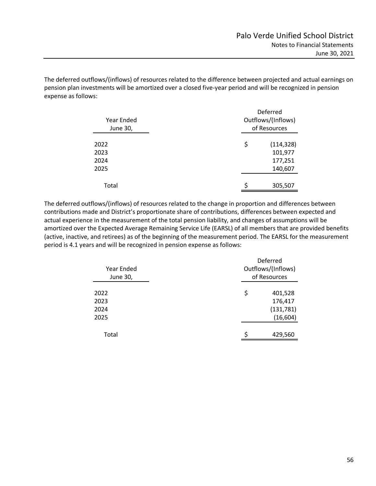The deferred outflows/(inflows) of resources related to the difference between projected and actual earnings on pension plan investments will be amortized over a closed five-year period and will be recognized in pension expense as follows:

| Year Ended<br>June 30,       | Deferred<br>Outflows/(Inflows)<br>of Resources |                                             |  |  |
|------------------------------|------------------------------------------------|---------------------------------------------|--|--|
| 2022<br>2023<br>2024<br>2025 | \$                                             | (114, 328)<br>101,977<br>177,251<br>140,607 |  |  |
| Total                        | ς                                              | 305,507                                     |  |  |

The deferred outflows/(inflows) of resources related to the change in proportion and differences between contributions made and District's proportionate share of contributions, differences between expected and actual experience in the measurement of the total pension liability, and changes of assumptions will be amortized over the Expected Average Remaining Service Life (EARSL) of all members that are provided benefits (active, inactive, and retirees) as of the beginning of the measurement period. The EARSL for the measurement period is 4.1 years and will be recognized in pension expense as follows:

| Year Ended<br>June 30,       | Deferred<br>Outflows/(Inflows)<br>of Resources |                                               |  |
|------------------------------|------------------------------------------------|-----------------------------------------------|--|
| 2022<br>2023<br>2024<br>2025 | \$                                             | 401,528<br>176,417<br>(131, 781)<br>(16, 604) |  |
| Total                        |                                                | 429,560                                       |  |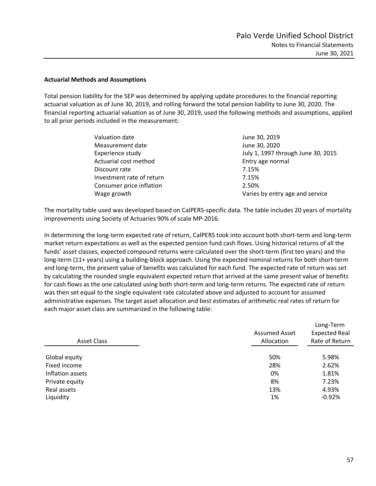#### **Actuarial Methods and Assumptions**

Total pension liability for the SEP was determined by applying update procedures to the financial reporting actuarial valuation as of June 30, 2019, and rolling forward the total pension liability to June 30, 2020. The financial reporting actuarial valuation as of June 30, 2019, used the following methods and assumptions, applied to all prior periods included in the measurement:

| Valuation date            | June 30, 2019                      |
|---------------------------|------------------------------------|
| Measurement date          | June 30, 2020                      |
| Experience study          | July 1, 1997 through June 30, 2015 |
| Actuarial cost method     | Entry age normal                   |
| Discount rate             | 7.15%                              |
| Investment rate of return | 7.15%                              |
| Consumer price inflation  | 2.50%                              |
| Wage growth               | Varies by entry age and service    |

The mortality table used was developed based on CalPERS-specific data. The table includes 20 years of mortality improvements using Society of Actuaries 90% of scale MP-2016.

In determining the long-term expected rate of return, CalPERS took into account both short-term and long-term market return expectations as well as the expected pension fund cash flows. Using historical returns of all the funds' asset classes, expected compound returns were calculated over the short-term (first ten years) and the long-term (11+ years) using a building-block approach. Using the expected nominal returns for both short-term and long-term, the present value of benefits was calculated for each fund. The expected rate of return was set by calculating the rounded single equivalent expected return that arrived at the same present value of benefits for cash flows as the one calculated using both short-term and long-term returns. The expected rate of return was then set equal to the single equivalent rate calculated above and adjusted to account for assumed administrative expenses. The target asset allocation and best estimates of arithmetic real rates of return for each major asset class are summarized in the following table:

| <b>Asset Class</b> | <b>Assumed Asset</b><br>Allocation | Long-Term<br><b>Expected Real</b><br>Rate of Return |
|--------------------|------------------------------------|-----------------------------------------------------|
| Global equity      | 50%                                | 5.98%                                               |
| Fixed income       | 28%                                | 2.62%                                               |
| Inflation assets   | 0%                                 | 1.81%                                               |
| Private equity     | 8%                                 | 7.23%                                               |
| Real assets        | 13%                                | 4.93%                                               |
| Liquidity          | 1%                                 | $-0.92%$                                            |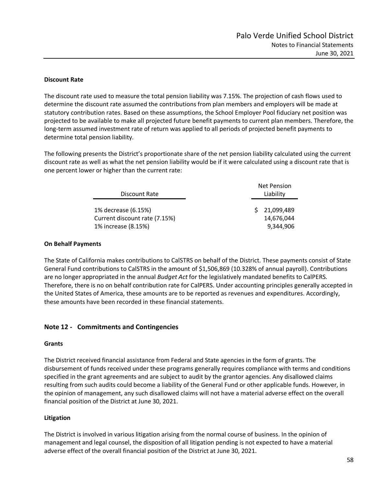## **Discount Rate**

The discount rate used to measure the total pension liability was 7.15%. The projection of cash flows used to determine the discount rate assumed the contributions from plan members and employers will be made at statutory contribution rates. Based on these assumptions, the School Employer Pool fiduciary net position was projected to be available to make all projected future benefit payments to current plan members. Therefore, the long-term assumed investment rate of return was applied to all periods of projected benefit payments to determine total pension liability.

The following presents the District's proportionate share of the net pension liability calculated using the current discount rate as well as what the net pension liability would be if it were calculated using a discount rate that is one percent lower or higher than the current rate:

| Discount Rate                                                               |  |  | <b>Net Pension</b><br>Liability         |  |  |  |
|-----------------------------------------------------------------------------|--|--|-----------------------------------------|--|--|--|
| 1% decrease (6.15%)<br>Current discount rate (7.15%)<br>1% increase (8.15%) |  |  | \$21,099,489<br>14,676,044<br>9,344,906 |  |  |  |

#### **On Behalf Payments**

The State of California makes contributions to CalSTRS on behalf of the District. These payments consist of State General Fund contributions to CalSTRS in the amount of \$1,506,869 (10.328% of annual payroll). Contributions are no longer appropriated in the annual *Budget Act* for the legislatively mandated benefits to CalPERS. Therefore, there is no on behalf contribution rate for CalPERS. Under accounting principles generally accepted in the United States of America, these amounts are to be reported as revenues and expenditures. Accordingly, these amounts have been recorded in these financial statements.

## **Note 12 - Commitments and Contingencies**

#### **Grants**

The District received financial assistance from Federal and State agencies in the form of grants. The disbursement of funds received under these programs generally requires compliance with terms and conditions specified in the grant agreements and are subject to audit by the grantor agencies. Any disallowed claims resulting from such audits could become a liability of the General Fund or other applicable funds. However, in the opinion of management, any such disallowed claims will not have a material adverse effect on the overall financial position of the District at June 30, 2021.

## **Litigation**

The District is involved in various litigation arising from the normal course of business. In the opinion of management and legal counsel, the disposition of all litigation pending is not expected to have a material adverse effect of the overall financial position of the District at June 30, 2021.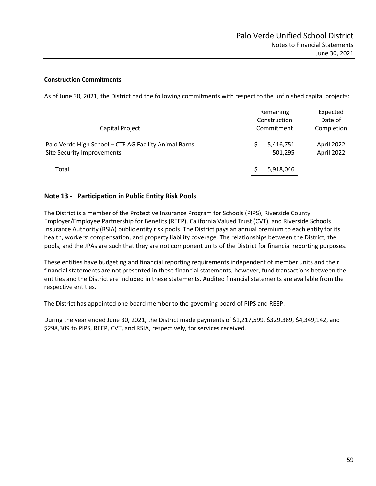## **Construction Commitments**

As of June 30, 2021, the District had the following commitments with respect to the unfinished capital projects:

| Capital Project                                                                     | Remaining<br>Construction<br>Commitment | Expected<br>Date of<br>Completion |  |  |
|-------------------------------------------------------------------------------------|-----------------------------------------|-----------------------------------|--|--|
| Palo Verde High School - CTE AG Facility Animal Barns<br>Site Security Improvements | 5,416,751<br>501,295                    | April 2022<br>April 2022          |  |  |
| Total                                                                               | 5,918,046                               |                                   |  |  |

## **Note 13 - Participation in Public Entity Risk Pools**

The District is a member of the Protective Insurance Program for Schools (PIPS), Riverside County Employer/Employee Partnership for Benefits (REEP), California Valued Trust (CVT), and Riverside Schools Insurance Authority (RSIA) public entity risk pools. The District pays an annual premium to each entity for its health, workers' compensation, and property liability coverage. The relationships between the District, the pools, and the JPAs are such that they are not component units of the District for financial reporting purposes.

These entities have budgeting and financial reporting requirements independent of member units and their financial statements are not presented in these financial statements; however, fund transactions between the entities and the District are included in these statements. Audited financial statements are available from the respective entities.

The District has appointed one board member to the governing board of PIPS and REEP.

During the year ended June 30, 2021, the District made payments of \$1,217,599, \$329,389, \$4,349,142, and \$298,309 to PIPS, REEP, CVT, and RSIA, respectively, for services received.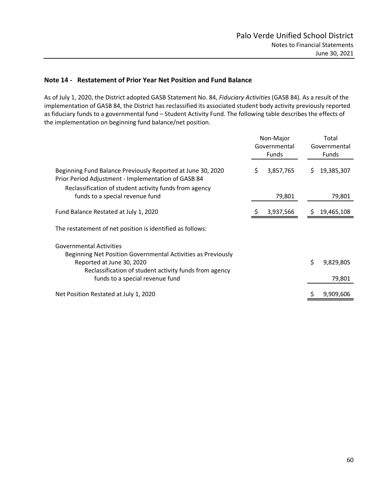## **Note 14 - Restatement of Prior Year Net Position and Fund Balance**

As of July 1, 2020, the District adopted GASB Statement No. 84, *Fiduciary Activities* (GASB 84). As a result of the implementation of GASB 84, the District has reclassified its associated student body activity previously reported as fiduciary funds to a governmental fund – Student Activity Fund. The following table describes the effects of the implementation on beginning fund balance/net position.

|                                                                                                                                                                              | Non-Major<br>Governmental<br><b>Funds</b> | Total<br>Governmental<br><b>Funds</b> |
|------------------------------------------------------------------------------------------------------------------------------------------------------------------------------|-------------------------------------------|---------------------------------------|
| Beginning Fund Balance Previously Reported at June 30, 2020<br>Prior Period Adjustment - Implementation of GASB 84<br>Reclassification of student activity funds from agency | \$<br>3,857,765                           | 19,385,307<br>S                       |
| funds to a special revenue fund                                                                                                                                              | 79,801                                    | 79,801                                |
| Fund Balance Restated at July 1, 2020                                                                                                                                        | 3,937,566                                 | 19,465,108                            |
| The restatement of net position is identified as follows:                                                                                                                    |                                           |                                       |
| <b>Governmental Activities</b>                                                                                                                                               |                                           |                                       |
| Beginning Net Position Governmental Activities as Previously<br>Reported at June 30, 2020                                                                                    |                                           | \$<br>9,829,805                       |
| Reclassification of student activity funds from agency<br>funds to a special revenue fund                                                                                    |                                           | 79,801                                |
| Net Position Restated at July 1, 2020                                                                                                                                        |                                           | 9,909,606                             |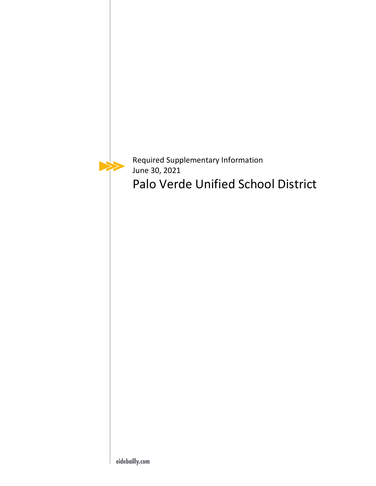

Required Supplementary Information June 30, 2021 Palo Verde Unified School District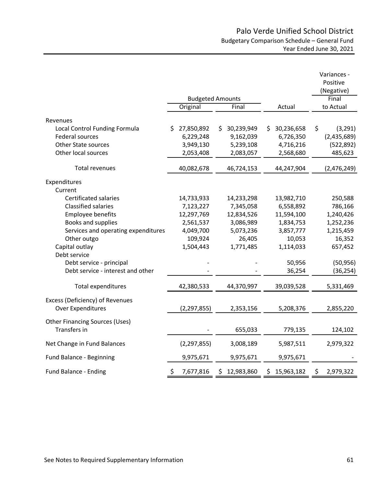|                                       |                  |                         |                   | Variances -     |
|---------------------------------------|------------------|-------------------------|-------------------|-----------------|
|                                       |                  |                         |                   | Positive        |
|                                       |                  |                         |                   | (Negative)      |
|                                       |                  | <b>Budgeted Amounts</b> |                   | Final           |
|                                       | Original         | Final                   | Actual            | to Actual       |
|                                       |                  |                         |                   |                 |
| Revenues                              |                  |                         |                   |                 |
| Local Control Funding Formula         | 27,850,892<br>S. | 30,239,949<br>\$.       | 30,236,658<br>\$  | \$<br>(3,291)   |
| Federal sources                       | 6,229,248        | 9,162,039               | 6,726,350         | (2,435,689)     |
| <b>Other State sources</b>            | 3,949,130        | 5,239,108               | 4,716,216         | (522, 892)      |
| Other local sources                   | 2,053,408        | 2,083,057               | 2,568,680         | 485,623         |
| <b>Total revenues</b>                 | 40,082,678       | 46,724,153              | 44,247,904        | (2,476,249)     |
| Expenditures                          |                  |                         |                   |                 |
| Current                               |                  |                         |                   |                 |
| <b>Certificated salaries</b>          | 14,733,933       | 14,233,298              | 13,982,710        | 250,588         |
| <b>Classified salaries</b>            | 7,123,227        | 7,345,058               | 6,558,892         | 786,166         |
| Employee benefits                     | 12,297,769       | 12,834,526              | 11,594,100        | 1,240,426       |
| Books and supplies                    | 2,561,537        | 3,086,989               | 1,834,753         | 1,252,236       |
| Services and operating expenditures   | 4,049,700        | 5,073,236               | 3,857,777         | 1,215,459       |
| Other outgo                           | 109,924          | 26,405                  | 10,053            | 16,352          |
| Capital outlay                        | 1,504,443        | 1,771,485               | 1,114,033         | 657,452         |
| Debt service                          |                  |                         |                   |                 |
| Debt service - principal              |                  |                         | 50,956            | (50, 956)       |
| Debt service - interest and other     |                  |                         | 36,254            | (36, 254)       |
| Total expenditures                    | 42,380,533       | 44,370,997              | 39,039,528        | 5,331,469       |
| Excess (Deficiency) of Revenues       |                  |                         |                   |                 |
| Over Expenditures                     | (2, 297, 855)    | 2,353,156               | 5,208,376         | 2,855,220       |
| <b>Other Financing Sources (Uses)</b> |                  |                         |                   |                 |
| Transfers in                          |                  | 655,033                 | 779,135           | 124,102         |
|                                       |                  |                         |                   |                 |
| Net Change in Fund Balances           | (2, 297, 855)    | 3,008,189               | 5,987,511         | 2,979,322       |
| Fund Balance - Beginning              | 9,975,671        | 9,975,671               | 9,975,671         |                 |
| Fund Balance - Ending                 | \$<br>7,677,816  | 12,983,860<br>\$.       | 15,963,182<br>\$. | \$<br>2,979,322 |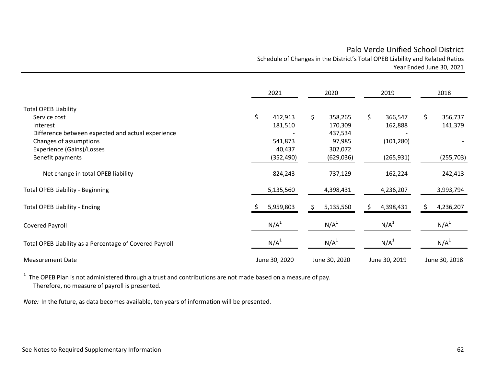# Palo Verde Unified School District

Schedule of Changes in the District's Total OPEB Liability and Related Ratios Year Ended June 30, 2021

|                                                         | 2021             |    | 2020             | 2019             |    | 2018             |  |
|---------------------------------------------------------|------------------|----|------------------|------------------|----|------------------|--|
| <b>Total OPEB Liability</b>                             |                  |    |                  |                  |    |                  |  |
| Service cost                                            | \$<br>412,913    | \$ | 358,265          | \$<br>366,547    | \$ | 356,737          |  |
| Interest                                                | 181,510          |    | 170,309          | 162,888          |    | 141,379          |  |
| Difference between expected and actual experience       |                  |    | 437,534          |                  |    |                  |  |
| Changes of assumptions                                  | 541,873          |    | 97,985           | (101, 280)       |    |                  |  |
| Experience (Gains)/Losses                               | 40,437           |    | 302,072          |                  |    |                  |  |
| Benefit payments                                        | (352, 490)       |    | (629, 036)       | (265, 931)       |    | (255, 703)       |  |
| Net change in total OPEB liability                      | 824,243          |    | 737,129          | 162,224          |    | 242,413          |  |
| <b>Total OPEB Liability - Beginning</b>                 | 5,135,560        |    | 4,398,431        | 4,236,207        |    | 3,993,794        |  |
| <b>Total OPEB Liability - Ending</b>                    | 5,959,803        | Ś  | 5,135,560        | 4,398,431        |    | 4,236,207        |  |
| <b>Covered Payroll</b>                                  | N/A <sup>1</sup> |    | N/A <sup>1</sup> | N/A <sup>1</sup> |    | N/A <sup>1</sup> |  |
| Total OPEB Liability as a Percentage of Covered Payroll | N/A <sup>1</sup> |    | N/A <sup>1</sup> | N/A <sup>1</sup> |    | N/A <sup>1</sup> |  |
| <b>Measurement Date</b>                                 | June 30, 2020    |    | June 30, 2020    | June 30, 2019    |    | June 30, 2018    |  |

 $1$  The OPEB Plan is not administered through a trust and contributions are not made based on a measure of pay. Therefore, no measure of payroll is presented.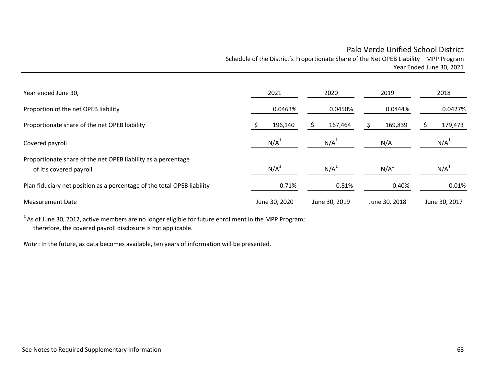# Palo Verde Unified School District

Schedule of the District's Proportionate Share of the Net OPEB Liability – MPP Program Year Ended June 30, 2021

| Year ended June 30,                                                                      | 2021             | 2020             | 2019             | 2018             |  |
|------------------------------------------------------------------------------------------|------------------|------------------|------------------|------------------|--|
| Proportion of the net OPEB liability                                                     | 0.0463%          | 0.0450%          | 0.0444%          | 0.0427%          |  |
| Proportionate share of the net OPEB liability                                            | 196,140          | 167,464          | 169,839          | 179,473          |  |
| Covered payroll                                                                          | N/A <sup>1</sup> | N/A <sup>1</sup> | N/A <sup>1</sup> | N/A <sup>1</sup> |  |
| Proportionate share of the net OPEB liability as a percentage<br>of it's covered payroll | N/A <sup>1</sup> | N/A <sup>1</sup> | N/A <sup>1</sup> | N/A <sup>1</sup> |  |
| Plan fiduciary net position as a percentage of the total OPEB liability                  | $-0.71%$         | $-0.81%$         | $-0.40%$         | $0.01\%$         |  |
| <b>Measurement Date</b>                                                                  | June 30, 2020    | June 30, 2019    | June 30, 2018    | June 30, 2017    |  |

 $1$ As of June 30, 2012, active members are no longer eligible for future enrollment in the MPP Program; therefore, the covered payroll disclosure is not applicable.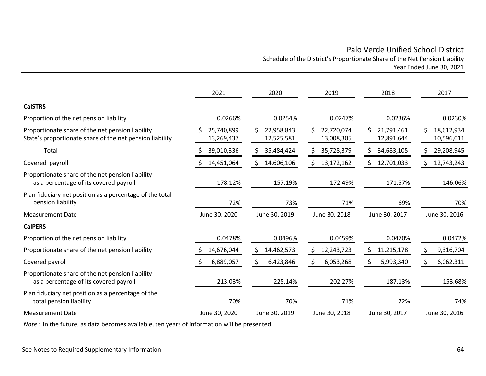# Palo Verde Unified School District Schedule of the District's Proportionate Share of the Net Pension Liability

Year Ended June 30, 2021

|                                                                                                              | 2021                     | 2020                           | 2019                     | 2018                           | 2017                     |
|--------------------------------------------------------------------------------------------------------------|--------------------------|--------------------------------|--------------------------|--------------------------------|--------------------------|
| <b>CalSTRS</b>                                                                                               |                          |                                |                          |                                |                          |
| Proportion of the net pension liability                                                                      | 0.0266%                  | 0.0254%                        | 0.0247%                  | 0.0236%                        | 0.0230%                  |
| Proportionate share of the net pension liability<br>State's proportionate share of the net pension liability | 25,740,899<br>13,269,437 | Ś.<br>22,958,843<br>12,525,581 | 22,720,074<br>13,008,305 | 21,791,461<br>S.<br>12,891,644 | 18,612,934<br>10,596,011 |
| Total                                                                                                        | 39,010,336               | 35,484,424                     | 35,728,379               | 34,683,105                     | 29,208,945               |
| Covered payroll                                                                                              | 14,451,064               | 14,606,106                     | 13,172,162               | 12,701,033                     | 12,743,243<br>S          |
| Proportionate share of the net pension liability<br>as a percentage of its covered payroll                   | 178.12%                  | 157.19%                        | 172.49%                  | 171.57%                        | 146.06%                  |
| Plan fiduciary net position as a percentage of the total<br>pension liability                                | 72%                      | 73%                            | 71%                      | 69%                            | 70%                      |
| <b>Measurement Date</b>                                                                                      | June 30, 2020            | June 30, 2019                  | June 30, 2018            | June 30, 2017                  | June 30, 2016            |
| <b>CalPERS</b>                                                                                               |                          |                                |                          |                                |                          |
| Proportion of the net pension liability                                                                      | 0.0478%                  | 0.0496%                        | 0.0459%                  | 0.0470%                        | 0.0472%                  |
| Proportionate share of the net pension liability                                                             | 14,676,044               | 14,462,573                     | 12,243,723               | 11,215,178<br>S                | 9,316,704                |
| Covered payroll                                                                                              | 6,889,057                | 6,423,846<br>S                 | S.<br>6,053,268          | Ŝ.<br>5,993,340                | 6,062,311                |
| Proportionate share of the net pension liability<br>as a percentage of its covered payroll                   | 213.03%                  | 225.14%                        | 202.27%                  | 187.13%                        | 153.68%                  |
| Plan fiduciary net position as a percentage of the<br>total pension liability                                | 70%                      | 70%                            | 71%                      | 72%                            | 74%                      |
| <b>Measurement Date</b>                                                                                      | June 30, 2020            | June 30, 2019                  | June 30, 2018            | June 30, 2017                  | June 30, 2016            |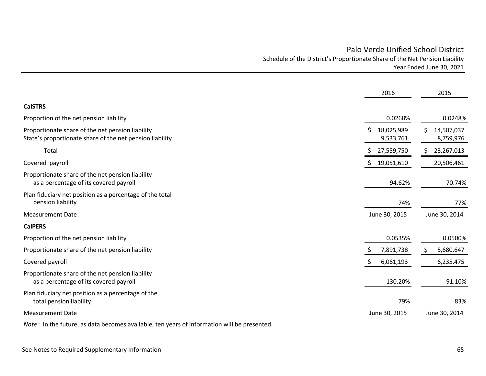## Palo Verde Unified School District Schedule of the District's Proportionate Share of the Net Pension Liability

Year Ended June 30, 2021

2016 <sup>2015</sup> **CalSTRS**Proportion of the net pension liability and the network of the network of the network of the network of the network of the network of the network of the network of the network of the network of the network of the network o 0.0248% Proportionate share of the net pension liability and the state of the network of the network of the network of the network of the network of the network of the network of the network of the network of the network of the ne 8,025,989 \$ 14,507,037<br>9,533,761 8,759,976 State's proportionate share of the net pension liability 8,759,976 Total \$ 27,559,75027,559,750 \$ 23,267,013 Covered payroll \$ 19,051,610 20,506,461 Proportionate share of the net pension liability as a percentage of its covered payroll 94.62% 70.74% Plan fiduciary net position as a percentage of the total pension liability $\sim$  74% <u>%</u> 77% Measurement Date June 30, 2015 June 30, 2014 **CalPERS**Proportion of the net pension liability and the network of the network of the network of the network of the network of the network of the network of the network of the network of the network of the network of the network o 0.0500% Proportionate share of the net pension liability and the state of the net pension liability and the state of the net pension liability \$ 5,680,647 Covered payroll $\uparrow$  6,061,193 6,061,193 6,235,475 Proportionate share of the net pension liability as a percentage of its covered payroll $130.20\%$  91.10% Plan fiduciary net position as a percentage of the total pension liabilityу продолжан таанаа тогтоо жиллаг тогтоо тогтоо тогтоо тогтоо тогтоо тогтоо тогтоо тогтоо тогтоо тогтоо тогтоо<br>Тогтоо тогтоо тогтоо тогтоо тогтоо тогтоо тогтоо тогтоо тогтоо тогтоо тогтоо тогтоо тогтоо тогтоо тогтоо тогто 83% Measurement Datee and the state of the state of the state of the state of the state of the state of the state of the state of the state of the state of the state of the state of the state of the state of the state of the state of the stat June 30, 2014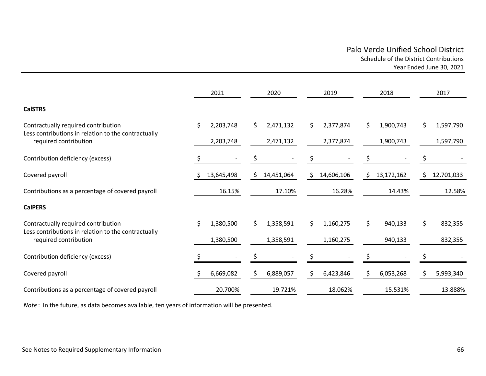# Palo Verde Unified School District Schedule of the District Contributions Year Ended June 30, 2021

|                                                                                                                     | 2021                         | 2020                          | 2019                         | 2018                         | 2017                         |
|---------------------------------------------------------------------------------------------------------------------|------------------------------|-------------------------------|------------------------------|------------------------------|------------------------------|
| <b>CalSTRS</b>                                                                                                      |                              |                               |                              |                              |                              |
| Contractually required contribution<br>Less contributions in relation to the contractually<br>required contribution | \$<br>2,203,748<br>2,203,748 | 2,471,132<br>\$.<br>2,471,132 | \$<br>2,377,874<br>2,377,874 | \$<br>1,900,743<br>1,900,743 | \$<br>1,597,790<br>1,597,790 |
| Contribution deficiency (excess)                                                                                    |                              |                               |                              |                              |                              |
| Covered payroll                                                                                                     | 13,645,498<br><sub>S</sub>   | 14,451,064<br>\$.             | 14,606,106<br>\$             | 13,172,162<br>\$             | 12,701,033<br>\$             |
| Contributions as a percentage of covered payroll                                                                    | 16.15%                       | 17.10%                        | 16.28%                       | 14.43%                       | 12.58%                       |
| <b>CalPERS</b>                                                                                                      |                              |                               |                              |                              |                              |
| Contractually required contribution<br>Less contributions in relation to the contractually                          | \$<br>1,380,500              | \$.<br>1,358,591              | \$<br>1,160,275              | \$<br>940,133                | \$<br>832,355                |
| required contribution                                                                                               | 1,380,500                    | 1,358,591                     | 1,160,275                    | 940,133                      | 832,355                      |
| Contribution deficiency (excess)                                                                                    |                              |                               |                              |                              |                              |
| Covered payroll                                                                                                     | 6,669,082                    | 6,889,057                     | \$<br>6,423,846              | \$<br>6,053,268              | 5,993,340                    |
| Contributions as a percentage of covered payroll                                                                    | 20.700%                      | 19.721%                       | 18.062%                      | 15.531%                      | 13.888%                      |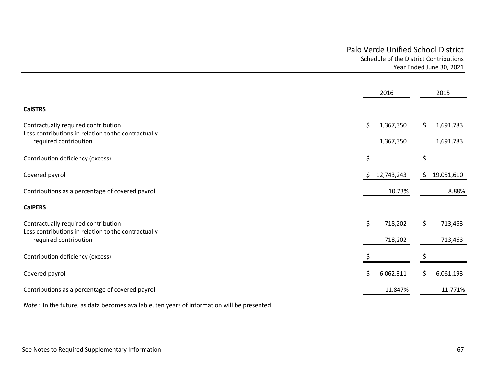# Palo Verde Unified School District Schedule of the District Contributions Year Ended June 30, 2021

|                                                                              |     | 2016       |    | 2015       |
|------------------------------------------------------------------------------|-----|------------|----|------------|
| <b>CalSTRS</b>                                                               |     |            |    |            |
| Contractually required contribution                                          | \$. | 1,367,350  | \$ | 1,691,783  |
| Less contributions in relation to the contractually<br>required contribution |     | 1,367,350  |    | 1,691,783  |
| Contribution deficiency (excess)                                             |     |            |    |            |
| Covered payroll                                                              |     | 12,743,243 | \$ | 19,051,610 |
| Contributions as a percentage of covered payroll                             |     | 10.73%     |    | 8.88%      |
| <b>CalPERS</b>                                                               |     |            |    |            |
| Contractually required contribution                                          | \$  | 718,202    | \$ | 713,463    |
| Less contributions in relation to the contractually<br>required contribution |     | 718,202    |    | 713,463    |
| Contribution deficiency (excess)                                             |     |            |    |            |
| Covered payroll                                                              | \$  | 6,062,311  | Ś  | 6,061,193  |
| Contributions as a percentage of covered payroll                             |     | 11.847%    |    | 11.771%    |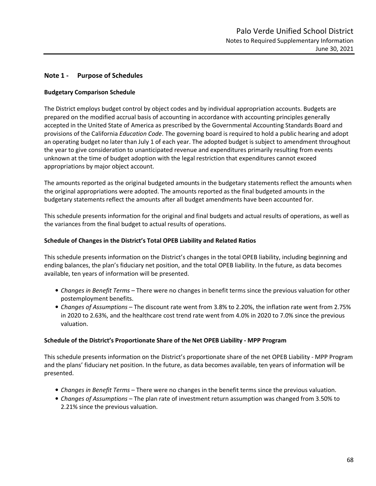## **Note 1 - Purpose of Schedules**

#### **Budgetary Comparison Schedule**

The District employs budget control by object codes and by individual appropriation accounts. Budgets are prepared on the modified accrual basis of accounting in accordance with accounting principles generally accepted in the United State of America as prescribed by the Governmental Accounting Standards Board and provisions of the California *Education Code*. The governing board is required to hold a public hearing and adopt an operating budget no later than July 1 of each year. The adopted budget is subject to amendment throughout the year to give consideration to unanticipated revenue and expenditures primarily resulting from events unknown at the time of budget adoption with the legal restriction that expenditures cannot exceed appropriations by major object account.

The amounts reported as the original budgeted amounts in the budgetary statements reflect the amounts when the original appropriations were adopted. The amounts reported as the final budgeted amounts in the budgetary statements reflect the amounts after all budget amendments have been accounted for.

This schedule presents information for the original and final budgets and actual results of operations, as well as the variances from the final budget to actual results of operations.

#### **Schedule of Changes in the District's Total OPEB Liability and Related Ratios**

This schedule presents information on the District's changes in the total OPEB liability, including beginning and ending balances, the plan's fiduciary net position, and the total OPEB liability. In the future, as data becomes available, ten years of information will be presented.

- *Changes in Benefit Terms –* There were no changes in benefit terms since the previous valuation for other postemployment benefits.
- *Changes of Assumptions*  The discount rate went from 3.8% to 2.20%, the inflation rate went from 2.75% in 2020 to 2.63%, and the healthcare cost trend rate went from 4.0% in 2020 to 7.0% since the previous valuation.

#### **Schedule of the District's Proportionate Share of the Net OPEB Liability - MPP Program**

This schedule presents information on the District's proportionate share of the net OPEB Liability - MPP Program and the plans' fiduciary net position. In the future, as data becomes available, ten years of information will be presented.

- *Changes in Benefit Terms* There were no changes in the benefit terms since the previous valuation.
- *Changes of Assumptions* The plan rate of investment return assumption was changed from 3.50% to 2.21% since the previous valuation.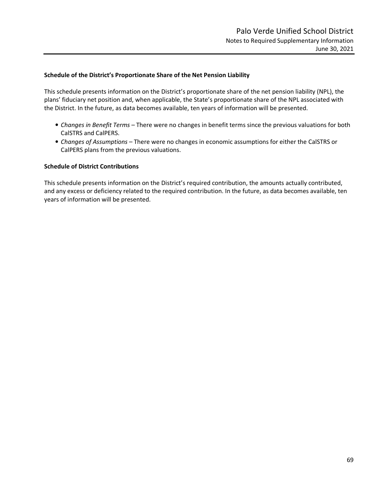#### **Schedule of the District's Proportionate Share of the Net Pension Liability**

This schedule presents information on the District's proportionate share of the net pension liability (NPL), the plans' fiduciary net position and, when applicable, the State's proportionate share of the NPL associated with the District. In the future, as data becomes available, ten years of information will be presented.

- *Changes in Benefit Terms –* There were no changes in benefit terms since the previous valuations for both CalSTRS and CalPERS.
- *Changes of Assumptions –* There were no changes in economic assumptions for either the CalSTRS or CalPERS plans from the previous valuations.

#### **Schedule of District Contributions**

This schedule presents information on the District's required contribution, the amounts actually contributed, and any excess or deficiency related to the required contribution. In the future, as data becomes available, ten years of information will be presented.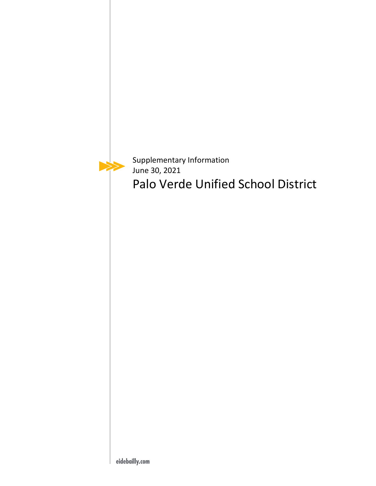$\blacktriangleright$ 

Supplementary Information June 30, 2021 Palo Verde Unified School District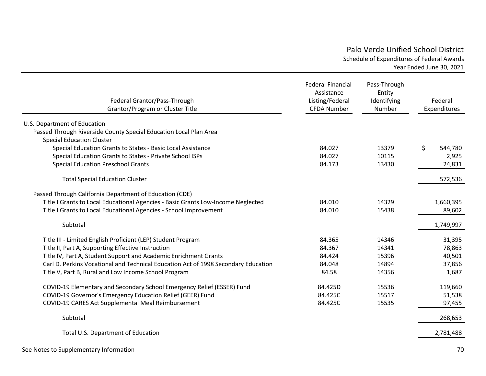# Palo Verde Unified School District Schedule of Expenditures of Federal Awards Year Ended June 30, 2021

| Federal Grantor/Pass-Through<br>Grantor/Program or Cluster Title                   | <b>Federal Financial</b><br>Assistance<br>Listing/Federal<br><b>CFDA Number</b> | Pass-Through<br>Entity<br>Identifying<br>Number | Federal<br>Expenditures |
|------------------------------------------------------------------------------------|---------------------------------------------------------------------------------|-------------------------------------------------|-------------------------|
| U.S. Department of Education                                                       |                                                                                 |                                                 |                         |
| Passed Through Riverside County Special Education Local Plan Area                  |                                                                                 |                                                 |                         |
| <b>Special Education Cluster</b>                                                   |                                                                                 |                                                 |                         |
| Special Education Grants to States - Basic Local Assistance                        | 84.027                                                                          | 13379                                           | \$<br>544,780           |
| Special Education Grants to States - Private School ISPs                           | 84.027                                                                          | 10115                                           | 2,925                   |
| <b>Special Education Preschool Grants</b>                                          | 84.173                                                                          | 13430                                           | 24,831                  |
| <b>Total Special Education Cluster</b>                                             |                                                                                 |                                                 | 572,536                 |
| Passed Through California Department of Education (CDE)                            |                                                                                 |                                                 |                         |
| Title I Grants to Local Educational Agencies - Basic Grants Low-Income Neglected   | 84.010                                                                          | 14329                                           | 1,660,395               |
| Title I Grants to Local Educational Agencies - School Improvement                  | 84.010                                                                          | 15438                                           | 89,602                  |
| Subtotal                                                                           |                                                                                 |                                                 | 1,749,997               |
| Title III - Limited English Proficient (LEP) Student Program                       | 84.365                                                                          | 14346                                           | 31,395                  |
| Title II, Part A, Supporting Effective Instruction                                 | 84.367                                                                          | 14341                                           | 78,863                  |
| Title IV, Part A, Student Support and Academic Enrichment Grants                   | 84.424                                                                          | 15396                                           | 40,501                  |
| Carl D. Perkins Vocational and Technical Education Act of 1998 Secondary Education | 84.048                                                                          | 14894                                           | 37,856                  |
| Title V, Part B, Rural and Low Income School Program                               | 84.58                                                                           | 14356                                           | 1,687                   |
| COVID-19 Elementary and Secondary School Emergency Relief (ESSER) Fund             | 84.425D                                                                         | 15536                                           | 119,660                 |
| COVID-19 Governor's Emergency Education Relief (GEER) Fund                         | 84.425C                                                                         | 15517                                           | 51,538                  |
| COVID-19 CARES Act Supplemental Meal Reimbursement                                 | 84.425C                                                                         | 15535                                           | 97,455                  |
| Subtotal                                                                           |                                                                                 |                                                 | 268,653                 |
| Total U.S. Department of Education                                                 |                                                                                 |                                                 | 2,781,488               |
|                                                                                    |                                                                                 |                                                 |                         |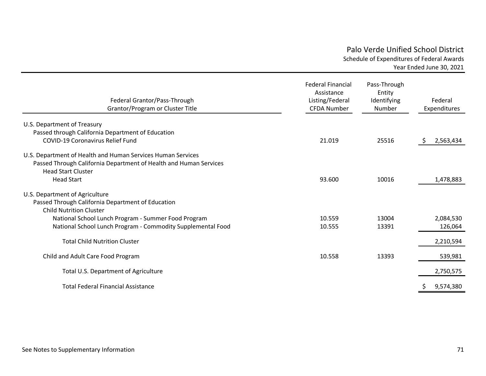# Palo Verde Unified School District Schedule of Expenditures of Federal Awards Year Ended June 30, 2021

| Federal Grantor/Pass-Through<br>Grantor/Program or Cluster Title                                                                                                                   | <b>Federal Financial</b><br>Assistance<br>Listing/Federal<br><b>CFDA Number</b> | Pass-Through<br>Entity<br>Identifying<br>Number | Federal<br>Expenditures |  |
|------------------------------------------------------------------------------------------------------------------------------------------------------------------------------------|---------------------------------------------------------------------------------|-------------------------------------------------|-------------------------|--|
| U.S. Department of Treasury                                                                                                                                                        |                                                                                 |                                                 |                         |  |
| Passed through California Department of Education                                                                                                                                  |                                                                                 |                                                 |                         |  |
| <b>COVID-19 Coronavirus Relief Fund</b>                                                                                                                                            | 21.019                                                                          | 25516                                           | 2,563,434<br>-S         |  |
| U.S. Department of Health and Human Services Human Services<br>Passed Through California Department of Health and Human Services<br><b>Head Start Cluster</b><br><b>Head Start</b> | 93.600                                                                          | 10016                                           | 1,478,883               |  |
| U.S. Department of Agriculture                                                                                                                                                     |                                                                                 |                                                 |                         |  |
| Passed Through California Department of Education<br><b>Child Nutrition Cluster</b>                                                                                                |                                                                                 |                                                 |                         |  |
| National School Lunch Program - Summer Food Program                                                                                                                                | 10.559                                                                          | 13004                                           | 2,084,530               |  |
| National School Lunch Program - Commodity Supplemental Food                                                                                                                        | 10.555                                                                          | 13391                                           | 126,064                 |  |
| <b>Total Child Nutrition Cluster</b>                                                                                                                                               |                                                                                 |                                                 | 2,210,594               |  |
| Child and Adult Care Food Program                                                                                                                                                  | 10.558                                                                          | 13393                                           | 539,981                 |  |
| Total U.S. Department of Agriculture                                                                                                                                               |                                                                                 |                                                 | 2,750,575               |  |
| <b>Total Federal Financial Assistance</b>                                                                                                                                          |                                                                                 |                                                 | 9,574,380               |  |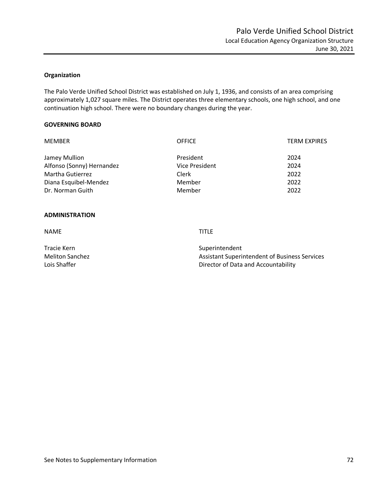## **Organization**

The Palo Verde Unified School District was established on July 1, 1936, and consists of an area comprising approximately 1,027 square miles. The District operates three elementary schools, one high school, and one continuation high school. There were no boundary changes during the year.

#### **GOVERNING BOARD**

| <b>MEMBER</b>             | <b>OFFICE</b>         | <b>TERM EXPIRES</b> |
|---------------------------|-----------------------|---------------------|
| Jamey Mullion             | President             | 2024                |
| Alfonso (Sonny) Hernandez | <b>Vice President</b> | 2024                |
| Martha Gutierrez          | Clerk                 | 2022                |
| Diana Esquibel-Mendez     | Member                | 2022                |
| Dr. Norman Guith          | Member                | 2022                |

#### **ADMINISTRATION**

NAME TITLE

Tracie Kern Superintendent

Meliton Sanchez **Assistant Superintendent of Business Services** Assistant Superintendent of Business Services Lois Shaffer **Director of Data and Accountability**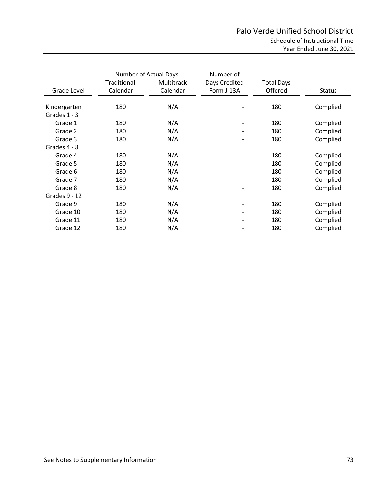|               | Number of<br>Number of Actual Days |            |                          |                   |               |
|---------------|------------------------------------|------------|--------------------------|-------------------|---------------|
|               | <b>Traditional</b>                 | Multitrack | Days Credited            | <b>Total Days</b> |               |
| Grade Level   | Calendar                           | Calendar   | Form J-13A               | Offered           | <b>Status</b> |
|               |                                    |            |                          |                   |               |
| Kindergarten  | 180                                | N/A        |                          | 180               | Complied      |
| Grades 1 - 3  |                                    |            |                          |                   |               |
| Grade 1       | 180                                | N/A        |                          | 180               | Complied      |
| Grade 2       | 180                                | N/A        | $\overline{\phantom{a}}$ | 180               | Complied      |
| Grade 3       | 180                                | N/A        | $\overline{\phantom{a}}$ | 180               | Complied      |
| Grades 4 - 8  |                                    |            |                          |                   |               |
| Grade 4       | 180                                | N/A        |                          | 180               | Complied      |
| Grade 5       | 180                                | N/A        | $\overline{\phantom{a}}$ | 180               | Complied      |
| Grade 6       | 180                                | N/A        | $\overline{\phantom{a}}$ | 180               | Complied      |
| Grade 7       | 180                                | N/A        | $\overline{\phantom{a}}$ | 180               | Complied      |
| Grade 8       | 180                                | N/A        | $\overline{\phantom{a}}$ | 180               | Complied      |
| Grades 9 - 12 |                                    |            |                          |                   |               |
| Grade 9       | 180                                | N/A        |                          | 180               | Complied      |
| Grade 10      | 180                                | N/A        | -                        | 180               | Complied      |
| Grade 11      | 180                                | N/A        |                          | 180               | Complied      |
| Grade 12      | 180                                | N/A        |                          | 180               | Complied      |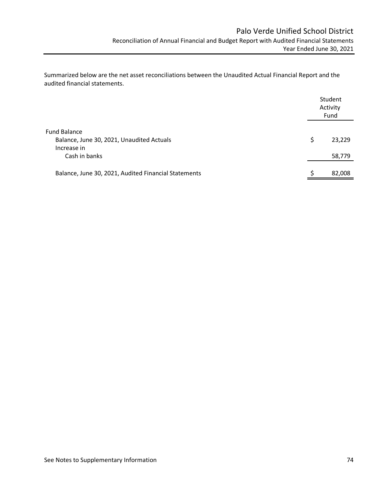Summarized below are the net asset reconciliations between the Unaudited Actual Financial Report and the audited financial statements.

|                                                          | Student<br>Activity<br>Fund |
|----------------------------------------------------------|-----------------------------|
| <b>Fund Balance</b>                                      |                             |
| Balance, June 30, 2021, Unaudited Actuals<br>Increase in | \$<br>23,229                |
| Cash in banks                                            | 58,779                      |
| Balance, June 30, 2021, Audited Financial Statements     | 82,008                      |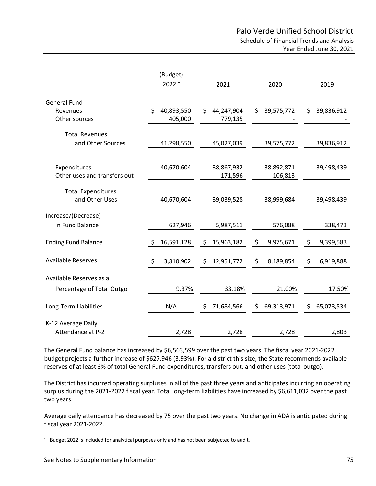|                              | (Budget)<br>2022 <sup>1</sup> | 2021                         | 2020                 | 2019              |
|------------------------------|-------------------------------|------------------------------|----------------------|-------------------|
|                              |                               |                              |                      |                   |
| <b>General Fund</b>          |                               |                              |                      |                   |
| Revenues<br>Other sources    | 40,893,550<br>Ś<br>405,000    | 44,247,904<br>\$.<br>779,135 | 39,575,772<br>\$.    | 39,836,912<br>\$  |
| <b>Total Revenues</b>        |                               |                              |                      |                   |
| and Other Sources            | 41,298,550                    | 45,027,039                   | 39,575,772           | 39,836,912        |
|                              |                               |                              |                      |                   |
| Expenditures                 | 40,670,604                    | 38,867,932                   | 38,892,871           | 39,498,439        |
| Other uses and transfers out |                               | 171,596                      | 106,813              |                   |
| <b>Total Expenditures</b>    |                               |                              |                      |                   |
| and Other Uses               | 40,670,604                    | 39,039,528                   | 38,999,684           | 39,498,439        |
| Increase/(Decrease)          |                               |                              |                      |                   |
| in Fund Balance              | 627,946                       | 5,987,511                    | 576,088              | 338,473           |
|                              |                               |                              |                      |                   |
| <b>Ending Fund Balance</b>   | 16,591,128                    | \$15,963,182                 | 9,975,671<br>\$      | 9,399,583<br>\$   |
| <b>Available Reserves</b>    | \$<br>3,810,902               | \$12,951,772                 | $\zeta$<br>8,189,854 | \$<br>6,919,888   |
| Available Reserves as a      |                               |                              |                      |                   |
| Percentage of Total Outgo    | 9.37%                         | 33.18%                       | 21.00%               | 17.50%            |
| Long-Term Liabilities        | N/A                           | \$71,684,566                 | \$<br>69,313,971     | \$.<br>65,073,534 |
|                              |                               |                              |                      |                   |
| K-12 Average Daily           |                               |                              |                      |                   |
| Attendance at P-2            | 2,728                         | 2,728                        | 2,728                | 2,803             |

The General Fund balance has increased by \$6,563,599 over the past two years. The fiscal year 2021-2022 budget projects a further increase of \$627,946 (3.93%). For a district this size, the State recommends available reserves of at least 3% of total General Fund expenditures, transfers out, and other uses (total outgo).

The District has incurred operating surpluses in all of the past three years and anticipates incurring an operating surplus during the 2021-2022 fiscal year. Total long-term liabilities have increased by \$6,611,032 over the past two years.

Average daily attendance has decreased by 75 over the past two years. No change in ADA is anticipated during fiscal year 2021-2022.

<sup>1</sup> Budget 2022 is included for analytical purposes only and has not been subjected to audit.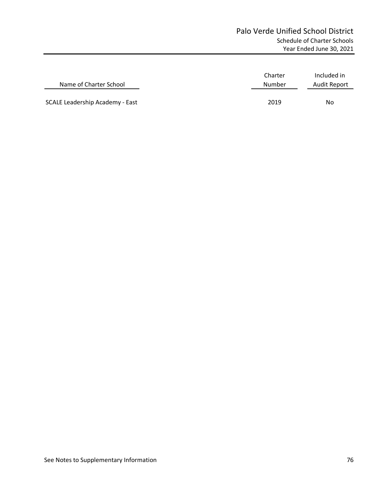|                                 | Charter | Included in         |
|---------------------------------|---------|---------------------|
| Name of Charter School          | Number  | <b>Audit Report</b> |
| SCALE Leadership Academy - East | 2019    | No                  |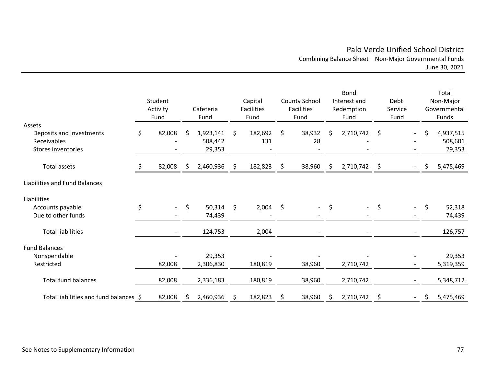# Palo Verde Unified School District

 Combining Balance Sheet – Non-Major Governmental Funds June 30, 2021

|                                                                         | Student<br>Activity<br>Fund |         | Cafeteria<br>Fund              |         | Capital<br><b>Facilities</b><br>Fund |                     | <b>County School</b><br><b>Facilities</b><br>Fund | Bond<br>Interest and<br>Redemption<br>Fund |     | Debt<br>Service<br>Fund  |         | Total<br>Non-Major<br>Governmental<br>Funds |
|-------------------------------------------------------------------------|-----------------------------|---------|--------------------------------|---------|--------------------------------------|---------------------|---------------------------------------------------|--------------------------------------------|-----|--------------------------|---------|---------------------------------------------|
| Assets<br>Deposits and investments<br>Receivables<br>Stores inventories | \$<br>82,008                | Ś.      | 1,923,141<br>508,442<br>29,353 | \$      | 182,692<br>131                       | \$                  | 38,932<br>28                                      | \$<br>2,710,742                            | -\$ |                          | \$      | 4,937,515<br>508,601<br>29,353              |
| <b>Total assets</b>                                                     | 82,008                      | \$      | 2,460,936                      | \$      | 182,823                              | \$                  | 38,960                                            | \$<br>2,710,742                            | \$  | $\overline{\phantom{a}}$ | \$      | 5,475,469                                   |
| Liabilities and Fund Balances                                           |                             |         |                                |         |                                      |                     |                                                   |                                            |     |                          |         |                                             |
| Liabilities<br>Accounts payable<br>Due to other funds                   | \$<br>$\sim$                | $\zeta$ | 50,314<br>74,439               | $\zeta$ | 2,004                                | $\ddot{\mathsf{S}}$ | $\overline{\phantom{a}}$                          | \$<br>$\overline{\phantom{0}}$             | \$  | $\overline{\phantom{a}}$ | $\zeta$ | 52,318<br>74,439                            |
| <b>Total liabilities</b>                                                |                             |         | 124,753                        |         | 2,004                                |                     |                                                   |                                            |     | $\overline{\phantom{a}}$ |         | 126,757                                     |
| <b>Fund Balances</b><br>Nonspendable<br>Restricted                      | 82,008                      |         | 29,353<br>2,306,830            |         | 180,819                              |                     | 38,960                                            | 2,710,742                                  |     |                          |         | 29,353<br>5,319,359                         |
| <b>Total fund balances</b>                                              | 82,008                      |         | 2,336,183                      |         | 180,819                              |                     | 38,960                                            | 2,710,742                                  |     |                          |         | 5,348,712                                   |
| Total liabilities and fund balances \$                                  | 82,008                      | Ŝ       | 2,460,936                      | \$      | 182,823                              | \$                  | 38,960                                            | \$<br>2,710,742                            | \$  |                          | \$,     | 5,475,469                                   |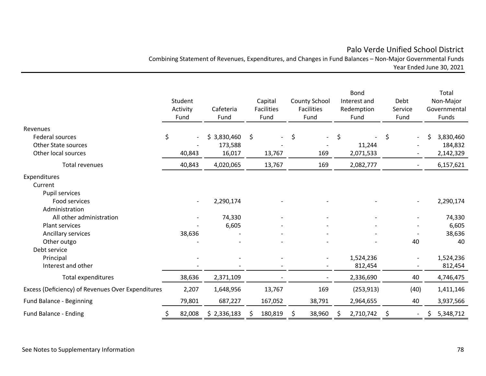# Palo Verde Unified School District

 Combining Statement of Revenues, Expenditures, and Changes in Fund Balances – Non-Major Governmental Funds Year Ended June 30, 2021

|                                                                                  | Student<br>Activity<br>Fund              | Cafeteria<br>Fund                | Capital<br><b>Facilities</b><br>Fund | <b>County School</b><br><b>Facilities</b><br>Fund | <b>Bond</b><br>Interest and<br>Redemption<br>Fund | Debt<br>Service<br>Fund        | Total<br>Non-Major<br>Governmental<br>Funds |
|----------------------------------------------------------------------------------|------------------------------------------|----------------------------------|--------------------------------------|---------------------------------------------------|---------------------------------------------------|--------------------------------|---------------------------------------------|
| Revenues<br>Federal sources<br><b>Other State sources</b><br>Other local sources | \$<br>$\overline{\phantom{a}}$<br>40,843 | \$3,830,460<br>173,588<br>16,017 | \$<br>13,767                         | \$<br>169                                         | \$<br>11,244<br>2,071,533                         | \$                             | 3,830,460<br>Ś<br>184,832<br>2,142,329      |
| Total revenues                                                                   | 40,843                                   | 4,020,065                        | 13,767                               | 169                                               | 2,082,777                                         | $\overline{\phantom{a}}$       | 6,157,621                                   |
| Expenditures<br>Current<br>Pupil services<br>Food services                       |                                          | 2,290,174                        |                                      |                                                   |                                                   | $\overline{\phantom{a}}$       | 2,290,174                                   |
| Administration                                                                   |                                          |                                  |                                      |                                                   |                                                   |                                |                                             |
| All other administration                                                         |                                          | 74,330                           |                                      |                                                   |                                                   |                                | 74,330                                      |
| Plant services                                                                   |                                          | 6,605                            |                                      |                                                   |                                                   |                                | 6,605                                       |
| Ancillary services<br>Other outgo                                                | 38,636                                   |                                  |                                      |                                                   |                                                   | 40                             | 38,636<br>40                                |
| Debt service<br>Principal<br>Interest and other                                  |                                          |                                  |                                      |                                                   | 1,524,236<br>812,454                              |                                | 1,524,236<br>812,454                        |
| Total expenditures                                                               | 38,636                                   | 2,371,109                        |                                      |                                                   | 2,336,690                                         | 40                             | 4,746,475                                   |
| Excess (Deficiency) of Revenues Over Expenditures                                | 2,207                                    | 1,648,956                        | 13,767                               | 169                                               | (253, 913)                                        | (40)                           | 1,411,146                                   |
| Fund Balance - Beginning                                                         | 79,801                                   | 687,227                          | 167,052                              | 38,791                                            | 2,964,655                                         | 40                             | 3,937,566                                   |
| Fund Balance - Ending                                                            | 82,008                                   | \$2,336,183                      | 180,819                              | 38,960<br>\$.                                     | 2,710,742<br>\$                                   | \$<br>$\overline{\phantom{a}}$ | 5,348,712<br>S.                             |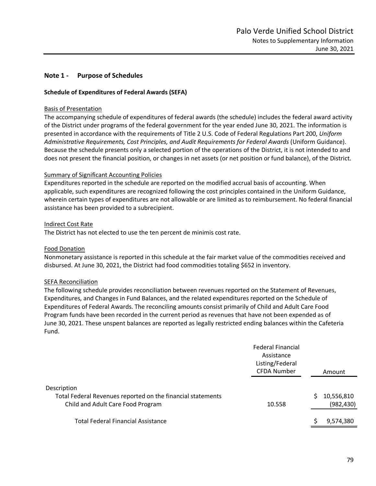# **Note 1 - Purpose of Schedules**

#### **Schedule of Expenditures of Federal Awards (SEFA)**

#### Basis of Presentation

The accompanying schedule of expenditures of federal awards (the schedule) includes the federal award activity of the District under programs of the federal government for the year ended June 30, 2021. The information is presented in accordance with the requirements of Title 2 U.S. Code of Federal Regulations Part 200, *Uniform Administrative Requirements, Cost Principles, and Audit Requirements for Federal Awards* (Uniform Guidance). Because the schedule presents only a selected portion of the operations of the District, it is not intended to and does not present the financial position, or changes in net assets (or net position or fund balance), of the District.

#### Summary of Significant Accounting Policies

Expenditures reported in the schedule are reported on the modified accrual basis of accounting. When applicable, such expenditures are recognized following the cost principles contained in the Uniform Guidance, wherein certain types of expenditures are not allowable or are limited as to reimbursement. No federal financial assistance has been provided to a subrecipient.

#### Indirect Cost Rate

The District has not elected to use the ten percent de minimis cost rate.

#### Food Donation

Nonmonetary assistance is reported in this schedule at the fair market value of the commodities received and disbursed. At June 30, 2021, the District had food commodities totaling \$652 in inventory.

#### SEFA Reconciliation

The following schedule provides reconciliation between revenues reported on the Statement of Revenues, Expenditures, and Changes in Fund Balances, and the related expenditures reported on the Schedule of Expenditures of Federal Awards. The reconciling amounts consist primarily of Child and Adult Care Food Program funds have been recorded in the current period as revenues that have not been expended as of June 30, 2021. These unspent balances are reported as legally restricted ending balances within the Cafeteria Fund.

|                                                                                                                 | <b>Federal Financial</b><br>Assistance<br>Listing/Federal<br><b>CFDA Number</b> | Amount                   |
|-----------------------------------------------------------------------------------------------------------------|---------------------------------------------------------------------------------|--------------------------|
| Description<br>Total Federal Revenues reported on the financial statements<br>Child and Adult Care Food Program | 10.558                                                                          | 10,556,810<br>(982, 430) |
| <b>Total Federal Financial Assistance</b>                                                                       |                                                                                 | 9,574,380                |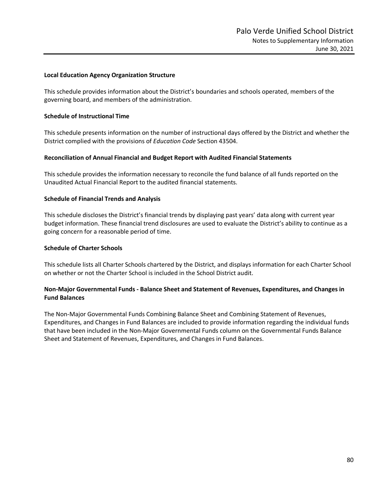#### **Local Education Agency Organization Structure**

This schedule provides information about the District's boundaries and schools operated, members of the governing board, and members of the administration.

#### **Schedule of Instructional Time**

This schedule presents information on the number of instructional days offered by the District and whether the District complied with the provisions of *Education Code* Section 43504.

#### **Reconciliation of Annual Financial and Budget Report with Audited Financial Statements**

This schedule provides the information necessary to reconcile the fund balance of all funds reported on the Unaudited Actual Financial Report to the audited financial statements.

#### **Schedule of Financial Trends and Analysis**

This schedule discloses the District's financial trends by displaying past years' data along with current year budget information. These financial trend disclosures are used to evaluate the District's ability to continue as a going concern for a reasonable period of time.

#### **Schedule of Charter Schools**

This schedule lists all Charter Schools chartered by the District, and displays information for each Charter School on whether or not the Charter School is included in the School District audit.

## **Non-Major Governmental Funds - Balance Sheet and Statement of Revenues, Expenditures, and Changes in Fund Balances**

The Non-Major Governmental Funds Combining Balance Sheet and Combining Statement of Revenues, Expenditures, and Changes in Fund Balances are included to provide information regarding the individual funds that have been included in the Non-Major Governmental Funds column on the Governmental Funds Balance Sheet and Statement of Revenues, Expenditures, and Changes in Fund Balances.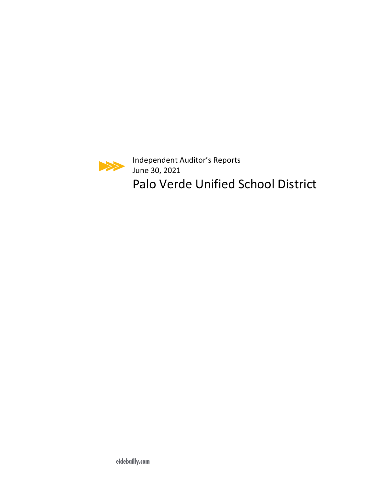

Independent Auditor's Reports June 30, 2021 Palo Verde Unified School District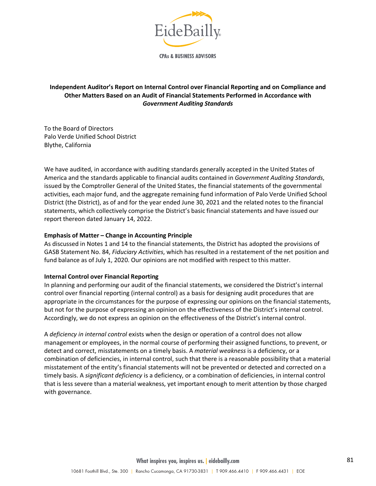

**CPAs & BUSINESS ADVISORS** 

# **Independent Auditor's Report on Internal Control over Financial Reporting and on Compliance and Other Matters Based on an Audit of Financial Statements Performed in Accordance with**  *Government Auditing Standards*

To the Board of Directors Palo Verde Unified School District Blythe, California

We have audited, in accordance with auditing standards generally accepted in the United States of America and the standards applicable to financial audits contained in *Government Auditing Standards*, issued by the Comptroller General of the United States, the financial statements of the governmental activities, each major fund, and the aggregate remaining fund information of Palo Verde Unified School District (the District), as of and for the year ended June 30, 2021 and the related notes to the financial statements, which collectively comprise the District's basic financial statements and have issued our report thereon dated January 14, 2022.

#### **Emphasis of Matter – Change in Accounting Principle**

As discussed in Notes 1 and 14 to the financial statements, the District has adopted the provisions of GASB Statement No. 84, *Fiduciary Activities*, which has resulted in a restatement of the net position and fund balance as of July 1, 2020. Our opinions are not modified with respect to this matter.

#### **Internal Control over Financial Reporting**

In planning and performing our audit of the financial statements, we considered the District's internal control over financial reporting (internal control) as a basis for designing audit procedures that are appropriate in the circumstances for the purpose of expressing our opinions on the financial statements, but not for the purpose of expressing an opinion on the effectiveness of the District's internal control. Accordingly, we do not express an opinion on the effectiveness of the District's internal control.

A *deficiency in internal control* exists when the design or operation of a control does not allow management or employees, in the normal course of performing their assigned functions, to prevent, or detect and correct, misstatements on a timely basis. A *material weakness* is a deficiency, or a combination of deficiencies, in internal control, such that there is a reasonable possibility that a material misstatement of the entity's financial statements will not be prevented or detected and corrected on a timely basis. A *significant deficiency* is a deficiency, or a combination of deficiencies, in internal control that is less severe than a material weakness, yet important enough to merit attention by those charged with governance.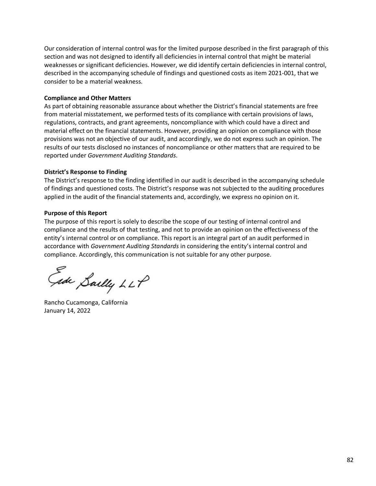Our consideration of internal control was for the limited purpose described in the first paragraph of this section and was not designed to identify all deficiencies in internal control that might be material weaknesses or significant deficiencies. However, we did identify certain deficiencies in internal control, described in the accompanying schedule of findings and questioned costs as item 2021-001, that we consider to be a material weakness.

#### **Compliance and Other Matters**

As part of obtaining reasonable assurance about whether the District's financial statements are free from material misstatement, we performed tests of its compliance with certain provisions of laws, regulations, contracts, and grant agreements, noncompliance with which could have a direct and material effect on the financial statements. However, providing an opinion on compliance with those provisions was not an objective of our audit, and accordingly, we do not express such an opinion. The results of our tests disclosed no instances of noncompliance or other matters that are required to be reported under *Government Auditing Standards*.

#### **District's Response to Finding**

The District's response to the finding identified in our audit is described in the accompanying schedule of findings and questioned costs. The District's response was not subjected to the auditing procedures applied in the audit of the financial statements and, accordingly, we express no opinion on it.

#### **Purpose of this Report**

The purpose of this report is solely to describe the scope of our testing of internal control and compliance and the results of that testing, and not to provide an opinion on the effectiveness of the entity's internal control or on compliance. This report is an integral part of an audit performed in accordance with *Government Auditing Standards* in considering the entity's internal control and compliance. Accordingly, this communication is not suitable for any other purpose.

Gide Sailly LLP

Rancho Cucamonga, California January 14, 2022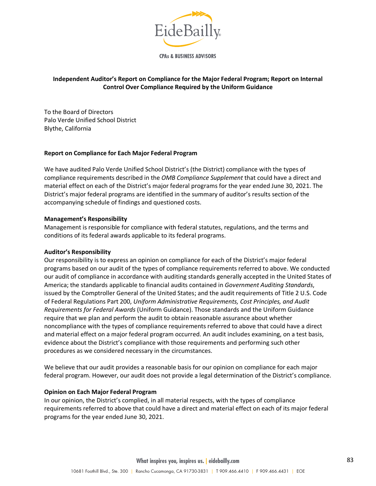

**CPAs & BUSINESS ADVISORS** 

# **Independent Auditor's Report on Compliance for the Major Federal Program; Report on Internal Control Over Compliance Required by the Uniform Guidance**

To the Board of Directors Palo Verde Unified School District Blythe, California

#### **Report on Compliance for Each Major Federal Program**

We have audited Palo Verde Unified School District's (the District) compliance with the types of compliance requirements described in the *OMB Compliance Supplement* that could have a direct and material effect on each of the District's major federal programs for the year ended June 30, 2021. The District's major federal programs are identified in the summary of auditor's results section of the accompanying schedule of findings and questioned costs.

#### **Management's Responsibility**

Management is responsible for compliance with federal statutes, regulations, and the terms and conditions of its federal awards applicable to its federal programs.

#### **Auditor's Responsibility**

Our responsibility is to express an opinion on compliance for each of the District's major federal programs based on our audit of the types of compliance requirements referred to above. We conducted our audit of compliance in accordance with auditing standards generally accepted in the United States of America; the standards applicable to financial audits contained in *Government Auditing Standards*, issued by the Comptroller General of the United States; and the audit requirements of Title 2 U.S. Code of Federal Regulations Part 200, *Uniform Administrative Requirements, Cost Principles, and Audit Requirements for Federal Awards* (Uniform Guidance). Those standards and the Uniform Guidance require that we plan and perform the audit to obtain reasonable assurance about whether noncompliance with the types of compliance requirements referred to above that could have a direct and material effect on a major federal program occurred. An audit includes examining, on a test basis, evidence about the District's compliance with those requirements and performing such other procedures as we considered necessary in the circumstances.

We believe that our audit provides a reasonable basis for our opinion on compliance for each major federal program. However, our audit does not provide a legal determination of the District's compliance.

#### **Opinion on Each Major Federal Program**

In our opinion, the District's complied, in all material respects, with the types of compliance requirements referred to above that could have a direct and material effect on each of its major federal programs for the year ended June 30, 2021.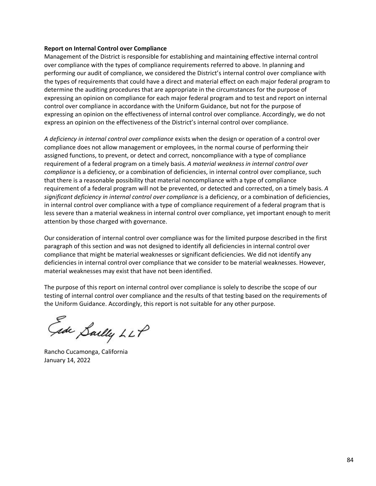#### **Report on Internal Control over Compliance**

Management of the District is responsible for establishing and maintaining effective internal control over compliance with the types of compliance requirements referred to above. In planning and performing our audit of compliance, we considered the District's internal control over compliance with the types of requirements that could have a direct and material effect on each major federal program to determine the auditing procedures that are appropriate in the circumstances for the purpose of expressing an opinion on compliance for each major federal program and to test and report on internal control over compliance in accordance with the Uniform Guidance, but not for the purpose of expressing an opinion on the effectiveness of internal control over compliance. Accordingly, we do not express an opinion on the effectiveness of the District's internal control over compliance.

*A deficiency in internal control over compliance* exists when the design or operation of a control over compliance does not allow management or employees, in the normal course of performing their assigned functions, to prevent, or detect and correct, noncompliance with a type of compliance requirement of a federal program on a timely basis. *A material weakness in internal control over compliance* is a deficiency, or a combination of deficiencies, in internal control over compliance, such that there is a reasonable possibility that material noncompliance with a type of compliance requirement of a federal program will not be prevented, or detected and corrected, on a timely basis. *A significant deficiency in internal control over compliance* is a deficiency, or a combination of deficiencies, in internal control over compliance with a type of compliance requirement of a federal program that is less severe than a material weakness in internal control over compliance, yet important enough to merit attention by those charged with governance.

Our consideration of internal control over compliance was for the limited purpose described in the first paragraph of this section and was not designed to identify all deficiencies in internal control over compliance that might be material weaknesses or significant deficiencies. We did not identify any deficiencies in internal control over compliance that we consider to be material weaknesses. However, material weaknesses may exist that have not been identified.

The purpose of this report on internal control over compliance is solely to describe the scope of our testing of internal control over compliance and the results of that testing based on the requirements of the Uniform Guidance. Accordingly, this report is not suitable for any other purpose.

Ede Sailly LLP

Rancho Cucamonga, California January 14, 2022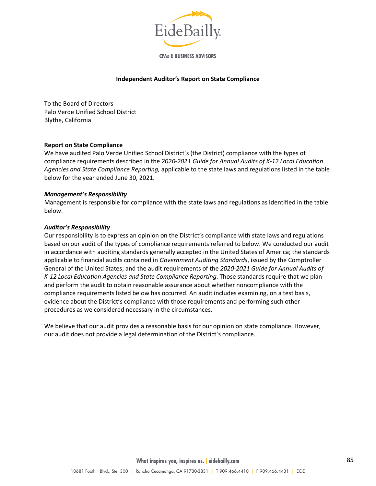

**CPAs & BUSINESS ADVISORS** 

#### **Independent Auditor's Report on State Compliance**

To the Board of Directors Palo Verde Unified School District Blythe, California

#### **Report on State Compliance**

We have audited Palo Verde Unified School District's (the District) compliance with the types of compliance requirements described in the *2020-2021 Guide for Annual Audits of K-12 Local Education Agencies and State Compliance Reporting,* applicable to the state laws and regulations listed in the table below for the year ended June 30, 2021.

#### *Management's Responsibility*

Management is responsible for compliance with the state laws and regulations as identified in the table below.

#### *Auditor's Responsibility*

Our responsibility is to express an opinion on the District's compliance with state laws and regulations based on our audit of the types of compliance requirements referred to below. We conducted our audit in accordance with auditing standards generally accepted in the United States of America; the standards applicable to financial audits contained in *Government Auditing Standards*, issued by the Comptroller General of the United States; and the audit requirements of the *2020-2021 Guide for Annual Audits of K-12 Local Education Agencies and State Compliance Reporting*. Those standards require that we plan and perform the audit to obtain reasonable assurance about whether noncompliance with the compliance requirements listed below has occurred. An audit includes examining, on a test basis, evidence about the District's compliance with those requirements and performing such other procedures as we considered necessary in the circumstances.

We believe that our audit provides a reasonable basis for our opinion on state compliance. However, our audit does not provide a legal determination of the District's compliance.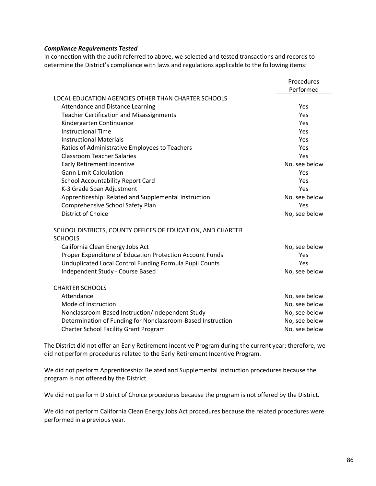#### *Compliance Requirements Tested*

In connection with the audit referred to above, we selected and tested transactions and records to determine the District's compliance with laws and regulations applicable to the following items:

|                                                             | Procedures           |
|-------------------------------------------------------------|----------------------|
|                                                             | Performed            |
| LOCAL EDUCATION AGENCIES OTHER THAN CHARTER SCHOOLS         |                      |
| Attendance and Distance Learning                            | Yes                  |
| <b>Teacher Certification and Misassignments</b>             | Yes                  |
| Kindergarten Continuance                                    | Yes                  |
| <b>Instructional Time</b>                                   | Yes                  |
| <b>Instructional Materials</b>                              | Yes                  |
| Ratios of Administrative Employees to Teachers              | Yes                  |
| <b>Classroom Teacher Salaries</b>                           | Yes                  |
| <b>Early Retirement Incentive</b>                           | No, see below        |
| <b>Gann Limit Calculation</b>                               | Yes                  |
| <b>School Accountability Report Card</b>                    | Yes                  |
| K-3 Grade Span Adjustment                                   | Yes                  |
| Apprenticeship: Related and Supplemental Instruction        | No, see below        |
| Comprehensive School Safety Plan                            | Yes                  |
| <b>District of Choice</b>                                   | No, see below        |
|                                                             |                      |
| SCHOOL DISTRICTS, COUNTY OFFICES OF EDUCATION, AND CHARTER  |                      |
| <b>SCHOOLS</b>                                              |                      |
| California Clean Energy Jobs Act                            | No, see below<br>Yes |
| Proper Expenditure of Education Protection Account Funds    | Yes                  |
| Unduplicated Local Control Funding Formula Pupil Counts     |                      |
| Independent Study - Course Based                            | No, see below        |
| <b>CHARTER SCHOOLS</b>                                      |                      |
| Attendance                                                  | No, see below        |
| Mode of Instruction                                         | No, see below        |
| Nonclassroom-Based Instruction/Independent Study            | No, see below        |
| Determination of Funding for Nonclassroom-Based Instruction | No, see below        |
| <b>Charter School Facility Grant Program</b>                | No, see below        |
|                                                             |                      |

The District did not offer an Early Retirement Incentive Program during the current year; therefore, we did not perform procedures related to the Early Retirement Incentive Program.

We did not perform Apprenticeship: Related and Supplemental Instruction procedures because the program is not offered by the District.

We did not perform District of Choice procedures because the program is not offered by the District.

We did not perform California Clean Energy Jobs Act procedures because the related procedures were performed in a previous year.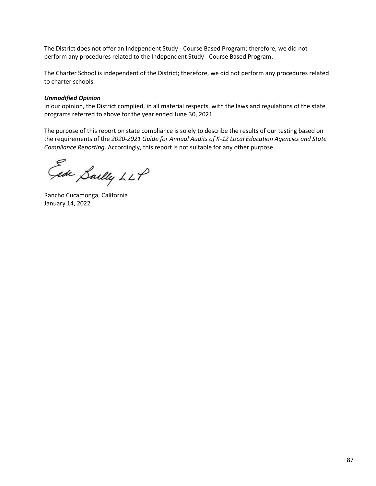The District does not offer an Independent Study - Course Based Program; therefore, we did not perform any procedures related to the Independent Study - Course Based Program.

The Charter School is independent of the District; therefore, we did not perform any procedures related to charter schools.

#### *Unmodified Opinion*

In our opinion, the District complied, in all material respects, with the laws and regulations of the state programs referred to above for the year ended June 30, 2021.

The purpose of this report on state compliance is solely to describe the results of our testing based on the requirements of the *2020-2021 Guide for Annual Audits of K-12 Local Education Agencies and State Compliance Reporting*. Accordingly, this report is not suitable for any other purpose.

Fede Sailly LLP

Rancho Cucamonga, California January 14, 2022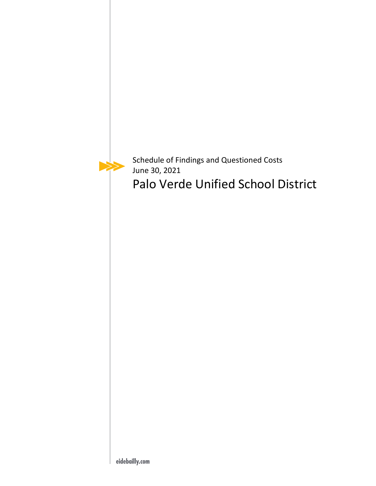

Schedule of Findings and Questioned Costs June 30, 2021 Palo Verde Unified School District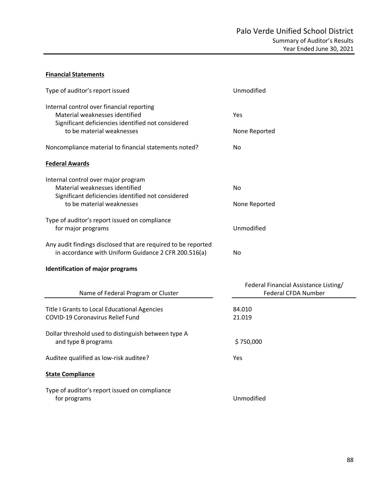# **Financial Statements**

| Type of auditor's report issued                                                                                                   | Unmodified                                                          |  |  |  |  |
|-----------------------------------------------------------------------------------------------------------------------------------|---------------------------------------------------------------------|--|--|--|--|
| Internal control over financial reporting<br>Material weaknesses identified<br>Significant deficiencies identified not considered | Yes                                                                 |  |  |  |  |
| to be material weaknesses                                                                                                         | None Reported                                                       |  |  |  |  |
| Noncompliance material to financial statements noted?                                                                             | No                                                                  |  |  |  |  |
| <b>Federal Awards</b>                                                                                                             |                                                                     |  |  |  |  |
| Internal control over major program<br>Material weaknesses identified                                                             |                                                                     |  |  |  |  |
| Significant deficiencies identified not considered                                                                                | No                                                                  |  |  |  |  |
| to be material weaknesses                                                                                                         | None Reported                                                       |  |  |  |  |
| Type of auditor's report issued on compliance<br>for major programs                                                               | Unmodified                                                          |  |  |  |  |
| Any audit findings disclosed that are required to be reported<br>in accordance with Uniform Guidance 2 CFR 200.516(a)             | No                                                                  |  |  |  |  |
| <b>Identification of major programs</b>                                                                                           |                                                                     |  |  |  |  |
| Name of Federal Program or Cluster                                                                                                | Federal Financial Assistance Listing/<br><b>Federal CFDA Number</b> |  |  |  |  |
| Title I Grants to Local Educational Agencies                                                                                      | 84.010                                                              |  |  |  |  |
| <b>COVID-19 Coronavirus Relief Fund</b>                                                                                           | 21.019                                                              |  |  |  |  |
| Dollar threshold used to distinguish between type A<br>and type B programs                                                        | \$750,000                                                           |  |  |  |  |
| Auditee qualified as low-risk auditee?                                                                                            | Yes                                                                 |  |  |  |  |
| <b>State Compliance</b>                                                                                                           |                                                                     |  |  |  |  |
| Type of auditor's report issued on compliance<br>for programs                                                                     | Unmodified                                                          |  |  |  |  |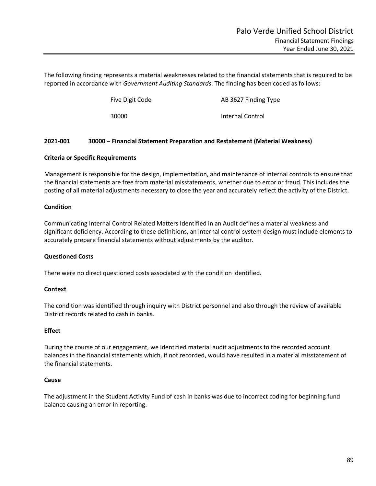The following finding represents a material weaknesses related to the financial statements that is required to be reported in accordance with *Government Auditing Standards*. The finding has been coded as follows:

Five Digit Code AB 3627 Finding Type

30000 Internal Control

#### **2021-001 30000 – Financial Statement Preparation and Restatement (Material Weakness)**

#### **Criteria or Specific Requirements**

Management is responsible for the design, implementation, and maintenance of internal controls to ensure that the financial statements are free from material misstatements, whether due to error or fraud. This includes the posting of all material adjustments necessary to close the year and accurately reflect the activity of the District.

#### **Condition**

Communicating Internal Control Related Matters Identified in an Audit defines a material weakness and significant deficiency. According to these definitions, an internal control system design must include elements to accurately prepare financial statements without adjustments by the auditor.

#### **Questioned Costs**

There were no direct questioned costs associated with the condition identified.

#### **Context**

The condition was identified through inquiry with District personnel and also through the review of available District records related to cash in banks.

#### **Effect**

During the course of our engagement, we identified material audit adjustments to the recorded account balances in the financial statements which, if not recorded, would have resulted in a material misstatement of the financial statements.

#### **Cause**

The adjustment in the Student Activity Fund of cash in banks was due to incorrect coding for beginning fund balance causing an error in reporting.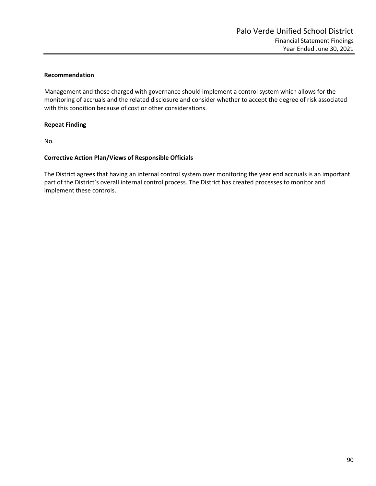### **Recommendation**

Management and those charged with governance should implement a control system which allows for the monitoring of accruals and the related disclosure and consider whether to accept the degree of risk associated with this condition because of cost or other considerations.

# **Repeat Finding**

No.

# **Corrective Action Plan/Views of Responsible Officials**

The District agrees that having an internal control system over monitoring the year end accruals is an important part of the District's overall internal control process. The District has created processes to monitor and implement these controls.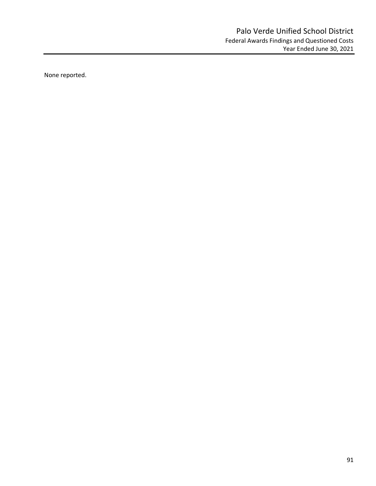None reported.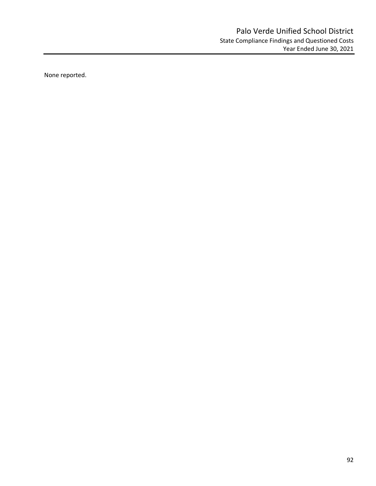None reported.